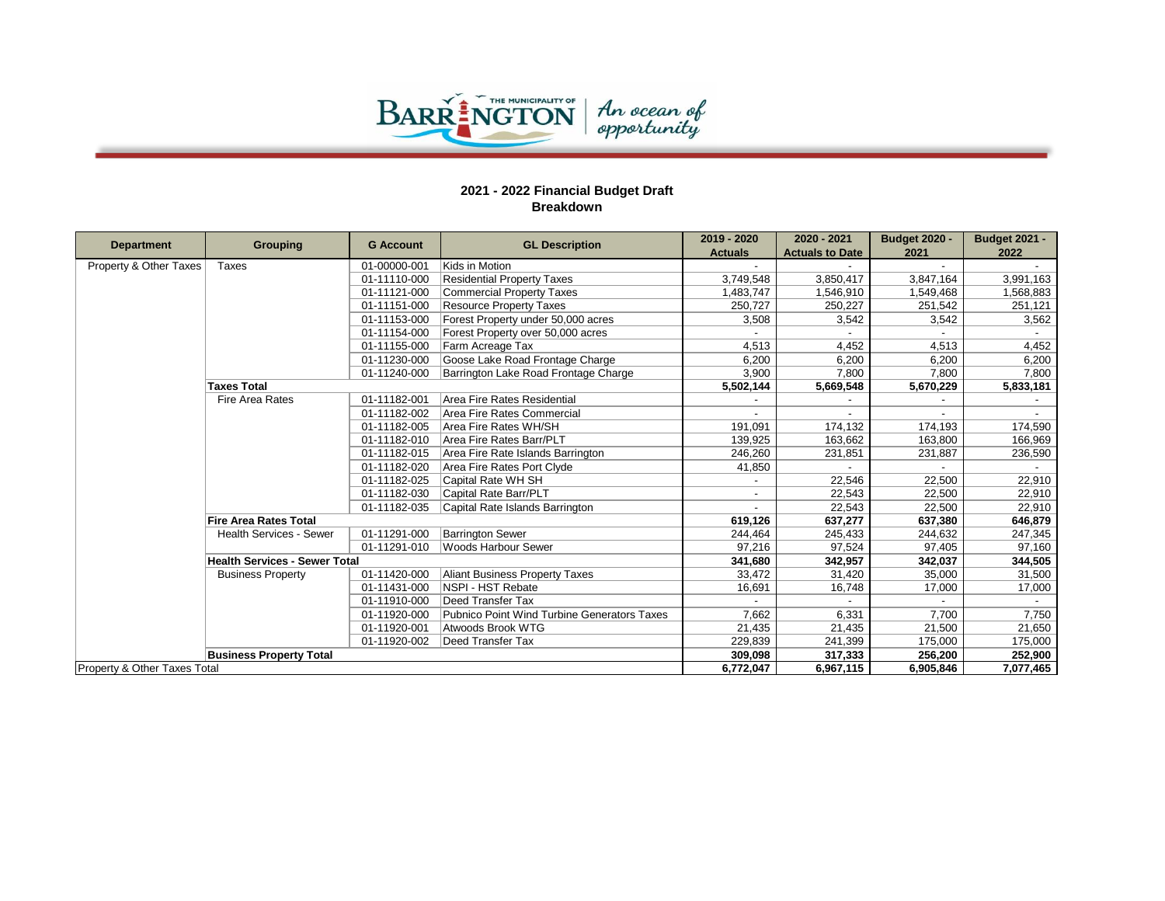

| <b>Department</b>            | Grouping                             | <b>G</b> Account | <b>GL Description</b>                       | 2019 - 2020    | 2020 - 2021            | <b>Budget 2020 -</b> | <b>Budget 2021 -</b> |
|------------------------------|--------------------------------------|------------------|---------------------------------------------|----------------|------------------------|----------------------|----------------------|
|                              |                                      |                  |                                             | <b>Actuals</b> | <b>Actuals to Date</b> | 2021                 | 2022                 |
| Property & Other Taxes       | Taxes                                | 01-00000-001     | Kids in Motion                              |                |                        |                      |                      |
|                              |                                      | 01-11110-000     | <b>Residential Property Taxes</b>           | 3.749.548      | 3,850,417              | 3,847,164            | 3,991,163            |
|                              |                                      | 01-11121-000     | Commercial Property Taxes                   | 1,483,747      | 1,546,910              | 1,549,468            | 1,568,883            |
|                              |                                      | 01-11151-000     | <b>Resource Property Taxes</b>              | 250,727        | 250,227                | 251,542              | 251,121              |
|                              |                                      | 01-11153-000     | Forest Property under 50,000 acres          | 3,508          | 3,542                  | 3.542                | 3,562                |
|                              |                                      | 01-11154-000     | Forest Property over 50,000 acres           |                |                        |                      |                      |
|                              |                                      | 01-11155-000     | Farm Acreage Tax                            | 4.513          | 4,452                  | 4,513                | 4,452                |
|                              |                                      | 01-11230-000     | Goose Lake Road Frontage Charge             | 6,200          | 6,200                  | 6,200                | 6,200                |
|                              |                                      | 01-11240-000     | Barrington Lake Road Frontage Charge        | 3,900          | 7,800                  | 7,800                | 7,800                |
|                              | <b>Taxes Total</b>                   |                  |                                             | 5,502,144      | 5,669,548              | 5,670,229            | 5,833,181            |
|                              | <b>Fire Area Rates</b>               | 01-11182-001     | Area Fire Rates Residential                 |                |                        |                      |                      |
|                              |                                      | 01-11182-002     | Area Fire Rates Commercial                  |                |                        | $\overline{a}$       |                      |
|                              |                                      | 01-11182-005     | Area Fire Rates WH/SH                       | 191.091        | 174,132                | 174,193              | 174,590              |
|                              |                                      | 01-11182-010     | Area Fire Rates Barr/PLT                    | 139.925        | 163.662                | 163,800              | 166.969              |
|                              |                                      | 01-11182-015     | Area Fire Rate Islands Barrington           | 246,260        | 231,851                | 231,887              | 236,590              |
|                              |                                      | 01-11182-020     | Area Fire Rates Port Clyde                  | 41,850         |                        |                      |                      |
|                              |                                      | 01-11182-025     | Capital Rate WH SH                          |                | 22,546                 | 22.500               | 22,910               |
|                              |                                      | 01-11182-030     | Capital Rate Barr/PLT                       |                | 22,543                 | 22.500               | 22,910               |
|                              |                                      | 01-11182-035     | Capital Rate Islands Barrington             |                | 22,543                 | 22,500               | 22,910               |
|                              | <b>Fire Area Rates Total</b>         |                  |                                             | 619,126        | 637,277                | 637,380              | 646,879              |
|                              | <b>Health Services - Sewer</b>       | 01-11291-000     | <b>Barrington Sewer</b>                     | 244,464        | 245,433                | 244,632              | 247,345              |
|                              |                                      | 01-11291-010     | Woods Harbour Sewer                         | 97,216         | 97,524                 | 97,405               | 97,160               |
|                              | <b>Health Services - Sewer Total</b> |                  |                                             | 341,680        | 342,957                | 342,037              | 344,505              |
|                              | <b>Business Property</b>             | 01-11420-000     | Aliant Business Property Taxes              | 33,472         | 31,420                 | 35,000               | 31,500               |
|                              |                                      | 01-11431-000     | <b>NSPI - HST Rebate</b>                    | 16.691         | 16,748                 | 17,000               | 17,000               |
|                              |                                      | 01-11910-000     | Deed Transfer Tax                           |                |                        |                      |                      |
|                              |                                      | 01-11920-000     | Pubnico Point Wind Turbine Generators Taxes | 7,662          | 6,331                  | 7,700                | 7,750                |
|                              |                                      | 01-11920-001     | Atwoods Brook WTG                           | 21,435         | 21,435                 | 21.500               | 21,650               |
|                              |                                      | 01-11920-002     | Deed Transfer Tax                           | 229,839        | 241,399                | 175,000              | 175,000              |
|                              | <b>Business Property Total</b>       |                  |                                             | 309,098        | 317,333                | 256,200              | 252,900              |
| Property & Other Taxes Total |                                      |                  |                                             | 6,772,047      | 6,967,115              | 6,905,846            | 7,077,465            |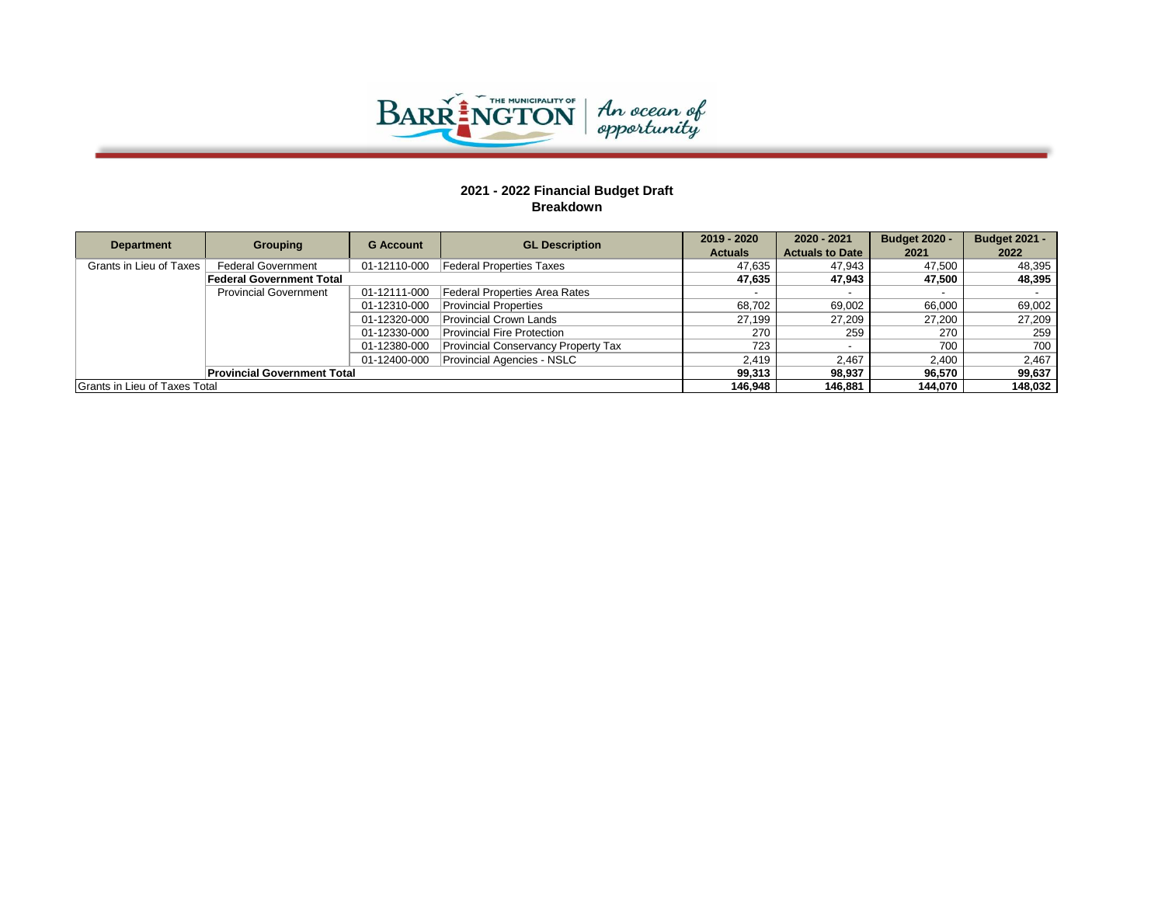

| <b>Department</b>             | <b>Grouping</b>                    | <b>G</b> Account | <b>GL Description</b>                      | 2019 - 2020    | 2020 - 2021            | <b>Budget 2020 -</b> | <b>Budget 2021 -</b> |
|-------------------------------|------------------------------------|------------------|--------------------------------------------|----------------|------------------------|----------------------|----------------------|
|                               |                                    |                  |                                            | <b>Actuals</b> | <b>Actuals to Date</b> | 2021                 | 2022                 |
| Grants in Lieu of Taxes       | <b>Federal Government</b>          |                  | 01-12110-000 Federal Properties Taxes      | 47.635         | 47.943                 | 47.500               | 48,395               |
|                               | <b>Federal Government Total</b>    |                  |                                            | 47.635         | 47,943                 | 47.500               | 48,395               |
|                               | <b>Provincial Government</b>       | 01-12111-000     | Federal Properties Area Rates              |                |                        |                      |                      |
|                               |                                    | 01-12310-000     | <b>Provincial Properties</b>               | 68.702         | 69,002                 | 66.000               | 69,002               |
|                               |                                    | 01-12320-000     | <b>Provincial Crown Lands</b>              | 27,199         | 27,209                 | 27,200               | 27,209               |
|                               |                                    | 01-12330-000     | <b>Provincial Fire Protection</b>          | 270            | 259                    | 270                  | 259                  |
|                               |                                    | 01-12380-000     | <b>Provincial Conservancy Property Tax</b> | 723            |                        | 700                  | 700                  |
|                               |                                    | 01-12400-000     | <b>Provincial Agencies - NSLC</b>          | 2.419          | 2.467                  | 2.400                | 2,467                |
|                               | <b>Provincial Government Total</b> |                  |                                            | 99,313         | 98,937                 | 96.570               | 99,637               |
| Grants in Lieu of Taxes Total |                                    |                  |                                            | 146.948        | 146.881                | 144.070              | 148.032              |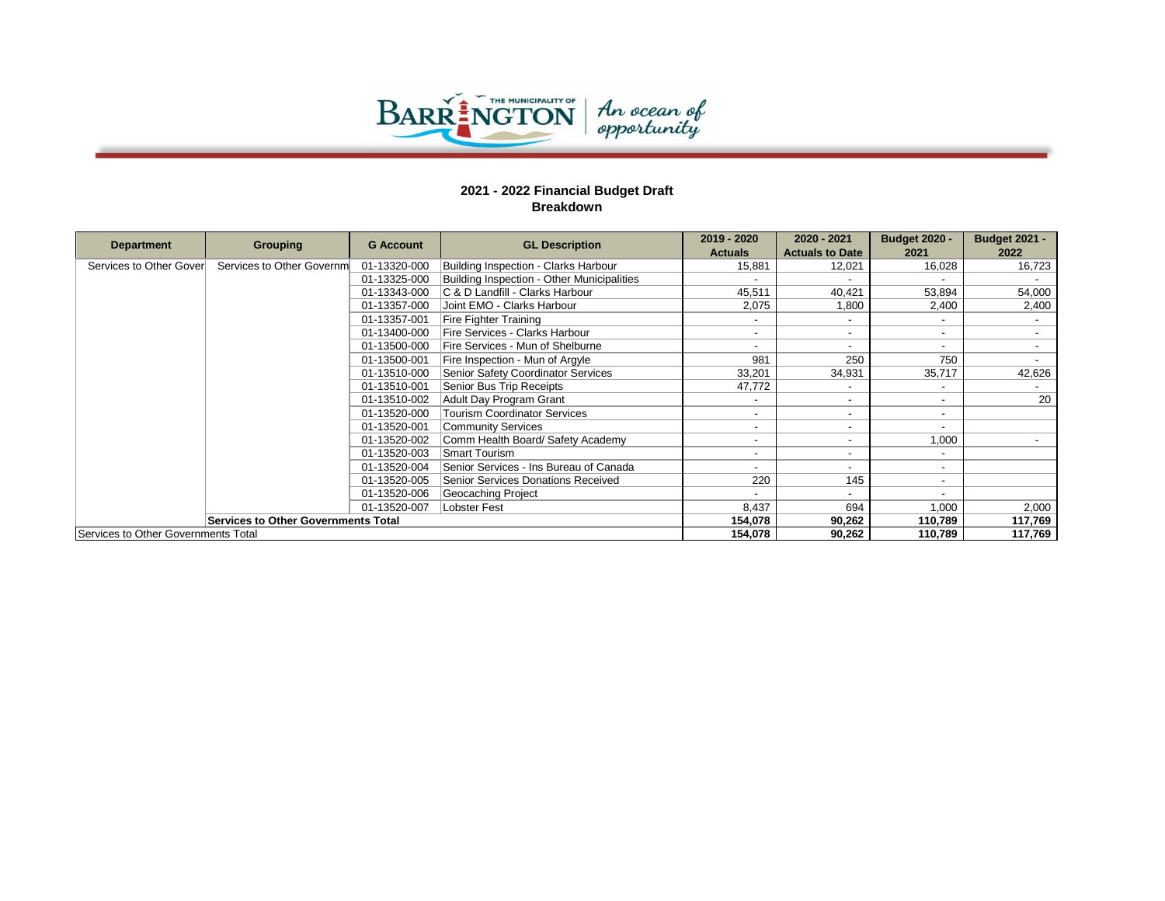

|                                     |                                            |                  |                                            | 2019 - 2020              | 2020 - 2021              | <b>Budget 2020 -</b>     | <b>Budget 2021 -</b> |
|-------------------------------------|--------------------------------------------|------------------|--------------------------------------------|--------------------------|--------------------------|--------------------------|----------------------|
| <b>Department</b>                   | Grouping                                   | <b>G</b> Account | <b>GL Description</b>                      | <b>Actuals</b>           | <b>Actuals to Date</b>   | 2021                     | 2022                 |
| Services to Other Gover             | Services to Other Governm                  | 01-13320-000     | Building Inspection - Clarks Harbour       | 15,881                   | 12,021                   | 16.028                   | 16,723               |
|                                     |                                            | 01-13325-000     | Building Inspection - Other Municipalities |                          |                          |                          |                      |
|                                     |                                            | 01-13343-000     | IC & D Landfill - Clarks Harbour           | 45,511                   | 40,421                   | 53,894                   | 54,000               |
|                                     |                                            | 01-13357-000     | Joint EMO - Clarks Harbour                 | 2,075                    | 1,800                    | 2,400                    | 2,400                |
|                                     |                                            | 01-13357-001     | <b>Fire Fighter Training</b>               |                          |                          |                          |                      |
|                                     |                                            | 01-13400-000     | Fire Services - Clarks Harbour             |                          | -                        | $\sim$                   |                      |
|                                     |                                            | 01-13500-000     | Fire Services - Mun of Shelburne           |                          |                          | $\sim$                   |                      |
|                                     |                                            | 01-13500-001     | Fire Inspection - Mun of Argyle            | 981                      | 250                      | 750                      |                      |
|                                     |                                            | 01-13510-000     | Senior Safety Coordinator Services         | 33,201                   | 34,931                   | 35,717                   | 42,626               |
|                                     |                                            | 01-13510-001     | Senior Bus Trip Receipts                   | 47,772                   |                          | $\overline{\phantom{a}}$ |                      |
|                                     |                                            | 01-13510-002     | Adult Day Program Grant                    |                          | -                        | $\sim$                   | 20                   |
|                                     |                                            | 01-13520-000     | <b>Tourism Coordinator Services</b>        | $\overline{\phantom{0}}$ | -                        | $\sim$                   |                      |
|                                     |                                            | 01-13520-001     | <b>Community Services</b>                  |                          |                          | $\overline{\phantom{a}}$ |                      |
|                                     |                                            | 01-13520-002     | Comm Health Board/ Safety Academy          | $\overline{\phantom{a}}$ | $\overline{\phantom{0}}$ | 1,000                    |                      |
|                                     |                                            | 01-13520-003     | <b>Smart Tourism</b>                       |                          | -                        | $\overline{\phantom{0}}$ |                      |
|                                     |                                            | 01-13520-004     | Senior Services - Ins Bureau of Canada     |                          |                          | $\sim$                   |                      |
|                                     |                                            | 01-13520-005     | Senior Services Donations Received         | 220                      | 145                      | $\overline{\phantom{a}}$ |                      |
|                                     |                                            | 01-13520-006     | Geocaching Project                         |                          |                          | $\sim$                   |                      |
|                                     |                                            | 01-13520-007     | <b>Lobster Fest</b>                        | 8,437                    | 694                      | 1,000                    | 2,000                |
|                                     | <b>Services to Other Governments Total</b> |                  |                                            | 154,078                  | 90,262                   | 110,789                  | 117,769              |
| Services to Other Governments Total |                                            |                  |                                            | 154,078                  | 90,262                   | 110,789                  | 117,769              |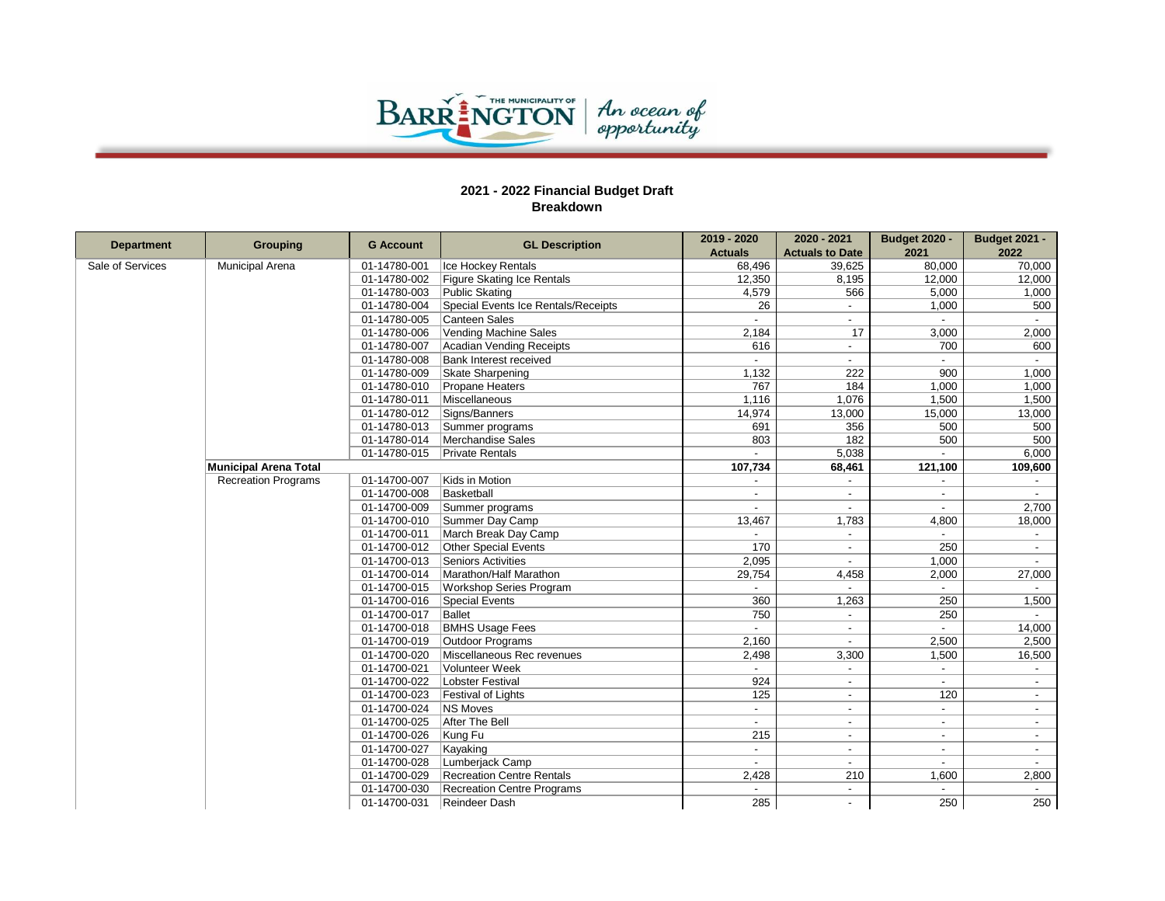

| <b>Department</b> | <b>Grouping</b>              | <b>G</b> Account | <b>GL Description</b>               | 2019 - 2020              | 2020 - 2021              | <b>Budget 2020 -</b>     | <b>Budget 2021 -</b>     |
|-------------------|------------------------------|------------------|-------------------------------------|--------------------------|--------------------------|--------------------------|--------------------------|
|                   |                              |                  |                                     | <b>Actuals</b>           | <b>Actuals to Date</b>   | 2021                     | 2022                     |
| Sale of Services  | <b>Municipal Arena</b>       | 01-14780-001     | Ice Hockey Rentals                  | 68,496                   | 39,625                   | 80,000                   | 70,000                   |
|                   |                              | 01-14780-002     | Figure Skating Ice Rentals          | 12,350                   | 8,195                    | 12,000                   | 12,000                   |
|                   |                              | 01-14780-003     | Public Skating                      | 4,579                    | 566                      | 5,000                    | 1,000                    |
|                   |                              | 01-14780-004     | Special Events Ice Rentals/Receipts | 26                       | $\sim$                   | 1,000                    | 500                      |
|                   |                              | 01-14780-005     | Canteen Sales                       |                          |                          |                          |                          |
|                   |                              | 01-14780-006     | Vending Machine Sales               | 2,184                    | 17                       | 3,000                    | 2,000                    |
|                   |                              | 01-14780-007     | Acadian Vending Receipts            | 616                      |                          | 700                      | 600                      |
|                   |                              | 01-14780-008     | <b>Bank Interest received</b>       | $\overline{a}$           | $\sim$                   | $\sim$                   | $\sim$                   |
|                   |                              | 01-14780-009     | Skate Sharpening                    | 1,132                    | 222                      | 900                      | 1,000                    |
|                   |                              | 01-14780-010     | Propane Heaters                     | 767                      | 184                      | 1,000                    | 1,000                    |
|                   |                              | 01-14780-011     | Miscellaneous                       | 1,116                    | 1,076                    | 1,500                    | 1,500                    |
|                   |                              | 01-14780-012     | Signs/Banners                       | 14,974                   | 13,000                   | 15,000                   | 13,000                   |
|                   |                              | 01-14780-013     | Summer programs                     | 691                      | 356                      | 500                      | 500                      |
|                   |                              | 01-14780-014     | Merchandise Sales                   | 803                      | 182                      | 500                      | 500                      |
|                   |                              | 01-14780-015     | <b>Private Rentals</b>              | $\overline{\phantom{0}}$ | 5,038                    | $\sim$                   | 6,000                    |
|                   | <b>Municipal Arena Total</b> |                  |                                     | 107,734                  | 68,461                   | 121,100                  | 109,600                  |
|                   | <b>Recreation Programs</b>   | 01-14700-007     | Kids in Motion                      | $\overline{a}$           | $\sim$                   | $\overline{\phantom{0}}$ | $\sim$                   |
|                   |                              | 01-14700-008     | Basketball                          |                          |                          |                          |                          |
|                   |                              | 01-14700-009     | Summer programs                     | $\overline{a}$           | $\sim$                   | $\overline{a}$           | 2,700                    |
|                   |                              | 01-14700-010     | Summer Day Camp                     | 13,467                   | 1,783                    | 4,800                    | 18,000                   |
|                   |                              | 01-14700-011     | March Break Day Camp                |                          |                          |                          | $\sim$                   |
|                   |                              | 01-14700-012     | Other Special Events                | 170                      |                          | 250                      |                          |
|                   |                              | 01-14700-013     | Seniors Activities                  | 2.095                    | $\sim$                   | 1,000                    | $\sim$                   |
|                   |                              | 01-14700-014     | Marathon/Half Marathon              | 29,754                   | 4,458                    | 2,000                    | 27,000                   |
|                   |                              | 01-14700-015     | <b>Workshop Series Program</b>      |                          |                          | $\sim$                   |                          |
|                   |                              | 01-14700-016     | Special Events                      | 360                      | 1,263                    | 250                      | 1,500                    |
|                   |                              | 01-14700-017     | Ballet                              | 750                      | $\overline{\phantom{a}}$ | 250                      |                          |
|                   |                              | 01-14700-018     | <b>BMHS Usage Fees</b>              | $\overline{\phantom{0}}$ | $\sim$                   | $\sim$                   | 14,000                   |
|                   |                              | 01-14700-019     | <b>Outdoor Programs</b>             | 2.160                    |                          | 2,500                    | 2,500                    |
|                   |                              | 01-14700-020     | Miscellaneous Rec revenues          | 2,498                    | 3,300                    | 1,500                    | 16,500                   |
|                   |                              | 01-14700-021     | Volunteer Week                      |                          | $\sim$                   | $\blacksquare$           |                          |
|                   |                              | 01-14700-022     | Lobster Festival                    | 924                      |                          | $\overline{a}$           | $\overline{\phantom{a}}$ |
|                   |                              | 01-14700-023     | Festival of Lights                  | 125                      |                          | 120                      |                          |
|                   |                              | 01-14700-024     | <b>NS Moves</b>                     | $\blacksquare$           | $\overline{\phantom{a}}$ | $\sim$                   | $\sim$                   |
|                   |                              | 01-14700-025     | After The Bell                      | $\blacksquare$           | $\sim$                   | $\overline{\phantom{a}}$ | $\overline{\phantom{a}}$ |
|                   |                              | 01-14700-026     | Kung Fu                             | 215                      |                          | $\blacksquare$           | $\overline{\phantom{a}}$ |
|                   |                              | 01-14700-027     | Kayaking                            | $\overline{a}$           |                          |                          |                          |
|                   |                              | 01-14700-028     | Lumberjack Camp                     | $\overline{\phantom{a}}$ | $\sim$                   | $\overline{\phantom{a}}$ | $\sim$                   |
|                   |                              | 01-14700-029     | <b>Recreation Centre Rentals</b>    | 2,428                    | 210                      | 1,600                    | 2,800                    |
|                   |                              | 01-14700-030     | Recreation Centre Programs          |                          | $\sim$                   |                          |                          |
|                   |                              | 01-14700-031     | Reindeer Dash                       | 285                      |                          | 250                      | 250                      |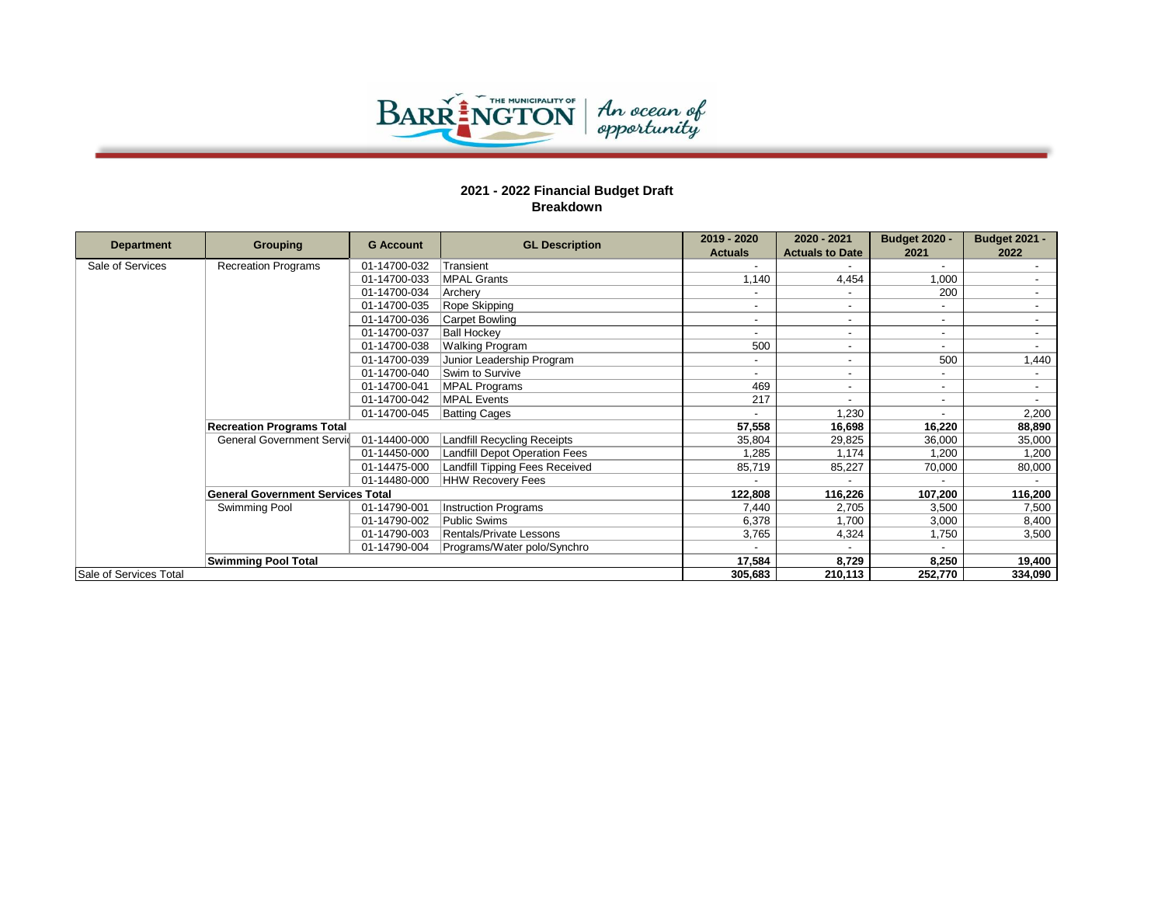

|                        |                                          | <b>G</b> Account |                                      | 2019 - 2020    | 2020 - 2021              | <b>Budget 2020 -</b>     | <b>Budget 2021 -</b>     |
|------------------------|------------------------------------------|------------------|--------------------------------------|----------------|--------------------------|--------------------------|--------------------------|
| <b>Department</b>      | <b>Grouping</b>                          |                  | <b>GL Description</b>                | <b>Actuals</b> | <b>Actuals to Date</b>   | 2021                     | 2022                     |
| Sale of Services       | <b>Recreation Programs</b>               | 01-14700-032     | Transient                            |                |                          |                          |                          |
|                        |                                          | 01-14700-033     | <b>MPAL Grants</b>                   | 1.140          | 4,454                    | 1,000                    |                          |
|                        |                                          | 01-14700-034     | Archery                              |                |                          | 200                      |                          |
|                        |                                          | 01-14700-035     | Rope Skipping                        |                |                          | $\overline{\phantom{a}}$ |                          |
|                        |                                          | 01-14700-036     | Carpet Bowling                       |                | $\overline{\phantom{0}}$ | $\overline{\phantom{a}}$ |                          |
|                        |                                          | 01-14700-037     | <b>Ball Hockey</b>                   |                | $\overline{\phantom{0}}$ | $\overline{\phantom{a}}$ |                          |
|                        |                                          | 01-14700-038     | <b>Walking Program</b>               | 500            | $\overline{\phantom{0}}$ | $\sim$                   |                          |
|                        |                                          | 01-14700-039     | Junior Leadership Program            | -              | $\overline{\phantom{0}}$ | 500                      | 1,440                    |
|                        |                                          | 01-14700-040     | Swim to Survive                      | -              | $\overline{\phantom{0}}$ | $\sim$                   |                          |
|                        |                                          | 01-14700-041     | MPAL Programs                        | 469            | $\overline{\phantom{0}}$ | $\sim$                   | $\overline{\phantom{a}}$ |
|                        |                                          | 01-14700-042     | MPAL Events                          | 217            |                          | $\overline{\phantom{a}}$ |                          |
|                        |                                          | 01-14700-045     | <b>Batting Cages</b>                 |                | 1,230                    |                          | 2,200                    |
|                        | <b>Recreation Programs Total</b>         |                  |                                      | 57,558         | 16,698                   | 16,220                   | 88,890                   |
|                        | <b>General Government Servid</b>         | 01-14400-000     | <b>Landfill Recycling Receipts</b>   | 35,804         | 29,825                   | 36,000                   | 35,000                   |
|                        |                                          | 01-14450-000     | <b>Landfill Depot Operation Fees</b> | 1,285          | 1,174                    | 1,200                    | 1,200                    |
|                        |                                          | 01-14475-000     | Landfill Tipping Fees Received       | 85,719         | 85,227                   | 70,000                   | 80,000                   |
|                        |                                          | 01-14480-000     | <b>HHW Recovery Fees</b>             |                |                          |                          |                          |
|                        | <b>General Government Services Total</b> |                  |                                      | 122,808        | 116,226                  | 107,200                  | 116,200                  |
|                        | Swimming Pool                            | 01-14790-001     | <b>Instruction Programs</b>          | 7.440          | 2,705                    | 3,500                    | 7,500                    |
|                        |                                          | 01-14790-002     | <b>Public Swims</b>                  | 6,378          | 1,700                    | 3,000                    | 8,400                    |
|                        |                                          | 01-14790-003     | Rentals/Private Lessons              | 3,765          | 4,324                    | 1,750                    | 3,500                    |
|                        |                                          | 01-14790-004     | Programs/Water polo/Synchro          |                |                          |                          |                          |
|                        | <b>Swimming Pool Total</b>               |                  |                                      | 17,584         | 8,729                    | 8,250                    | 19,400                   |
| Sale of Services Total |                                          |                  |                                      | 305.683        | 210.113                  | 252,770                  | 334,090                  |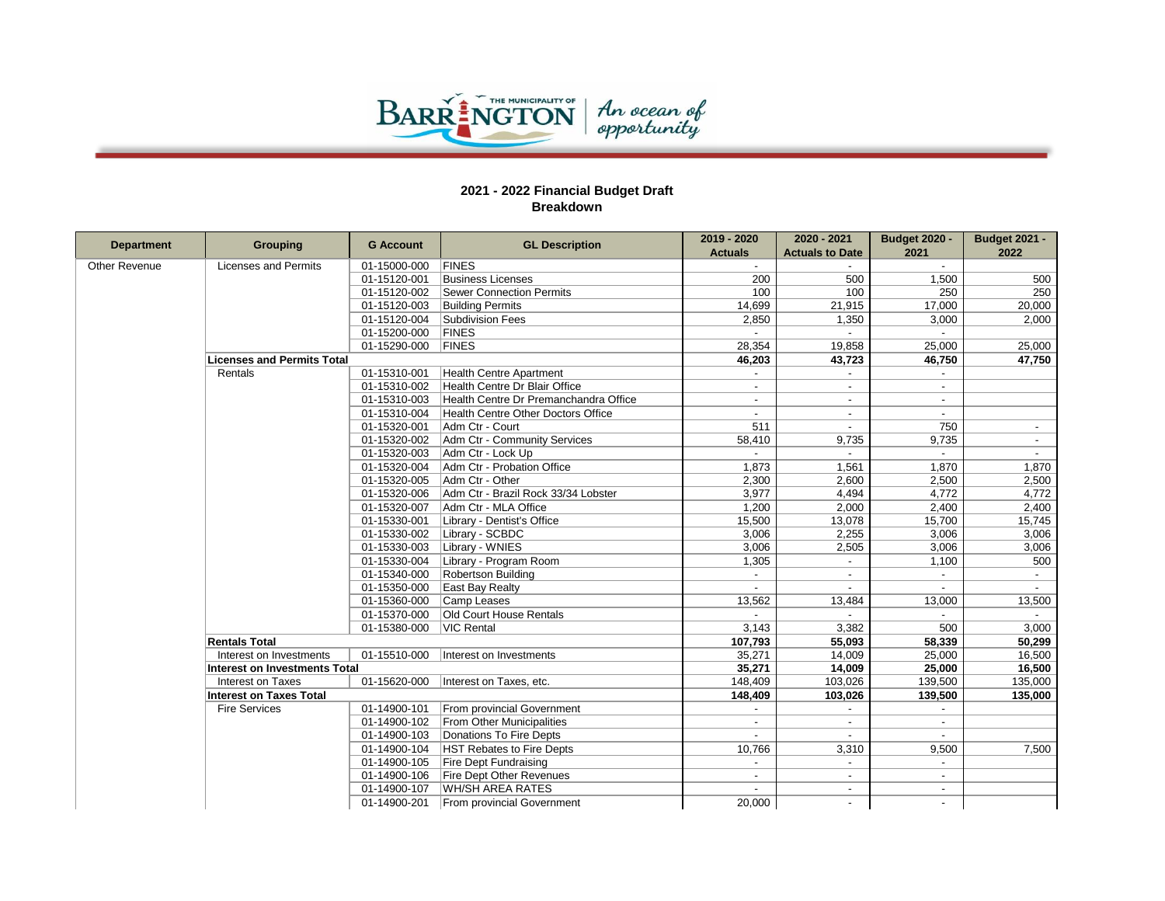

| <b>Department</b>    | <b>Grouping</b>                   | <b>G</b> Account | <b>GL Description</b>                 | 2019 - 2020              | 2020 - 2021              | <b>Budget 2020 -</b>     | <b>Budget 2021 -</b>     |
|----------------------|-----------------------------------|------------------|---------------------------------------|--------------------------|--------------------------|--------------------------|--------------------------|
|                      |                                   |                  |                                       | <b>Actuals</b>           | <b>Actuals to Date</b>   | 2021                     | 2022                     |
| <b>Other Revenue</b> | <b>Licenses and Permits</b>       | 01-15000-000     | <b>FINES</b>                          |                          |                          |                          |                          |
|                      |                                   | 01-15120-001     | <b>Business Licenses</b>              | 200                      | 500                      | 1.500                    | 500                      |
|                      |                                   | 01-15120-002     | <b>Sewer Connection Permits</b>       | 100                      | 100                      | 250                      | 250                      |
|                      |                                   | 01-15120-003     | <b>Building Permits</b>               | 14,699                   | 21,915                   | 17,000                   | 20,000                   |
|                      |                                   | 01-15120-004     | <b>Subdivision Fees</b>               | 2,850                    | 1,350                    | 3,000                    | 2,000                    |
|                      |                                   | 01-15200-000     | <b>FINES</b>                          |                          |                          |                          |                          |
|                      |                                   | 01-15290-000     | <b>FINES</b>                          | 28,354                   | 19,858                   | 25,000                   | 25,000                   |
|                      | <b>Licenses and Permits Total</b> |                  |                                       | 46,203                   | 43,723                   | 46,750                   | 47,750                   |
|                      | Rentals                           | 01-15310-001     | <b>Health Centre Apartment</b>        |                          |                          |                          |                          |
|                      |                                   | 01-15310-002     | Health Centre Dr Blair Office         |                          |                          |                          |                          |
|                      |                                   | 01-15310-003     | Health Centre Dr Premanchandra Office | $\overline{a}$           | $\overline{\phantom{a}}$ | $\overline{a}$           |                          |
|                      |                                   | 01-15310-004     | Health Centre Other Doctors Office    |                          |                          |                          |                          |
|                      |                                   | 01-15320-001     | Adm Ctr - Court                       | 511                      | $\overline{\phantom{a}}$ | 750                      | $\overline{\phantom{a}}$ |
|                      |                                   | 01-15320-002     | Adm Ctr - Community Services          | 58,410                   | 9,735                    | 9,735                    | $\blacksquare$           |
|                      |                                   | 01-15320-003     | Adm Ctr - Lock Up                     | $\blacksquare$           | $\sim$                   | $\sim$                   | $\sim$                   |
|                      |                                   | 01-15320-004     | Adm Ctr - Probation Office            | 1,873                    | 1,561                    | 1,870                    | 1,870                    |
|                      |                                   | 01-15320-005     | Adm Ctr - Other                       | 2,300                    | 2,600                    | 2,500                    | 2,500                    |
|                      |                                   | 01-15320-006     | Adm Ctr - Brazil Rock 33/34 Lobster   | 3,977                    | 4,494                    | 4,772                    | 4,772                    |
|                      |                                   | 01-15320-007     | Adm Ctr - MLA Office                  | 1,200                    | 2,000                    | 2,400                    | 2,400                    |
|                      |                                   | 01-15330-001     | Library - Dentist's Office            | 15,500                   | 13,078                   | 15,700                   | 15,745                   |
|                      |                                   | 01-15330-002     | Library - SCBDC                       | 3,006                    | 2,255                    | 3,006                    | 3,006                    |
|                      |                                   | 01-15330-003     | Library - WNIES                       | 3,006                    | 2,505                    | 3,006                    | 3,006                    |
|                      |                                   | 01-15330-004     | Library - Program Room                | 1,305                    | $\blacksquare$           | 1,100                    | 500                      |
|                      |                                   | 01-15340-000     | <b>Robertson Building</b>             |                          | $\overline{\phantom{a}}$ |                          | $\sim$                   |
|                      |                                   | 01-15350-000     | East Bay Realty                       |                          |                          |                          |                          |
|                      |                                   | 01-15360-000     | Camp Leases                           | 13,562                   | 13,484                   | 13,000                   | 13,500                   |
|                      |                                   | 01-15370-000     | Old Court House Rentals               |                          |                          |                          |                          |
|                      |                                   | 01-15380-000     | <b>VIC Rental</b>                     | 3,143                    | 3,382                    | 500                      | 3,000                    |
|                      | <b>Rentals Total</b>              |                  |                                       | 107,793                  | 55,093                   | 58,339                   | 50,299                   |
|                      | Interest on Investments           | 01-15510-000     | Interest on Investments               | 35,271                   | 14,009                   | 25,000                   | 16,500                   |
|                      | Interest on Investments Total     |                  |                                       | 35,271                   | 14,009                   | 25,000                   | 16,500                   |
|                      | Interest on Taxes                 | 01-15620-000     | Interest on Taxes, etc.               | 148,409                  | 103,026                  | 139,500                  | 135,000                  |
|                      | <b>Interest on Taxes Total</b>    |                  |                                       | 148,409                  | 103,026                  | 139,500                  | 135,000                  |
|                      | <b>Fire Services</b>              | 01-14900-101     | From provincial Government            |                          |                          |                          |                          |
|                      |                                   | 01-14900-102     | <b>From Other Municipalities</b>      | $\overline{a}$           | $\sim$                   | $\blacksquare$           |                          |
|                      |                                   | 01-14900-103     | Donations To Fire Depts               |                          |                          |                          |                          |
|                      |                                   | 01-14900-104     | <b>HST Rebates to Fire Depts</b>      | 10,766                   | 3,310                    | 9,500                    | 7,500                    |
|                      |                                   | 01-14900-105     | <b>Fire Dept Fundraising</b>          |                          | $\sim$                   | $\overline{\phantom{a}}$ |                          |
|                      |                                   | 01-14900-106     | Fire Dept Other Revenues              | $\overline{\phantom{a}}$ | $\overline{a}$           | $\overline{a}$           |                          |
|                      |                                   | 01-14900-107     | <b>WH/SH AREA RATES</b>               |                          |                          | $\overline{\phantom{a}}$ |                          |
|                      |                                   | 01-14900-201     | From provincial Government            | 20,000                   |                          | $\overline{\phantom{a}}$ |                          |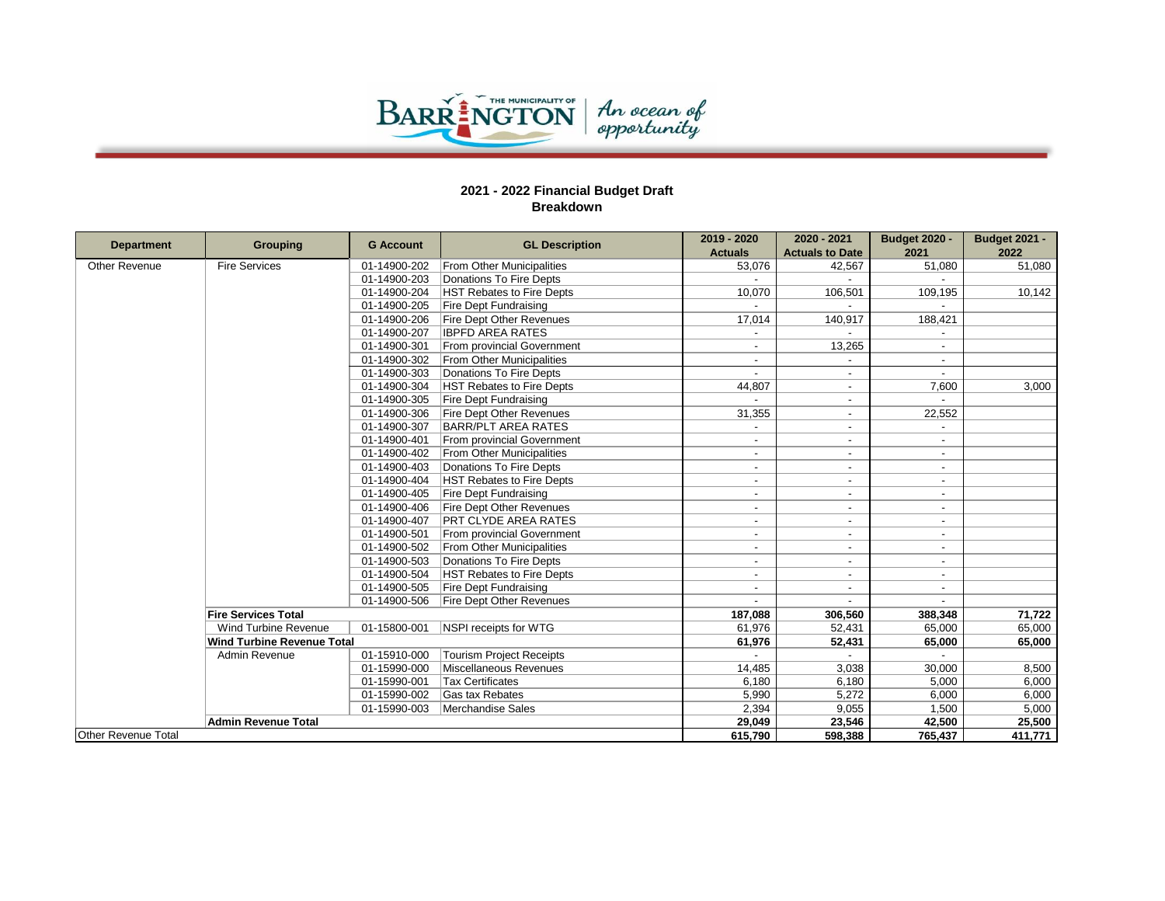

| <b>Department</b>          |                                   | <b>G</b> Account | <b>GL Description</b>            | 2019 - 2020              | 2020 - 2021              | <b>Budget 2020 -</b>     | <b>Budget 2021 -</b> |
|----------------------------|-----------------------------------|------------------|----------------------------------|--------------------------|--------------------------|--------------------------|----------------------|
|                            | Grouping                          |                  |                                  | <b>Actuals</b>           | <b>Actuals to Date</b>   | 2021                     | 2022                 |
| <b>Other Revenue</b>       | <b>Fire Services</b>              | 01-14900-202     | <b>From Other Municipalities</b> | 53,076                   | 42,567                   | 51,080                   | 51,080               |
|                            |                                   | 01-14900-203     | Donations To Fire Depts          |                          |                          |                          |                      |
|                            |                                   | 01-14900-204     | <b>HST Rebates to Fire Depts</b> | 10.070                   | 106.501                  | 109,195                  | 10,142               |
|                            |                                   | 01-14900-205     | <b>Fire Dept Fundraising</b>     |                          |                          |                          |                      |
|                            |                                   | 01-14900-206     | Fire Dept Other Revenues         | 17,014                   | 140,917                  | 188,421                  |                      |
|                            |                                   | 01-14900-207     | <b>IBPFD AREA RATES</b>          |                          |                          |                          |                      |
|                            |                                   | 01-14900-301     | From provincial Government       |                          | 13,265                   | $\overline{\phantom{a}}$ |                      |
|                            |                                   | 01-14900-302     | <b>From Other Municipalities</b> |                          |                          |                          |                      |
|                            |                                   | 01-14900-303     | Donations To Fire Depts          |                          | $\overline{a}$           |                          |                      |
|                            |                                   | 01-14900-304     | <b>HST Rebates to Fire Depts</b> | 44,807                   | $\overline{a}$           | 7,600                    | 3.000                |
|                            |                                   | 01-14900-305     | <b>Fire Dept Fundraising</b>     |                          | $\overline{\phantom{a}}$ | $\sim$                   |                      |
|                            |                                   | 01-14900-306     | <b>Fire Dept Other Revenues</b>  | 31,355                   | $\overline{\phantom{0}}$ | 22,552                   |                      |
|                            |                                   | 01-14900-307     | <b>BARR/PLT AREA RATES</b>       |                          | $\blacksquare$           | $\sim$                   |                      |
|                            |                                   | 01-14900-401     | From provincial Government       |                          | $\blacksquare$           | $\sim$                   |                      |
|                            |                                   | 01-14900-402     | <b>From Other Municipalities</b> |                          | $\overline{\phantom{a}}$ | $\sim$                   |                      |
|                            |                                   | 01-14900-403     | Donations To Fire Depts          | $\blacksquare$           | $\overline{\phantom{0}}$ | $\sim$                   |                      |
|                            |                                   | 01-14900-404     | <b>HST Rebates to Fire Depts</b> | $\blacksquare$           | $\blacksquare$           | $\sim$                   |                      |
|                            |                                   | 01-14900-405     | <b>Fire Dept Fundraising</b>     | $\overline{\phantom{a}}$ | $\blacksquare$           | $\sim$                   |                      |
|                            |                                   | 01-14900-406     | <b>Fire Dept Other Revenues</b>  | $\overline{\phantom{a}}$ | $\overline{\phantom{a}}$ | $\sim$                   |                      |
|                            |                                   | 01-14900-407     | <b>PRT CLYDE AREA RATES</b>      | $\overline{\phantom{a}}$ | $\overline{\phantom{a}}$ | $\sim$                   |                      |
|                            |                                   | 01-14900-501     | From provincial Government       | $\overline{\phantom{a}}$ | $\blacksquare$           | $\overline{\phantom{a}}$ |                      |
|                            |                                   | 01-14900-502     | <b>From Other Municipalities</b> | $\overline{\phantom{a}}$ | $\overline{\phantom{a}}$ | $\sim$                   |                      |
|                            |                                   | 01-14900-503     | Donations To Fire Depts          |                          | $\blacksquare$           | $\overline{\phantom{a}}$ |                      |
|                            |                                   | 01-14900-504     | <b>HST Rebates to Fire Depts</b> |                          | $\blacksquare$           | $\sim$                   |                      |
|                            |                                   | 01-14900-505     | <b>Fire Dept Fundraising</b>     |                          | $\blacksquare$           | $\sim$                   |                      |
|                            |                                   | 01-14900-506     | <b>Fire Dept Other Revenues</b>  |                          |                          | $\overline{\phantom{a}}$ |                      |
|                            | <b>Fire Services Total</b>        |                  |                                  | 187,088                  | 306,560                  | 388,348                  | 71,722               |
|                            | Wind Turbine Revenue              | 01-15800-001     | NSPI receipts for WTG            | 61,976                   | 52,431                   | 65,000                   | 65,000               |
|                            | <b>Wind Turbine Revenue Total</b> |                  |                                  | 61,976                   | 52,431                   | 65,000                   | 65,000               |
|                            | Admin Revenue                     | 01-15910-000     | <b>Tourism Project Receipts</b>  |                          |                          |                          |                      |
|                            |                                   | 01-15990-000     | Miscellaneous Revenues           | 14,485                   | 3,038                    | 30.000                   | 8,500                |
|                            |                                   | 01-15990-001     | <b>Tax Certificates</b>          | 6.180                    | 6,180                    | 5.000                    | 6.000                |
|                            |                                   | 01-15990-002     | Gas tax Rebates                  | 5.990                    | 5,272                    | 6.000                    | 6,000                |
|                            |                                   | 01-15990-003     | Merchandise Sales                | 2,394                    | 9,055                    | 1,500                    | 5,000                |
|                            | <b>Admin Revenue Total</b>        |                  |                                  | 29,049                   | 23,546                   | 42,500                   | 25,500               |
| <b>Other Revenue Total</b> |                                   |                  |                                  | 615,790                  | 598.388                  | 765,437                  | 411,771              |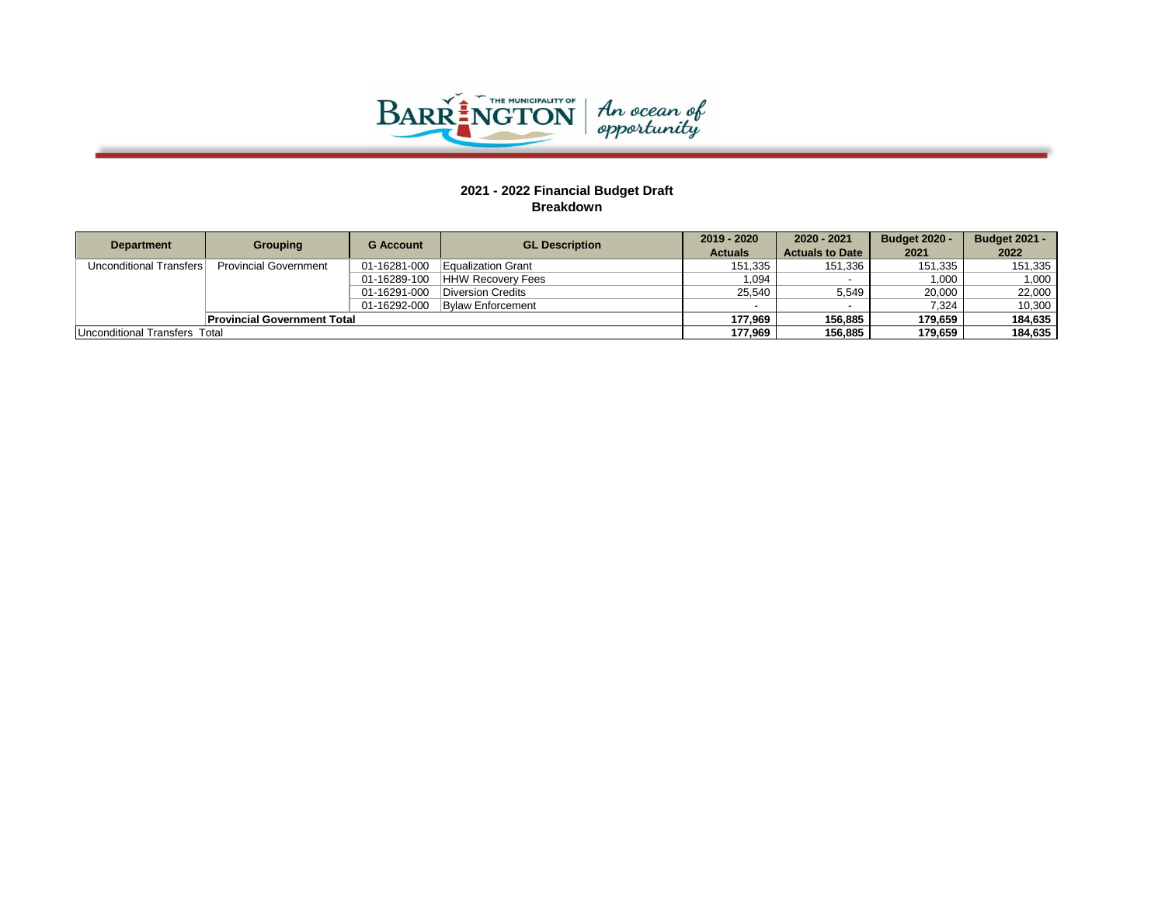

| <b>Department</b>             | <b>Grouping</b>                    | <b>G</b> Account | <b>GL Description</b>    | 2019 - 2020    | 2020 - 2021            | <b>Budget 2020 -</b> | <b>Budget 2021 -</b> |
|-------------------------------|------------------------------------|------------------|--------------------------|----------------|------------------------|----------------------|----------------------|
|                               |                                    |                  |                          | <b>Actuals</b> | <b>Actuals to Date</b> | 2021                 | 2022                 |
| Unconditional Transfers       | <b>Provincial Government</b>       | 01-16281-000     | Equalization Grant       | 151,335        | 151,336                | 151,335              | 151,335              |
|                               |                                    | 01-16289-100     | <b>HHW Recovery Fees</b> | 1.094          |                        | 1.000                | 1.000                |
|                               |                                    | 01-16291-000     | Diversion Credits        | 25.540         | 5,549                  | 20.000               | 22.000               |
|                               |                                    | 01-16292-000     | <b>Bylaw Enforcement</b> |                |                        | 7.324                | 10.300               |
|                               | <b>Provincial Government Total</b> |                  |                          | 177.969        | 156.885                | 179.659              | 184.635              |
| Unconditional Transfers Total |                                    |                  |                          | 177.969        | 156.885                | 179.659              | 184.635              |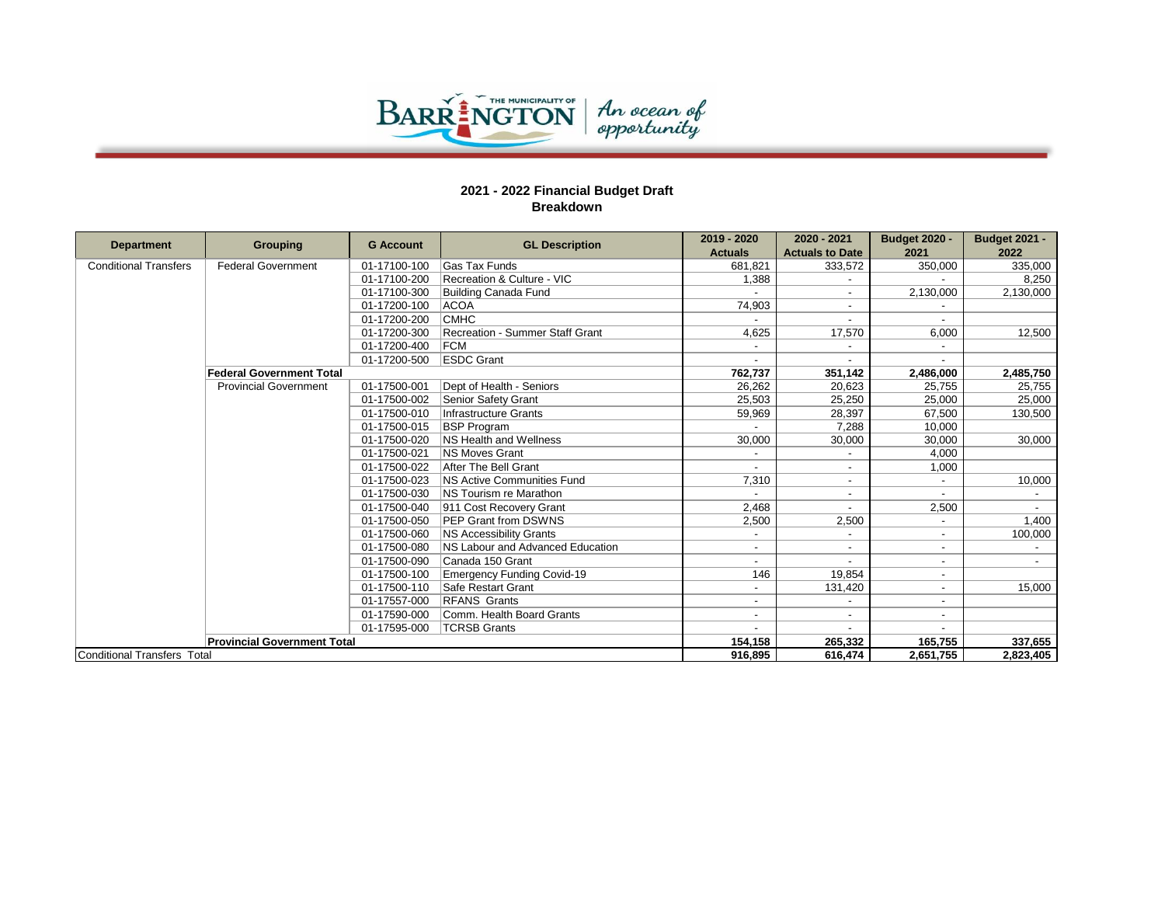

|                              |                                    | <b>G</b> Account | <b>GL Description</b>             | 2019 - 2020              | 2020 - 2021            | <b>Budget 2020 -</b>     | <b>Budget 2021 -</b> |
|------------------------------|------------------------------------|------------------|-----------------------------------|--------------------------|------------------------|--------------------------|----------------------|
| <b>Department</b>            | Grouping                           |                  |                                   | <b>Actuals</b>           | <b>Actuals to Date</b> | 2021                     | 2022                 |
| <b>Conditional Transfers</b> | <b>Federal Government</b>          | 01-17100-100     | <b>Gas Tax Funds</b>              | 681,821                  | 333,572                | 350,000                  | 335,000              |
|                              |                                    | 01-17100-200     | Recreation & Culture - VIC        | 1,388                    |                        |                          | 8,250                |
|                              |                                    | 01-17100-300     | <b>Building Canada Fund</b>       |                          |                        | 2,130,000                | 2,130,000            |
|                              |                                    | 01-17200-100     | <b>ACOA</b>                       | 74,903                   |                        |                          |                      |
|                              |                                    | 01-17200-200     | <b>CMHC</b>                       |                          |                        |                          |                      |
|                              |                                    | 01-17200-300     | Recreation - Summer Staff Grant   | 4.625                    | 17,570                 | 6,000                    | 12.500               |
|                              |                                    | 01-17200-400     | <b>FCM</b>                        |                          |                        |                          |                      |
|                              |                                    | 01-17200-500     | <b>ESDC Grant</b>                 |                          |                        |                          |                      |
|                              | <b>Federal Government Total</b>    |                  |                                   | 762,737                  | 351,142                | 2,486,000                | 2,485,750            |
|                              | <b>Provincial Government</b>       | 01-17500-001     | Dept of Health - Seniors          | 26,262                   | 20,623                 | 25,755                   | 25,755               |
|                              |                                    | 01-17500-002     | Senior Safety Grant               | 25.503                   | 25.250                 | 25.000                   | 25.000               |
|                              |                                    | 01-17500-010     | Infrastructure Grants             | 59,969                   | 28,397                 | 67,500                   | 130.500              |
|                              |                                    | 01-17500-015     | <b>BSP Program</b>                |                          | 7,288                  | 10,000                   |                      |
|                              |                                    | 01-17500-020     | NS Health and Wellness            | 30,000                   | 30,000                 | 30,000                   | 30,000               |
|                              |                                    | 01-17500-021     | <b>NS Moves Grant</b>             |                          |                        | 4.000                    |                      |
|                              |                                    | 01-17500-022     | After The Bell Grant              |                          |                        | 1,000                    |                      |
|                              |                                    | 01-17500-023     | <b>NS Active Communities Fund</b> | 7.310                    |                        |                          | 10,000               |
|                              |                                    | 01-17500-030     | NS Tourism re Marathon            |                          |                        |                          |                      |
|                              |                                    | 01-17500-040     | 911 Cost Recovery Grant           | 2,468                    |                        | 2,500                    |                      |
|                              |                                    | 01-17500-050     | PEP Grant from DSWNS              | 2,500                    | 2,500                  |                          | 1,400                |
|                              |                                    | 01-17500-060     | NS Accessibility Grants           |                          |                        | $\blacksquare$           | 100,000              |
|                              |                                    | 01-17500-080     | NS Labour and Advanced Education  |                          |                        | $\overline{\phantom{a}}$ |                      |
|                              |                                    | 01-17500-090     | Canada 150 Grant                  |                          |                        | $\overline{\phantom{a}}$ |                      |
|                              |                                    | 01-17500-100     | <b>Emergency Funding Covid-19</b> | 146                      | 19,854                 | $\overline{\phantom{a}}$ |                      |
|                              |                                    | 01-17500-110     | Safe Restart Grant                |                          | 131,420                | $\blacksquare$           | 15,000               |
|                              |                                    | 01-17557-000     | <b>RFANS Grants</b>               | $\overline{\phantom{a}}$ |                        | $\blacksquare$           |                      |
|                              |                                    | 01-17590-000     | Comm. Health Board Grants         |                          |                        | $\overline{\phantom{0}}$ |                      |
|                              |                                    | 01-17595-000     | <b>TCRSB Grants</b>               |                          |                        |                          |                      |
|                              | <b>Provincial Government Total</b> |                  |                                   | 154,158                  | 265,332                | 165,755                  | 337,655              |
| Conditional Transfers Total  |                                    |                  |                                   | 916.895                  | 616.474                | 2,651,755                | 2,823,405            |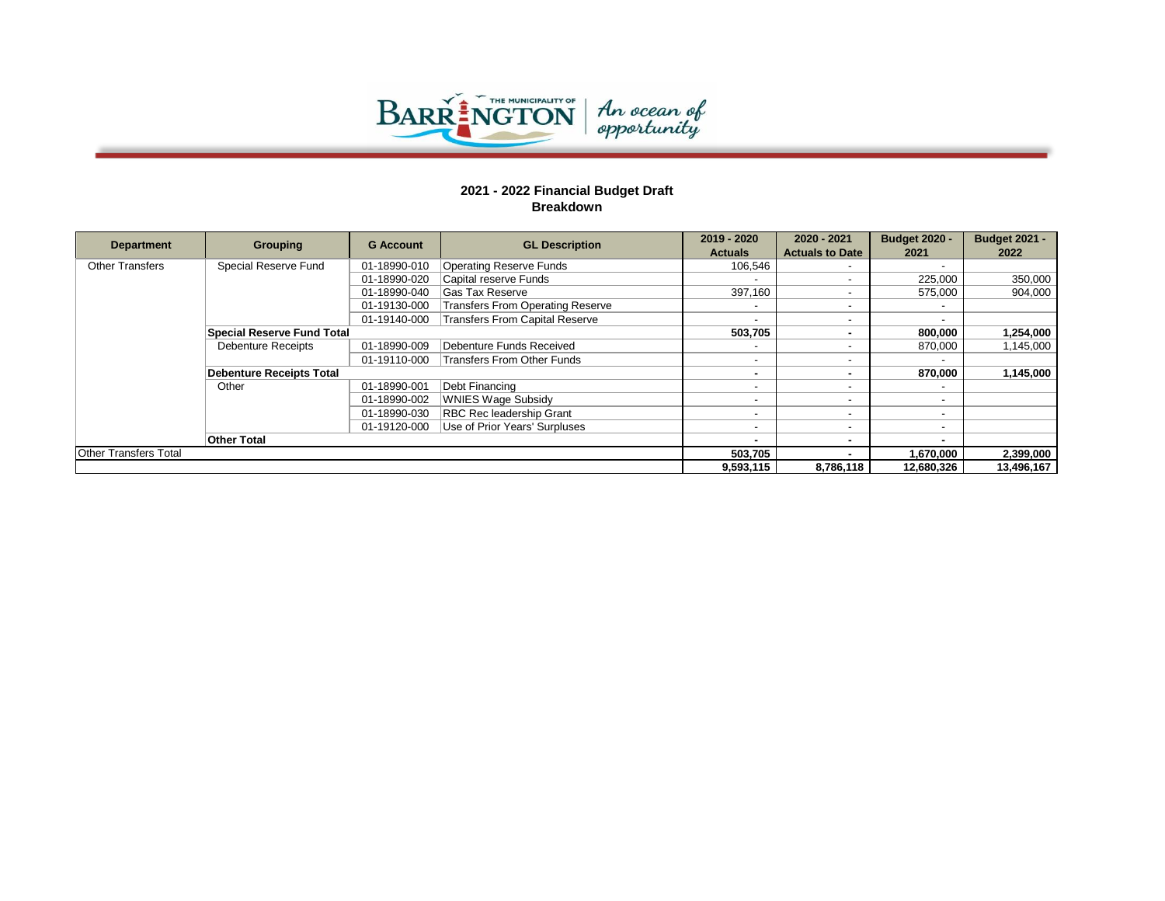

| <b>Department</b>            | <b>Grouping</b>                   | <b>G</b> Account | <b>GL Description</b>                 | 2019 - 2020              | 2020 - 2021              | <b>Budget 2020 -</b>     | <b>Budget 2021 -</b> |
|------------------------------|-----------------------------------|------------------|---------------------------------------|--------------------------|--------------------------|--------------------------|----------------------|
|                              |                                   |                  |                                       | <b>Actuals</b>           | <b>Actuals to Date</b>   | 2021                     | 2022                 |
| <b>Other Transfers</b>       | Special Reserve Fund              | 01-18990-010     | <b>Operating Reserve Funds</b>        | 106.546                  |                          |                          |                      |
|                              |                                   | 01-18990-020     | Capital reserve Funds                 |                          |                          | 225.000                  | 350,000              |
|                              |                                   | 01-18990-040     | Gas Tax Reserve                       | 397.160                  |                          | 575.000                  | 904,000              |
|                              |                                   | 01-19130-000     | Transfers From Operating Reserve      |                          |                          | $\overline{\phantom{a}}$ |                      |
|                              |                                   | 01-19140-000     | <b>Transfers From Capital Reserve</b> |                          |                          | $\overline{a}$           |                      |
|                              | <b>Special Reserve Fund Total</b> |                  |                                       | 503.705                  |                          | 800,000                  | 1,254,000            |
|                              | <b>Debenture Receipts</b>         | 01-18990-009     | Debenture Funds Received              |                          |                          | 870,000                  | 1,145,000            |
|                              |                                   | 01-19110-000     | Transfers From Other Funds            |                          |                          |                          |                      |
|                              | <b>Debenture Receipts Total</b>   |                  |                                       |                          |                          | 870.000                  | 1,145,000            |
|                              | Other                             | 01-18990-001     | Debt Financing                        |                          |                          | $\overline{\phantom{a}}$ |                      |
|                              |                                   | 01-18990-002     | <b>WNIES Wage Subsidy</b>             |                          |                          | $\overline{\phantom{a}}$ |                      |
|                              |                                   | 01-18990-030     | <b>RBC Rec leadership Grant</b>       | $\overline{\phantom{a}}$ | $\overline{\phantom{a}}$ | $\overline{a}$           |                      |
|                              |                                   | 01-19120-000     | Use of Prior Years' Surpluses         |                          |                          | $\overline{\phantom{a}}$ |                      |
|                              | <b>Other Total</b>                |                  |                                       |                          |                          | $\blacksquare$           |                      |
| <b>Other Transfers Total</b> |                                   |                  |                                       | 503,705                  |                          | 1,670,000                | 2,399,000            |
|                              |                                   |                  |                                       | 9,593,115                | 8,786,118                | 12,680,326               | 13,496,167           |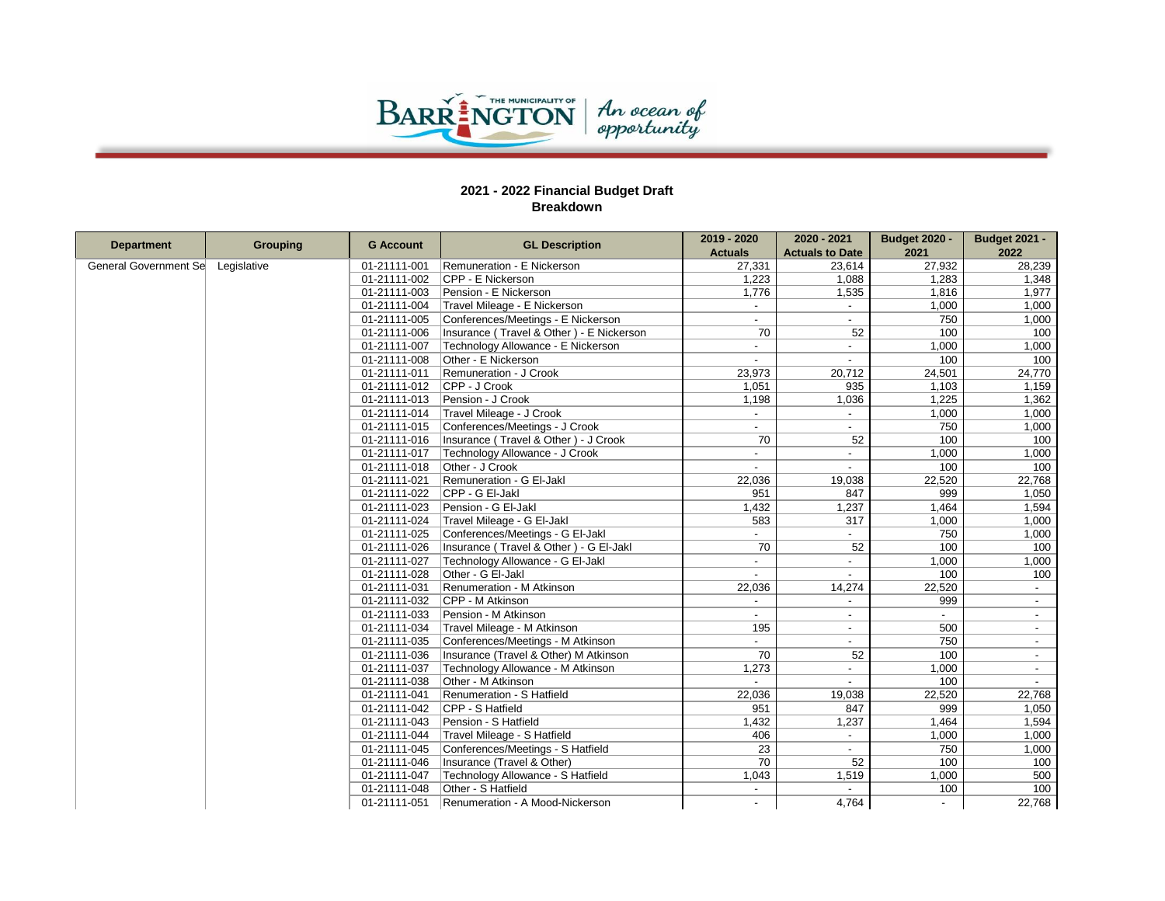

|                       |                 |                  |                                          | 2019 - 2020              | 2020 - 2021              | <b>Budget 2020 -</b>       | <b>Budget 2021 -</b>     |
|-----------------------|-----------------|------------------|------------------------------------------|--------------------------|--------------------------|----------------------------|--------------------------|
| <b>Department</b>     | <b>Grouping</b> | <b>G</b> Account | <b>GL Description</b>                    | <b>Actuals</b>           | <b>Actuals to Date</b>   | 2021                       | 2022                     |
| General Government Se | Legislative     | 01-21111-001     | Remuneration - E Nickerson               | 27,331                   | 23,614                   | 27,932                     | 28,239                   |
|                       |                 | 01-21111-002     | CPP - E Nickerson                        | 1,223                    | 1,088                    | 1,283                      | 1,348                    |
|                       |                 | 01-21111-003     | Pension - E Nickerson                    | 1,776                    | 1,535                    | 1,816                      | 1,977                    |
|                       |                 | 01-21111-004     | Travel Mileage - E Nickerson             |                          |                          | 1,000                      | 1,000                    |
|                       |                 | 01-21111-005     | Conferences/Meetings - E Nickerson       | $\overline{a}$           | $\overline{\phantom{0}}$ | 750                        | 1,000                    |
|                       |                 | 01-21111-006     | Insurance (Travel & Other) - E Nickerson | 70                       | 52                       | 100                        | 100                      |
|                       |                 | 01-21111-007     | Technology Allowance - E Nickerson       | $\overline{\phantom{a}}$ | $\overline{\phantom{a}}$ | 1,000                      | 1,000                    |
|                       |                 | 01-21111-008     | Other - E Nickerson                      |                          |                          | 100                        | 100                      |
|                       |                 | 01-21111-011     | Remuneration - J Crook                   | 23,973                   | 20,712                   | 24,501                     | 24,770                   |
|                       |                 | 01-21111-012     | CPP - J Crook                            | 1,051                    | 935                      | 1,103                      | 1,159                    |
|                       |                 | 01-21111-013     | Pension - J Crook                        | 1,198                    | 1,036                    | 1,225                      | 1,362                    |
|                       |                 | 01-21111-014     | Travel Mileage - J Crook                 |                          |                          | 1,000                      | 1,000                    |
|                       |                 | 01-21111-015     | Conferences/Meetings - J Crook           | $\overline{a}$           | $\overline{\phantom{0}}$ | 750                        | 1,000                    |
|                       |                 | 01-21111-016     | Insurance (Travel & Other) - J Crook     | 70                       | 52                       | 100                        | 100                      |
|                       |                 | 01-21111-017     | Technology Allowance - J Crook           | $\overline{a}$           |                          | 1,000                      | 1,000                    |
|                       |                 | 01-21111-018     | Other - J Crook                          | $\overline{a}$           |                          | 100                        | 100                      |
|                       |                 | 01-21111-021     | Remuneration - G EI-Jakl                 | 22,036                   | 19,038                   | 22,520                     | 22,768                   |
|                       |                 | 01-21111-022     | CPP - G EI-Jakl                          | 951                      | 847                      | 999                        | 1,050                    |
|                       |                 | 01-21111-023     | Pension - G EI-Jakl                      | 1,432                    | 1,237                    | 1.464                      | 1,594                    |
|                       |                 | 01-21111-024     | Travel Mileage - G EI-Jakl               | 583                      | 317                      | 1,000                      | 1,000                    |
|                       |                 | 01-21111-025     | Conferences/Meetings - G EI-Jakl         |                          |                          | 750                        | 1,000                    |
|                       |                 | 01-21111-026     | Insurance (Travel & Other) - G El-Jakl   | 70                       | 52                       | 100                        | 100                      |
|                       |                 | 01-21111-027     | Technology Allowance - G EI-Jakl         |                          |                          | 1,000                      | 1,000                    |
|                       |                 | 01-21111-028     | Other - G EI-Jakl                        | $\overline{a}$           | $\overline{\phantom{a}}$ | 100                        | 100                      |
|                       |                 | 01-21111-031     | Renumeration - M Atkinson                | 22,036                   | 14,274                   | 22,520                     | $\blacksquare$           |
|                       |                 | 01-21111-032     | CPP - M Atkinson                         | $\overline{a}$           | $\overline{\phantom{0}}$ | 999                        | $\blacksquare$           |
|                       |                 | 01-21111-033     | Pension - M Atkinson                     |                          |                          | $\mathcal{L}^{\text{max}}$ | $\blacksquare$           |
|                       |                 | 01-21111-034     | Travel Mileage - M Atkinson              | 195                      | $\blacksquare$           | 500                        | $\sim$                   |
|                       |                 | 01-21111-035     | Conferences/Meetings - M Atkinson        | $\overline{\phantom{0}}$ | $\blacksquare$           | 750                        | $\blacksquare$           |
|                       |                 | 01-21111-036     | Insurance (Travel & Other) M Atkinson    | 70                       | 52                       | 100                        |                          |
|                       |                 | 01-21111-037     | Technology Allowance - M Atkinson        | 1,273                    |                          | 1,000                      | $\blacksquare$           |
|                       |                 | 01-21111-038     | Other - M Atkinson                       | $\overline{\phantom{a}}$ |                          | 100                        | $\overline{\phantom{a}}$ |
|                       |                 | 01-21111-041     | Renumeration - S Hatfield                | 22,036                   | 19,038                   | 22,520                     | 22,768                   |
|                       |                 | 01-21111-042     | CPP - S Hatfield                         | 951                      | 847                      | 999                        | 1,050                    |
|                       |                 | 01-21111-043     | Pension - S Hatfield                     | 1,432                    | 1,237                    | 1,464                      | 1,594                    |
|                       |                 | 01-21111-044     | Travel Mileage - S Hatfield              | 406                      | $\blacksquare$           | 1,000                      | 1,000                    |
|                       |                 | 01-21111-045     | Conferences/Meetings - S Hatfield        | $\overline{23}$          | $\overline{\phantom{a}}$ | 750                        | 1,000                    |
|                       |                 | 01-21111-046     | Insurance (Travel & Other)               | $\overline{70}$          | 52                       | 100                        | 100                      |
|                       |                 | 01-21111-047     | Technology Allowance - S Hatfield        | 1,043                    | 1,519                    | 1,000                      | 500                      |
|                       |                 | 01-21111-048     | Other - S Hatfield                       |                          |                          | 100                        | 100                      |
|                       |                 | 01-21111-051     | Renumeration - A Mood-Nickerson          |                          | 4.764                    |                            | 22,768                   |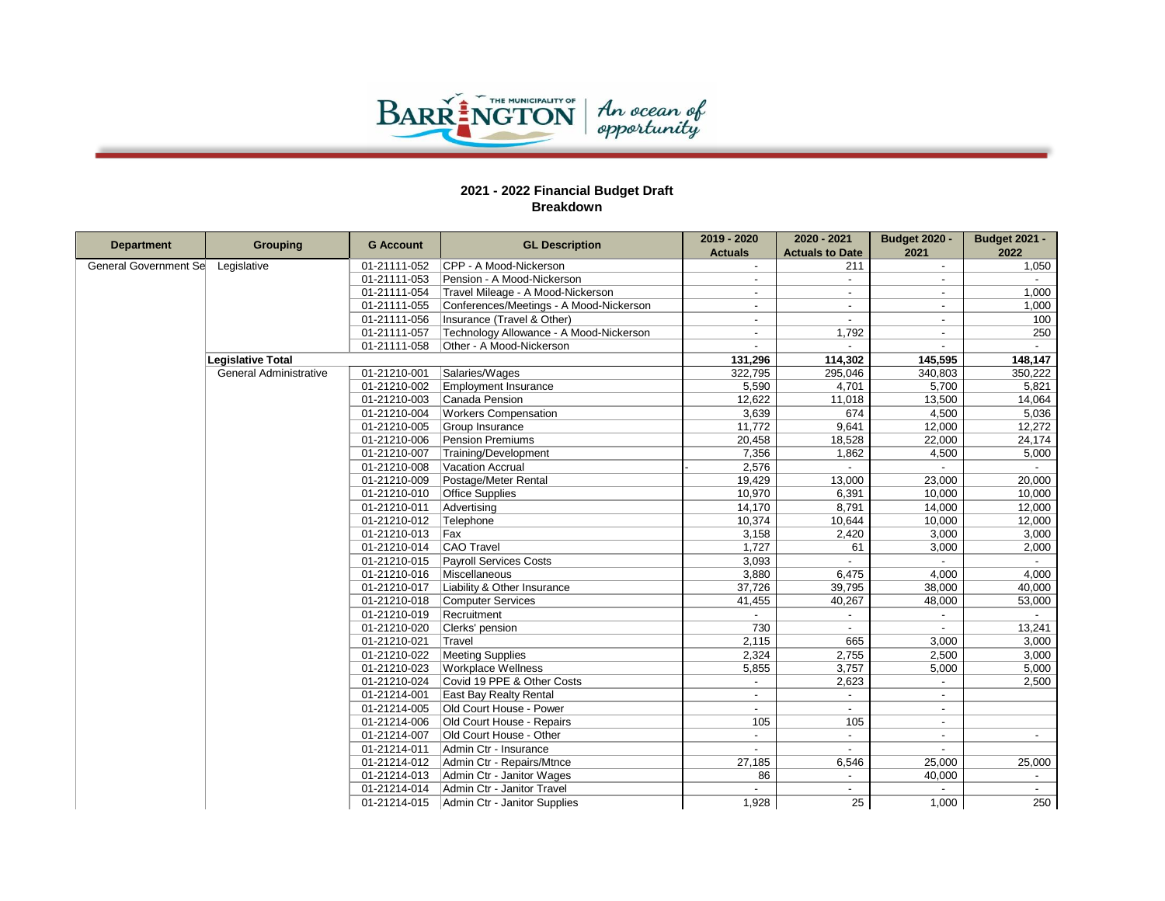

| <b>Department</b>     |                               |                  |                                         | 2019 - 2020              | 2020 - 2021            | <b>Budget 2020 -</b>     | <b>Budget 2021 -</b>     |
|-----------------------|-------------------------------|------------------|-----------------------------------------|--------------------------|------------------------|--------------------------|--------------------------|
|                       | <b>Grouping</b>               | <b>G</b> Account | <b>GL Description</b>                   | <b>Actuals</b>           | <b>Actuals to Date</b> | 2021                     | 2022                     |
| General Government Se | Legislative                   | 01-21111-052     | CPP - A Mood-Nickerson                  |                          | 211                    | $\sim$                   | 1,050                    |
|                       |                               | 01-21111-053     | Pension - A Mood-Nickerson              | $\overline{\phantom{a}}$ | $\sim$                 | $\sim$                   |                          |
|                       |                               | 01-21111-054     | Travel Mileage - A Mood-Nickerson       |                          |                        |                          | 1,000                    |
|                       |                               | 01-21111-055     | Conferences/Meetings - A Mood-Nickerson | $\blacksquare$           | $\blacksquare$         | $\sim$                   | 1,000                    |
|                       |                               | 01-21111-056     | Insurance (Travel & Other)              | $\overline{\phantom{a}}$ |                        |                          | 100                      |
|                       |                               | 01-21111-057     | Technology Allowance - A Mood-Nickerson | $\blacksquare$           | 1,792                  | $\sim$                   | 250                      |
|                       |                               | 01-21111-058     | Other - A Mood-Nickerson                |                          |                        |                          |                          |
|                       | <b>Legislative Total</b>      |                  |                                         | 131,296                  | 114,302                | 145,595                  | 148,147                  |
|                       | <b>General Administrative</b> | 01-21210-001     | Salaries/Wages                          | 322,795                  | 295,046                | 340,803                  | 350,222                  |
|                       |                               | 01-21210-002     | <b>Employment Insurance</b>             | 5,590                    | 4,701                  | 5,700                    | 5,821                    |
|                       |                               | 01-21210-003     | Canada Pension                          | 12,622                   | 11,018                 | 13,500                   | 14,064                   |
|                       |                               | 01-21210-004     | <b>Workers Compensation</b>             | 3,639                    | 674                    | 4,500                    | 5,036                    |
|                       |                               | 01-21210-005     | Group Insurance                         | 11,772                   | 9,641                  | 12,000                   | 12,272                   |
|                       |                               | 01-21210-006     | Pension Premiums                        | 20,458                   | 18,528                 | 22,000                   | 24,174                   |
|                       |                               | 01-21210-007     | Training/Development                    | 7,356                    | 1,862                  | 4,500                    | 5,000                    |
|                       |                               | 01-21210-008     | Vacation Accrual                        | 2,576                    | $\blacksquare$         |                          | $\overline{\phantom{a}}$ |
|                       |                               | 01-21210-009     | Postage/Meter Rental                    | 19,429                   | 13,000                 | 23,000                   | 20,000                   |
|                       |                               | 01-21210-010     | <b>Office Supplies</b>                  | 10,970                   | 6,391                  | 10,000                   | 10,000                   |
|                       |                               | 01-21210-011     | Advertising                             | 14,170                   | 8,791                  | 14,000                   | 12,000                   |
|                       |                               | 01-21210-012     | Telephone                               | 10,374                   | 10,644                 | 10,000                   | 12,000                   |
|                       |                               | 01-21210-013     | Fax                                     | 3,158                    | 2,420                  | 3,000                    | 3,000                    |
|                       |                               | 01-21210-014     | CAO Travel                              | 1.727                    | 61                     | 3,000                    | 2,000                    |
|                       |                               | 01-21210-015     | <b>Payroll Services Costs</b>           | 3,093                    | $\overline{a}$         |                          | $\sim$                   |
|                       |                               | 01-21210-016     | Miscellaneous                           | 3,880                    | 6,475                  | 4,000                    | 4,000                    |
|                       |                               | 01-21210-017     | Liability & Other Insurance             | 37,726                   | 39,795                 | 38,000                   | 40,000                   |
|                       |                               | 01-21210-018     | Computer Services                       | 41,455                   | 40,267                 | 48,000                   | 53,000                   |
|                       |                               | 01-21210-019     | Recruitment                             | $\sim$                   | $\sim$                 | $\sim$                   | $\sim$                   |
|                       |                               | 01-21210-020     | Clerks' pension                         | 730                      |                        |                          | 13,241                   |
|                       |                               | 01-21210-021     | Travel                                  | 2,115                    | 665                    | 3,000                    | 3,000                    |
|                       |                               | 01-21210-022     | <b>Meeting Supplies</b>                 | 2,324                    | 2,755                  | 2,500                    | 3,000                    |
|                       |                               | 01-21210-023     | <b>Workplace Wellness</b>               | 5,855                    | 3,757                  | 5,000                    | 5,000                    |
|                       |                               | 01-21210-024     | Covid 19 PPE & Other Costs              |                          | 2,623                  |                          | 2,500                    |
|                       |                               | 01-21214-001     | <b>East Bay Realty Rental</b>           |                          |                        |                          |                          |
|                       |                               | 01-21214-005     | Old Court House - Power                 | $\overline{a}$           | $\sim$                 | $\sim$                   |                          |
|                       |                               | 01-21214-006     | Old Court House - Repairs               | 105                      | 105                    | $\sim$                   |                          |
|                       |                               | 01-21214-007     | Old Court House - Other                 | $\overline{\phantom{a}}$ | $\sim$                 | $\overline{\phantom{a}}$ | $\overline{\phantom{a}}$ |
|                       |                               | 01-21214-011     | Admin Ctr - Insurance                   |                          |                        |                          |                          |
|                       |                               | 01-21214-012     | Admin Ctr - Repairs/Mtnce               | 27,185                   | 6,546                  | 25,000                   | 25,000                   |
|                       |                               | 01-21214-013     | Admin Ctr - Janitor Wages               | 86                       |                        | 40,000                   |                          |
|                       |                               | 01-21214-014     | Admin Ctr - Janitor Travel              | $\blacksquare$           | $\blacksquare$         | $\sim$                   | $\overline{\phantom{a}}$ |
|                       |                               | 01-21214-015     | Admin Ctr - Janitor Supplies            | 1,928                    | 25                     | 1,000                    | 250                      |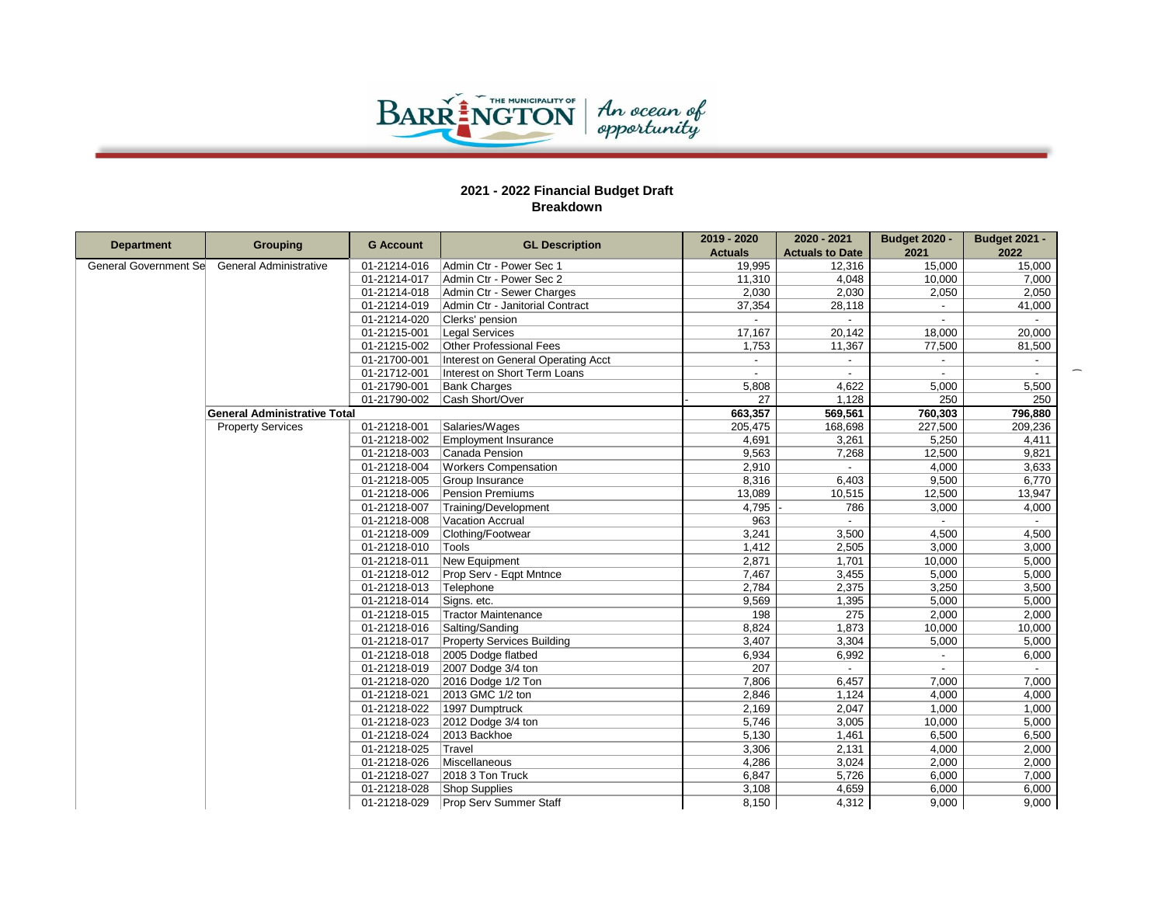

|                          |                                     | <b>G Account</b> | <b>GL Description</b>              | 2019 - 2020    | 2020 - 2021              | <b>Budget 2020 -</b>     | <b>Budget 2021 -</b> |
|--------------------------|-------------------------------------|------------------|------------------------------------|----------------|--------------------------|--------------------------|----------------------|
| <b>Department</b>        | <b>Grouping</b>                     |                  |                                    | <b>Actuals</b> | <b>Actuals to Date</b>   | 2021                     | 2022                 |
| General Government Se    | General Administrative              | 01-21214-016     | Admin Ctr - Power Sec 1            | 19,995         | 12,316                   | 15,000                   | 15,000               |
|                          |                                     | 01-21214-017     | Admin Ctr - Power Sec 2            | 11,310         | 4,048                    | 10,000                   | 7,000                |
|                          |                                     | 01-21214-018     | Admin Ctr - Sewer Charges          | 2,030          | 2,030                    | 2,050                    | 2,050                |
|                          |                                     | 01-21214-019     | Admin Ctr - Janitorial Contract    | 37,354         | 28,118                   | $\sim$                   | 41,000               |
|                          |                                     | 01-21214-020     | Clerks' pension                    |                |                          |                          |                      |
|                          |                                     | 01-21215-001     | Legal Services                     | 17,167         | 20,142                   | 18,000                   | 20,000               |
|                          |                                     | 01-21215-002     | Other Professional Fees            | 1,753          | 11,367                   | 77,500                   | 81,500               |
|                          |                                     | 01-21700-001     | Interest on General Operating Acct | $\sim$         | $\overline{\phantom{a}}$ | $\sim$                   | $\sim$               |
|                          |                                     | 01-21712-001     | Interest on Short Term Loans       |                |                          |                          |                      |
| <b>Property Services</b> |                                     | 01-21790-001     | <b>Bank Charges</b>                | 5,808          | 4,622                    | 5,000                    | 5,500                |
|                          |                                     | 01-21790-002     | Cash Short/Over                    | 27             | 1,128                    | 250                      | 250                  |
|                          | <b>General Administrative Total</b> |                  |                                    | 663,357        | 569,561                  | 760,303                  | 796,880              |
|                          |                                     | 01-21218-001     | Salaries/Wages                     | 205,475        | 168,698                  | 227,500                  | 209,236              |
|                          |                                     | 01-21218-002     | <b>Employment Insurance</b>        | 4,691          | 3,261                    | 5,250                    | 4,411                |
|                          |                                     | 01-21218-003     | Canada Pension                     | 9,563          | 7,268                    | 12,500                   | 9,821                |
|                          |                                     | 01-21218-004     | <b>Workers Compensation</b>        | 2,910          | $\blacksquare$           | 4,000                    | 3,633                |
|                          |                                     | 01-21218-005     | Group Insurance                    | 8,316          | 6,403                    | 9,500                    | 6,770                |
|                          |                                     | 01-21218-006     | Pension Premiums                   | 13,089         | 10,515                   | 12,500                   | 13,947               |
|                          |                                     | 01-21218-007     | Training/Development               | 4,795          | 786                      | 3,000                    | 4,000                |
|                          |                                     | 01-21218-008     | Vacation Accrual                   | 963            | $\blacksquare$           |                          | $\sim$               |
|                          |                                     | 01-21218-009     | Clothing/Footwear                  | 3,241          | 3,500                    | 4,500                    | 4,500                |
|                          |                                     | 01-21218-010     | Tools                              | 1,412          | 2,505                    | 3.000                    | 3,000                |
|                          |                                     | 01-21218-011     | New Equipment                      | 2,871          | 1,701                    | 10,000                   | 5,000                |
|                          |                                     | 01-21218-012     | Prop Serv - Eqpt Mntnce            | 7,467          | 3,455                    | 5,000                    | 5,000                |
|                          |                                     | 01-21218-013     | Telephone                          | 2,784          | 2,375                    | 3,250                    | 3,500                |
|                          |                                     | 01-21218-014     | Signs. etc.                        | 9,569          | 1,395                    | 5,000                    | 5,000                |
|                          |                                     | 01-21218-015     | Tractor Maintenance                | 198            | 275                      | 2,000                    | 2,000                |
|                          |                                     | 01-21218-016     | Salting/Sanding                    | 8,824          | 1,873                    | 10,000                   | 10,000               |
|                          |                                     | 01-21218-017     | <b>Property Services Building</b>  | 3,407          | 3,304                    | 5,000                    | 5,000                |
|                          |                                     | 01-21218-018     | 2005 Dodge flatbed                 | 6,934          | 6,992                    |                          | 6,000                |
|                          |                                     | 01-21218-019     | $2007$ Dodge 3/4 ton               | 207            | $\sim$                   | $\overline{\phantom{a}}$ | $\sim$               |
|                          |                                     | 01-21218-020     | $2016$ Dodge $1/2$ Ton             | 7,806          | 6,457                    | 7,000                    | 7,000                |
|                          |                                     | 01-21218-021     | 2013 GMC 1/2 ton                   | 2,846          | 1,124                    | 4,000                    | 4,000                |
|                          |                                     | 01-21218-022     | 1997 Dumptruck                     | 2,169          | 2,047                    | 1,000                    | 1,000                |
|                          |                                     | 01-21218-023     | $2012$ Dodge 3/4 ton               | 5,746          | 3,005                    | 10,000                   | 5,000                |
|                          |                                     | 01-21218-024     | 2013 Backhoe                       | 5,130          | 1,461                    | 6,500                    | 6,500                |
|                          |                                     | 01-21218-025     | Travel                             | 3,306          | 2,131                    | 4,000                    | 2,000                |
|                          |                                     | 01-21218-026     | Miscellaneous                      | 4,286          | 3,024                    | 2,000                    | 2,000                |
|                          |                                     | 01-21218-027     | 2018 3 Ton Truck                   | 6,847          | 5,726                    | 6,000                    | 7,000                |
|                          |                                     | 01-21218-028     | Shop Supplies                      | 3,108          | 4,659                    | 6,000                    | 6,000                |
|                          |                                     | 01-21218-029     | <b>Prop Serv Summer Staff</b>      | 8.150          | 4.312                    | 9.000                    | 9.000                |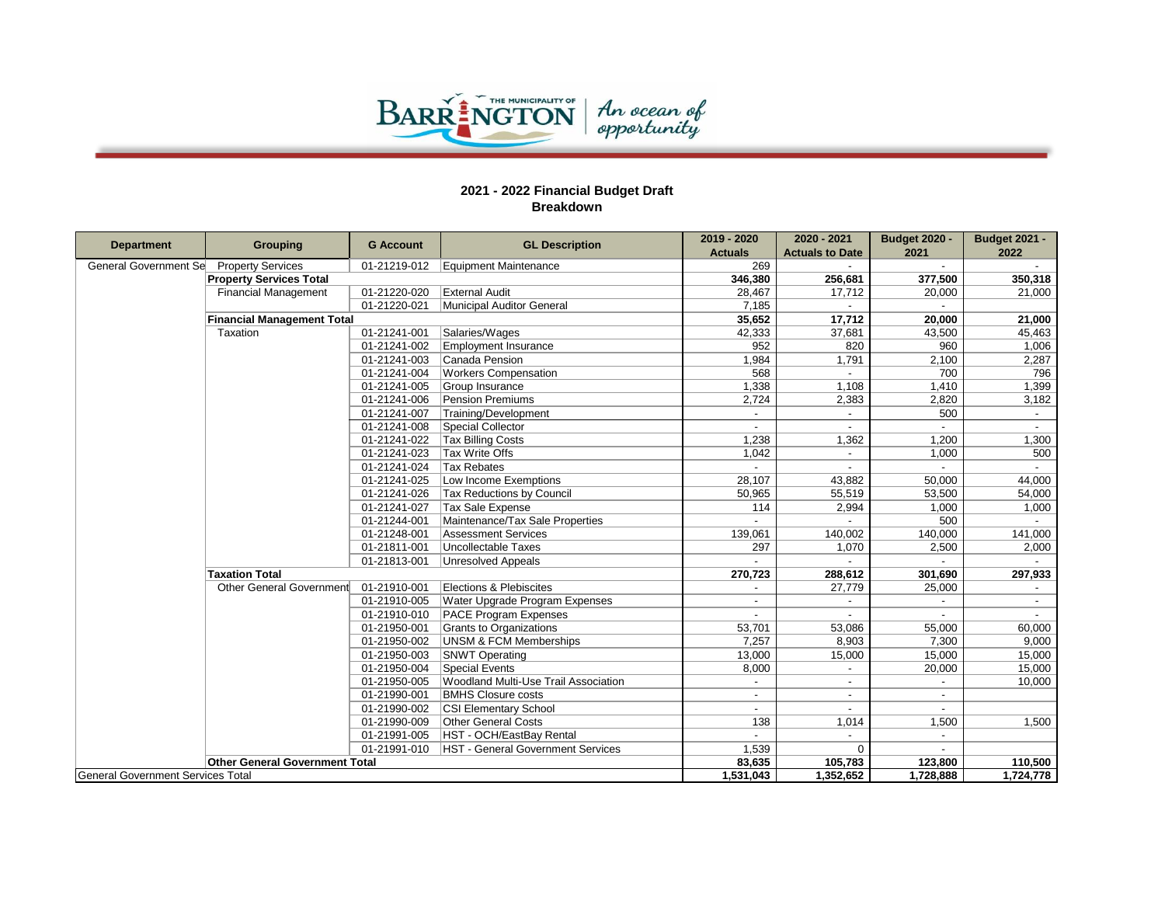

| <b>Department</b>                 | <b>Grouping</b>                       | <b>G</b> Account | <b>GL Description</b>                       | 2019 - 2020    | 2020 - 2021              | <b>Budget 2020 -</b>     | <b>Budget 2021 -</b> |
|-----------------------------------|---------------------------------------|------------------|---------------------------------------------|----------------|--------------------------|--------------------------|----------------------|
|                                   |                                       |                  |                                             | <b>Actuals</b> | <b>Actuals to Date</b>   | 2021                     | 2022                 |
| General Government Se             | <b>Property Services</b>              | 01-21219-012     | Equipment Maintenance                       | 269            | $\overline{\phantom{a}}$ | $\sim$                   | $\sim$               |
|                                   | <b>Property Services Total</b>        |                  |                                             | 346,380        | 256,681                  | 377,500                  | 350,318              |
|                                   | <b>Financial Management</b>           | 01-21220-020     | <b>External Audit</b>                       | 28,467         | 17,712                   | 20,000                   | 21,000               |
|                                   |                                       | 01-21220-021     | Municipal Auditor General                   | 7,185          | $\sim$                   | $\sim$                   |                      |
| <b>Financial Management Total</b> |                                       |                  |                                             | 35,652         | 17,712                   | 20,000                   | 21,000               |
|                                   | Taxation                              | 01-21241-001     | Salaries/Wages                              | 42,333         | 37,681                   | 43,500                   | 45,463               |
|                                   |                                       | 01-21241-002     | <b>Employment Insurance</b>                 | 952            | 820                      | 960                      | 1,006                |
|                                   |                                       | 01-21241-003     | Canada Pension                              | 1,984          | 1,791                    | 2,100                    | 2,287                |
|                                   |                                       | 01-21241-004     | <b>Workers Compensation</b>                 | 568            | $\overline{a}$           | 700                      | 796                  |
|                                   |                                       | 01-21241-005     | Group Insurance                             | 1,338          | 1,108                    | 1,410                    | 1,399                |
|                                   |                                       | 01-21241-006     | <b>Pension Premiums</b>                     | 2.724          | 2,383                    | 2,820                    | 3,182                |
|                                   |                                       | 01-21241-007     | Training/Development                        |                | $\sim$                   | 500                      | $\sim$               |
|                                   |                                       | 01-21241-008     | Special Collector                           |                | $\sim$                   | $\sim$                   | $\sim$               |
|                                   |                                       | 01-21241-022     | <b>Tax Billing Costs</b>                    | 1,238          | 1,362                    | 1,200                    | 1,300                |
|                                   |                                       | 01-21241-023     | Tax Write Offs                              | 1,042          | $\overline{\phantom{a}}$ | 1,000                    | 500                  |
|                                   |                                       | 01-21241-024     | <b>Tax Rebates</b>                          |                | $\sim$                   | $\sim$                   |                      |
|                                   |                                       | 01-21241-025     | Low Income Exemptions                       | 28,107         | 43,882                   | 50,000                   | 44,000               |
|                                   |                                       | 01-21241-026     | Tax Reductions by Council                   | 50,965         | 55,519                   | 53,500                   | 54,000               |
|                                   |                                       | 01-21241-027     | <b>Tax Sale Expense</b>                     | 114            | 2,994                    | 1,000                    | 1,000                |
|                                   |                                       | 01-21244-001     | Maintenance/Tax Sale Properties             |                |                          | 500                      |                      |
|                                   |                                       | 01-21248-001     | <b>Assessment Services</b>                  | 139,061        | 140,002                  | 140,000                  | 141,000              |
|                                   |                                       | 01-21811-001     | Uncollectable Taxes                         | 297            | 1.070                    | 2,500                    | 2,000                |
|                                   |                                       | 01-21813-001     | Unresolved Appeals                          |                |                          |                          |                      |
|                                   | <b>Taxation Total</b>                 |                  |                                             | 270,723        | 288,612                  | 301,690                  | 297,933              |
|                                   | Other General Government              | 01-21910-001     | Elections & Plebiscites                     |                | 27,779                   | 25,000                   |                      |
|                                   |                                       | 01-21910-005     | Water Upgrade Program Expenses              |                | $\overline{\phantom{0}}$ |                          |                      |
|                                   |                                       | 01-21910-010     | <b>PACE Program Expenses</b>                |                | $\overline{\phantom{0}}$ | $\overline{\phantom{a}}$ |                      |
|                                   |                                       | 01-21950-001     | <b>Grants to Organizations</b>              | 53,701         | 53,086                   | 55,000                   | 60,000               |
|                                   |                                       | 01-21950-002     | <b>UNSM &amp; FCM Memberships</b>           | 7,257          | 8,903                    | 7,300                    | 9,000                |
|                                   |                                       | 01-21950-003     | <b>SNWT Operating</b>                       | 13,000         | 15,000                   | 15,000                   | 15,000               |
|                                   |                                       | 01-21950-004     | Special Events                              | 8,000          | $\blacksquare$           | 20,000                   | 15,000               |
|                                   |                                       | 01-21950-005     | <b>Woodland Multi-Use Trail Association</b> |                | $\blacksquare$           |                          | 10,000               |
|                                   |                                       | 01-21990-001     | <b>BMHS Closure costs</b>                   |                | $\overline{a}$           |                          |                      |
|                                   |                                       | 01-21990-002     | CSI Elementary School                       |                |                          |                          |                      |
|                                   |                                       | 01-21990-009     | Other General Costs                         | 138            | 1,014                    | 1,500                    | 1,500                |
|                                   |                                       | 01-21991-005     | HST - OCH/EastBay Rental                    |                | $\overline{a}$           | $\overline{\phantom{a}}$ |                      |
|                                   |                                       | 01-21991-010     | <b>HST - General Government Services</b>    | 1,539          | $\Omega$                 |                          |                      |
|                                   | <b>Other General Government Total</b> |                  |                                             | 83,635         | 105,783                  | 123,800                  | 110,500              |
| General Government Services Total |                                       |                  |                                             | 1,531,043      | 1,352,652                | 1,728,888                | 1,724,778            |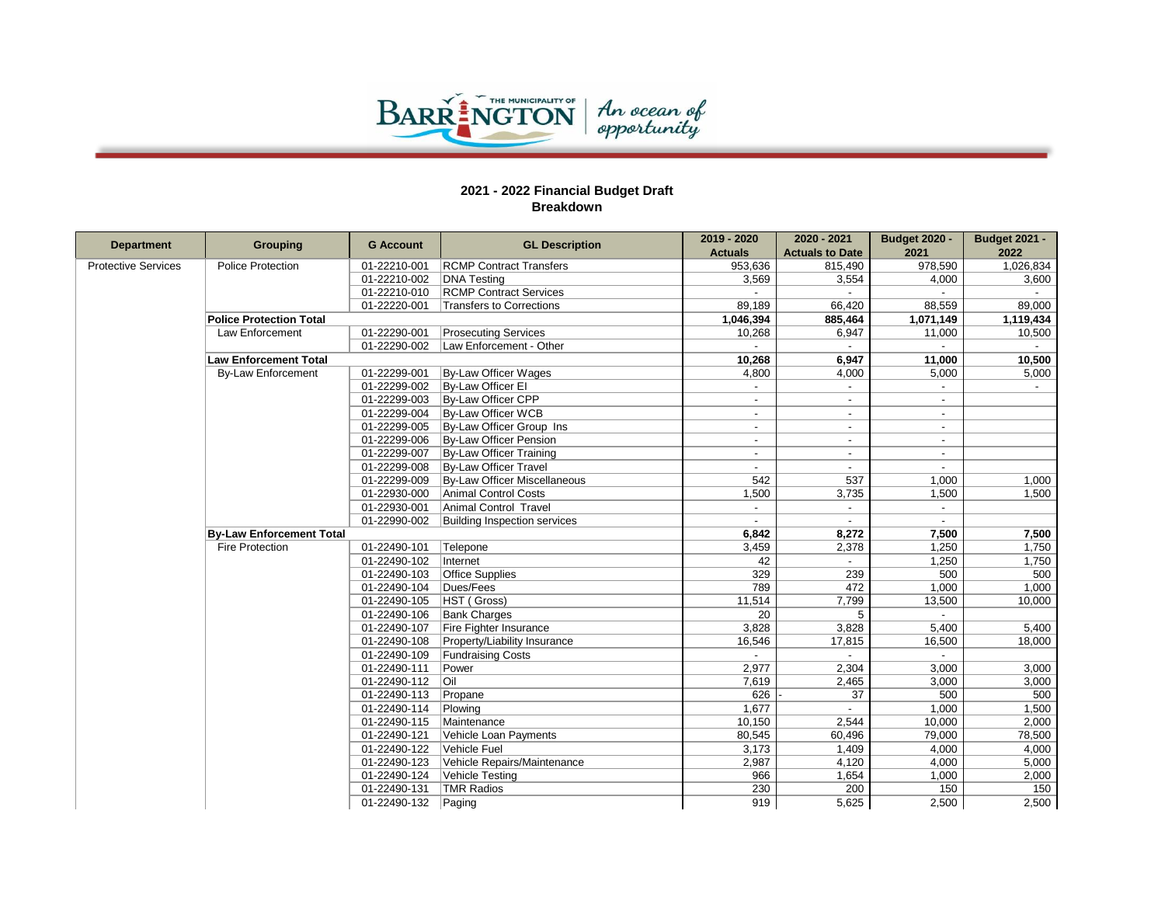

| <b>Department</b>          | <b>Grouping</b>                 | <b>G Account</b> | <b>GL Description</b>          | 2019 - 2020              | 2020 - 2021              | <b>Budget 2020 -</b>     | <b>Budget 2021 -</b> |
|----------------------------|---------------------------------|------------------|--------------------------------|--------------------------|--------------------------|--------------------------|----------------------|
|                            |                                 |                  |                                | <b>Actuals</b>           | <b>Actuals to Date</b>   | 2021                     | 2022                 |
| <b>Protective Services</b> | Police Protection               | 01-22210-001     | <b>RCMP Contract Transfers</b> | 953,636                  | 815,490                  | 978,590                  | 1,026,834            |
|                            |                                 | 01-22210-002     | <b>DNA Testing</b>             | 3,569                    | 3,554                    | 4,000                    | 3,600                |
|                            |                                 | 01-22210-010     | <b>RCMP Contract Services</b>  |                          |                          |                          |                      |
|                            |                                 | 01-22220-001     | Transfers to Corrections       | 89,189                   | 66,420                   | 88,559                   | 89,000               |
|                            | <b>Police Protection Total</b>  |                  |                                | 1,046,394                | 885,464                  | 1,071,149                | 1,119,434            |
|                            | <b>Law Enforcement</b>          | 01-22290-001     | <b>Prosecuting Services</b>    | 10,268                   | 6,947                    | 11,000                   | 10,500               |
|                            |                                 | 01-22290-002     | Law Enforcement - Other        |                          |                          |                          |                      |
|                            | <b>Law Enforcement Total</b>    |                  |                                | 10,268                   | 6,947                    | 11,000                   | 10,500               |
|                            | <b>By-Law Enforcement</b>       | 01-22299-001     | By-Law Officer Wages           | 4,800                    | 4,000                    | 5,000                    | 5,000                |
|                            |                                 | 01-22299-002     | By-Law Officer El              |                          |                          |                          |                      |
|                            |                                 | 01-22299-003     | By-Law Officer CPP             |                          | $\overline{\phantom{a}}$ | $\blacksquare$           |                      |
|                            |                                 | 01-22299-004     | By-Law Officer WCB             | $\blacksquare$           | $\blacksquare$           | $\blacksquare$           |                      |
|                            |                                 | 01-22299-005     | By-Law Officer Group Ins       | $\overline{\phantom{a}}$ | $\sim$                   | $\blacksquare$           |                      |
|                            |                                 | 01-22299-006     | By-Law Officer Pension         |                          |                          | $\overline{a}$           |                      |
|                            |                                 | 01-22299-007     | By-Law Officer Training        | $\overline{\phantom{a}}$ | $\sim$                   | $\overline{\phantom{a}}$ |                      |
|                            |                                 | 01-22299-008     | <b>By-Law Officer Travel</b>   | $\blacksquare$           | $\sim$                   |                          |                      |
|                            |                                 | 01-22299-009     | By-Law Officer Miscellaneous   | 542                      | 537                      | 1,000                    | 1,000                |
|                            |                                 | 01-22930-000     | Animal Control Costs           | 1,500                    | 3,735                    | 1,500                    | 1,500                |
|                            |                                 | 01-22930-001     | Animal Control Travel          | $\overline{a}$           | $\sim$                   | $\blacksquare$           |                      |
|                            |                                 | 01-22990-002     | Building Inspection services   |                          |                          |                          |                      |
|                            | <b>By-Law Enforcement Total</b> |                  |                                | 6,842                    | 8,272                    | 7,500                    | 7,500                |
|                            | <b>Fire Protection</b>          | 01-22490-101     | Telepone                       | 3,459                    | 2,378                    | 1,250                    | 1,750                |
|                            |                                 | 01-22490-102     | Internet                       | 42                       | $\sim$                   | 1,250                    | 1,750                |
|                            |                                 | 01-22490-103     | <b>Office Supplies</b>         | 329                      | 239                      | 500                      | 500                  |
|                            |                                 | 01-22490-104     | Dues/Fees                      | 789                      | 472                      | 1,000                    | 1,000                |
|                            |                                 | 01-22490-105     | HST (Gross)                    | 11,514                   | 7,799                    | 13,500                   | 10,000               |
|                            |                                 | 01-22490-106     | <b>Bank Charges</b>            | 20                       | 5                        |                          |                      |
|                            |                                 | 01-22490-107     | Fire Fighter Insurance         | 3,828                    | 3,828                    | 5,400                    | 5,400                |
|                            |                                 | 01-22490-108     | Property/Liability Insurance   | 16,546                   | 17,815                   | 16,500                   | 18,000               |
|                            |                                 | 01-22490-109     | <b>Fundraising Costs</b>       |                          | $\overline{a}$           |                          |                      |
|                            |                                 | 01-22490-111     | Power                          | 2,977                    | 2,304                    | 3,000                    | 3,000                |
|                            |                                 | 01-22490-112     | l Oil                          | 7,619                    | 2,465                    | 3,000                    | 3,000                |
|                            |                                 | 01-22490-113     | Propane                        | 626                      | 37                       | 500                      | 500                  |
|                            |                                 | 01-22490-114     | Plowing                        | 1,677                    | $\overline{a}$           | 1,000                    | 1,500                |
|                            |                                 | 01-22490-115     | Maintenance                    | 10,150                   | 2,544                    | 10,000                   | 2,000                |
|                            |                                 | 01-22490-121     | Vehicle Loan Payments          | 80,545                   | 60,496                   | 79,000                   | 78,500               |
|                            |                                 | 01-22490-122     | Vehicle Fuel                   | 3,173                    | 1,409                    | 4,000                    | 4,000                |
|                            |                                 | 01-22490-123     | Vehicle Repairs/Maintenance    | 2,987                    | 4,120                    | 4,000                    | 5,000                |
|                            |                                 | 01-22490-124     | Vehicle Testing                | 966                      | 1,654                    | 1,000                    | 2,000                |
|                            |                                 | 01-22490-131     | <b>TMR Radios</b>              | 230                      | 200                      | 150                      | 150                  |
|                            |                                 | 01-22490-132     | Paging                         | 919                      | 5,625                    | 2,500                    | 2,500                |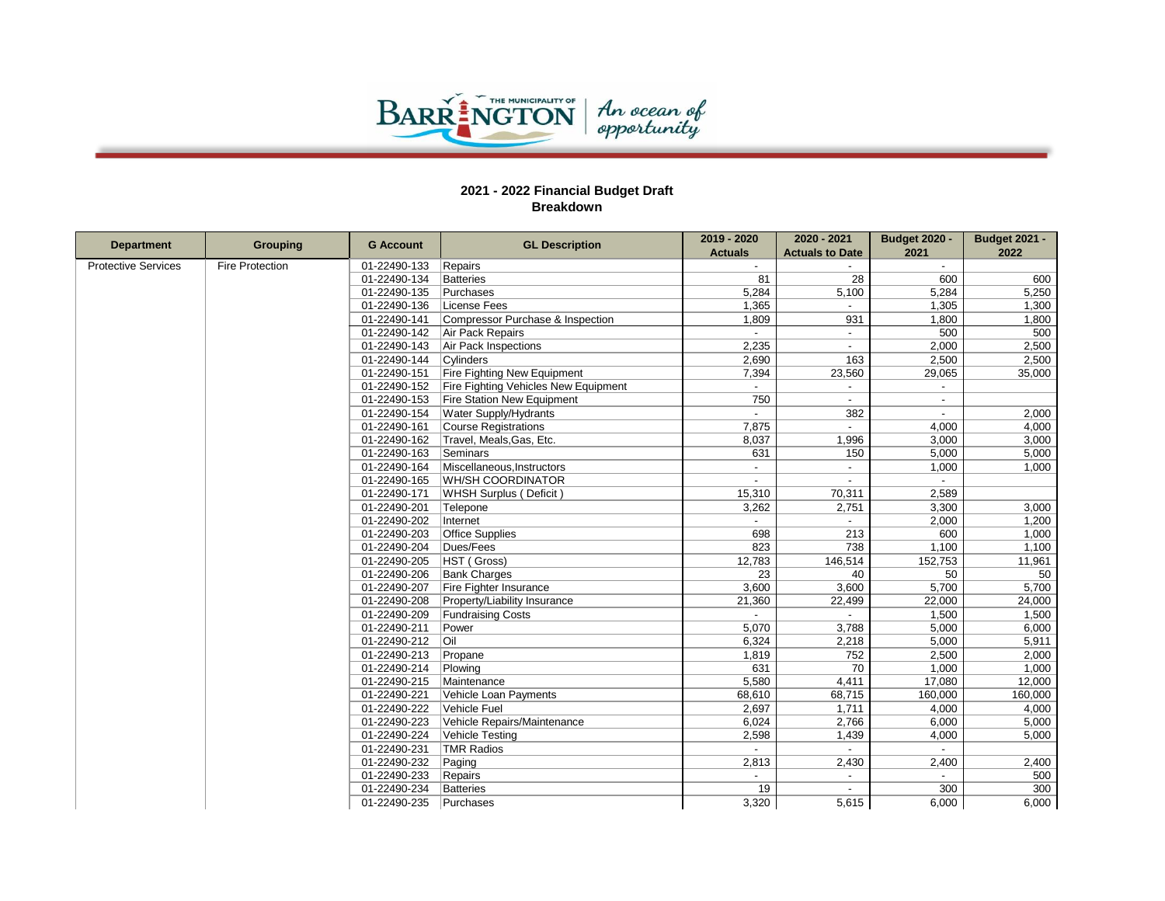

|                            |                        | <b>G Account</b>      |                                      | 2019 - 2020    | 2020 - 2021              | <b>Budget 2020 -</b>     | <b>Budget 2021 -</b> |              |             |        |         |         |
|----------------------------|------------------------|-----------------------|--------------------------------------|----------------|--------------------------|--------------------------|----------------------|--------------|-------------|--------|---------|---------|
| <b>Department</b>          | <b>Grouping</b>        |                       | <b>GL Description</b>                | <b>Actuals</b> | <b>Actuals to Date</b>   | 2021                     | 2022                 |              |             |        |         |         |
| <b>Protective Services</b> | <b>Fire Protection</b> | 01-22490-133          | Repairs                              |                |                          |                          |                      |              |             |        |         |         |
|                            |                        | 01-22490-134          | Batteries                            | 81             | 28                       | 600                      | 600                  |              |             |        |         |         |
|                            |                        | 01-22490-135          | Purchases                            | 5,284          | 5,100                    | 5,284                    | 5,250                |              |             |        |         |         |
|                            | 01-22490-136           | License Fees          | 1,365                                | $\sim$         | 1,305                    | 1,300                    |                      |              |             |        |         |         |
|                            |                        | 01-22490-141          | Compressor Purchase & Inspection     | 1,809          | 931                      | 1,800                    | 1,800                |              |             |        |         |         |
|                            |                        | 01-22490-142          | Air Pack Repairs                     |                | $\overline{\phantom{a}}$ | 500                      | 500                  |              |             |        |         |         |
|                            |                        | 01-22490-143          | Air Pack Inspections                 | 2,235          |                          | 2,000                    | 2,500                |              |             |        |         |         |
|                            |                        | 01-22490-144          | Cylinders                            | 2,690          | 163                      | 2,500                    | 2,500                |              |             |        |         |         |
|                            |                        | 01-22490-151          | <b>Fire Fighting New Equipment</b>   | 7,394          | 23,560                   | 29,065                   | 35,000               |              |             |        |         |         |
|                            |                        | 01-22490-152          | Fire Fighting Vehicles New Equipment |                | $\overline{\phantom{a}}$ | $\overline{\phantom{a}}$ |                      |              |             |        |         |         |
|                            |                        | 01-22490-153          | <b>Fire Station New Equipment</b>    | 750            |                          | $\blacksquare$           |                      |              |             |        |         |         |
|                            |                        | 01-22490-154          | <b>Water Supply/Hydrants</b>         | $\blacksquare$ | 382                      | $\overline{\phantom{a}}$ | 2,000                |              |             |        |         |         |
|                            |                        | 01-22490-161          | Course Registrations                 | 7,875          |                          | 4,000                    | 4,000                |              |             |        |         |         |
|                            |                        | 01-22490-162          | Travel, Meals, Gas, Etc.             | 8,037          | 1,996                    | 3,000                    | 3,000                |              |             |        |         |         |
|                            |                        | 01-22490-163          | Seminars                             | 631            | 150                      | 5,000                    | 5,000                |              |             |        |         |         |
|                            |                        | 01-22490-164          | Miscellaneous, Instructors           | $\blacksquare$ | $\blacksquare$           | 1,000                    | 1,000                |              |             |        |         |         |
|                            |                        | 01-22490-165          | <b>WH/SH COORDINATOR</b>             | $\overline{a}$ |                          | $\sim$                   |                      |              |             |        |         |         |
|                            |                        | 01-22490-171          | WHSH Surplus (Deficit)               | 15,310         | 70,311                   | 2,589                    |                      |              |             |        |         |         |
|                            |                        | 01-22490-201          | Telepone                             | 3,262          | 2,751                    | 3,300                    | 3,000                |              |             |        |         |         |
|                            |                        | 01-22490-202          | Internet                             |                |                          | 2,000                    | 1,200                |              |             |        |         |         |
|                            |                        | 01-22490-203          | Office Supplies                      | 698            | 213                      | 600                      | 1,000                |              |             |        |         |         |
|                            |                        | 01-22490-204          | Dues/Fees                            | 823            | 738                      | 1,100                    | 1,100                |              |             |        |         |         |
|                            |                        |                       |                                      |                |                          |                          |                      | 01-22490-205 | HST (Gross) | 12,783 | 146,514 | 152,753 |
|                            |                        | 01-22490-206          | <b>Bank Charges</b>                  | 23             | 40                       | 50                       | 50                   |              |             |        |         |         |
|                            |                        | 01-22490-207          | Fire Fighter Insurance               | 3,600          | 3,600                    | 5,700                    | 5,700                |              |             |        |         |         |
|                            |                        | 01-22490-208          | Property/Liability Insurance         | 21,360         | 22,499                   | 22,000                   | 24,000               |              |             |        |         |         |
|                            |                        | 01-22490-209          | <b>Fundraising Costs</b>             |                |                          | 1,500                    | 1,500                |              |             |        |         |         |
|                            |                        | 01-22490-211          | Power                                | 5,070          | 3,788                    | 5,000                    | 6,000                |              |             |        |         |         |
|                            |                        | 01-22490-212          | Oil                                  | 6,324          | 2,218                    | 5,000                    | 5,911                |              |             |        |         |         |
|                            |                        | 01-22490-213          | Propane                              | 1,819          | 752                      | 2,500                    | 2,000                |              |             |        |         |         |
|                            |                        | 01-22490-214          | Plowing                              | 631            | 70                       | 1,000                    | 1,000                |              |             |        |         |         |
|                            | 01-22490-215           | Maintenance           | 5,580                                | 4,411          | 17,080                   | 12,000                   |                      |              |             |        |         |         |
|                            | 01-22490-221           | Vehicle Loan Payments | 68,610                               | 68,715         | 160,000                  | 160,000                  |                      |              |             |        |         |         |
|                            | 01-22490-222           | Vehicle Fuel          | 2,697                                | 1,711          | 4,000                    | 4,000                    |                      |              |             |        |         |         |
|                            |                        | 01-22490-223          | Vehicle Repairs/Maintenance          | 6,024          | 2,766                    | 6,000                    | 5,000                |              |             |        |         |         |
|                            |                        | 01-22490-224          | Vehicle Testing                      | 2,598          | 1,439                    | 4,000                    | 5,000                |              |             |        |         |         |
|                            |                        | 01-22490-231          | TMR Radios                           |                |                          |                          |                      |              |             |        |         |         |
|                            |                        | 01-22490-232          | Paging                               | 2,813          | 2,430                    | 2,400                    | 2,400                |              |             |        |         |         |
|                            |                        | 01-22490-233          | Repairs                              |                |                          |                          | 500                  |              |             |        |         |         |
|                            |                        | 01-22490-234          | Batteries                            | 19             |                          | 300                      | 300                  |              |             |        |         |         |
|                            |                        | 01-22490-235          | Purchases                            | 3,320          | 5,615                    | 6,000                    | 6,000                |              |             |        |         |         |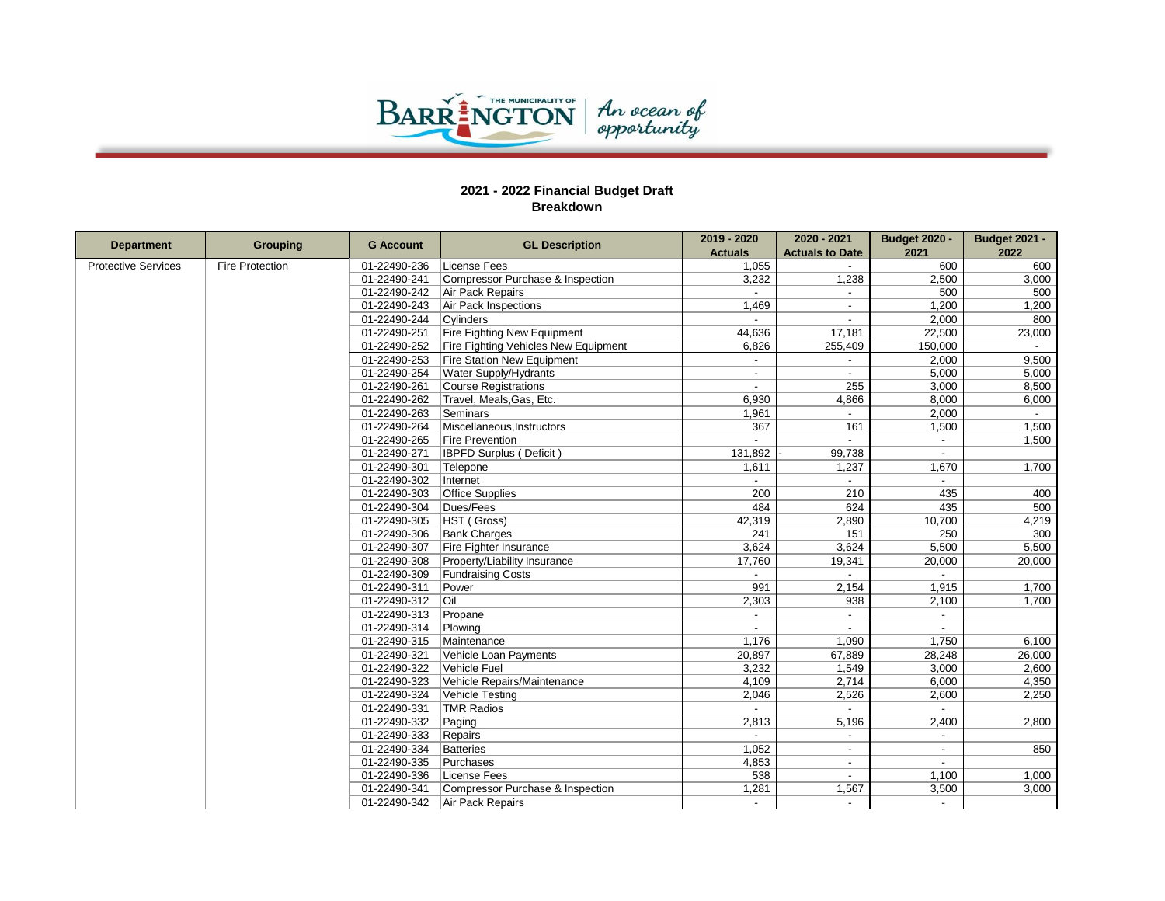

| <b>Department</b>          |                        | <b>G</b> Account     | <b>GL Description</b>                | 2019 - 2020              | 2020 - 2021              | <b>Budget 2020 -</b> | <b>Budget 2021 -</b> |
|----------------------------|------------------------|----------------------|--------------------------------------|--------------------------|--------------------------|----------------------|----------------------|
|                            | <b>Grouping</b>        |                      |                                      | <b>Actuals</b>           | <b>Actuals to Date</b>   | 2021                 | 2022                 |
| <b>Protective Services</b> | <b>Fire Protection</b> | 01-22490-236         | License Fees                         | 1,055                    |                          | 600                  | 600                  |
|                            |                        | 01-22490-241         | Compressor Purchase & Inspection     | 3,232                    | 1,238                    | 2,500                | 3,000                |
|                            | 01-22490-242           | Air Pack Repairs     |                                      |                          | 500                      | 500                  |                      |
|                            | 01-22490-243           | Air Pack Inspections | 1,469                                |                          | 1,200                    | 1,200                |                      |
|                            |                        | 01-22490-244         | Cylinders                            |                          |                          | 2,000                | 800                  |
|                            |                        | 01-22490-251         | <b>Fire Fighting New Equipment</b>   | 44,636                   | 17,181                   | 22,500               | 23,000               |
|                            |                        | 01-22490-252         | Fire Fighting Vehicles New Equipment | 6,826                    | 255,409                  | 150,000              |                      |
|                            |                        | 01-22490-253         | <b>Fire Station New Equipment</b>    | $\overline{\phantom{a}}$ | $\overline{\phantom{a}}$ | 2,000                | 9,500                |
|                            |                        | 01-22490-254         | Water Supply/Hydrants                |                          | $\overline{\phantom{a}}$ | 5,000                | 5,000                |
|                            |                        | 01-22490-261         | Course Registrations                 | $\blacksquare$           | 255                      | 3,000                | 8,500                |
|                            |                        | 01-22490-262         | Travel, Meals, Gas, Etc.             | 6,930                    | 4,866                    | 8,000                | 6,000                |
|                            |                        | 01-22490-263         | Seminars                             | 1.961                    | $\overline{\phantom{a}}$ | 2,000                | $\sim$               |
|                            |                        | 01-22490-264         | Miscellaneous, Instructors           | 367                      | 161                      | 1,500                | 1,500                |
|                            |                        | 01-22490-265         | <b>Fire Prevention</b>               |                          |                          |                      | 1,500                |
|                            |                        | 01-22490-271         | <b>IBPFD Surplus (Deficit)</b>       | 131,892                  | 99,738                   |                      |                      |
|                            |                        | 01-22490-301         | Telepone                             | 1,611                    | 1,237                    | 1,670                | 1,700                |
|                            |                        | 01-22490-302         | Internet                             |                          |                          |                      |                      |
|                            |                        | 01-22490-303         | <b>Office Supplies</b>               | 200                      | 210                      | 435                  | 400                  |
|                            |                        | 01-22490-304         | Dues/Fees                            | 484                      | 624                      | 435                  | 500                  |
|                            |                        | 01-22490-305         | HST (Gross)                          | 42,319                   | 2,890                    | 10,700               | 4,219                |
|                            |                        | 01-22490-306         | <b>Bank Charges</b>                  | 241                      | 151                      | 250                  | 300                  |
|                            |                        | 01-22490-307         | Fire Fighter Insurance               | 3,624                    | 3,624                    | 5,500                | 5,500                |
|                            |                        | 01-22490-308         | Property/Liability Insurance         | 17,760                   | 19,341                   | 20,000               | 20,000               |
|                            |                        | 01-22490-309         | <b>Fundraising Costs</b>             |                          |                          |                      |                      |
|                            |                        | 01-22490-311         | Power                                | 991                      | 2,154                    | 1,915                | 1,700                |
|                            |                        | 01-22490-312         | l Oil                                | 2,303                    | 938                      | 2,100                | 1,700                |
|                            |                        | 01-22490-313         | Propane                              | $\overline{\phantom{a}}$ | $\overline{a}$           | $\sim$               |                      |
|                            |                        | 01-22490-314         | Plowing                              |                          |                          |                      |                      |
|                            |                        | 01-22490-315         | Maintenance                          | 1,176                    | 1,090                    | 1,750                | 6,100                |
|                            |                        | 01-22490-321         | Vehicle Loan Payments                | 20,897                   | 67,889                   | 28,248               | 26,000               |
|                            |                        | 01-22490-322         | Vehicle Fuel                         | 3,232                    | 1,549                    | 3,000                | 2,600                |
|                            |                        | 01-22490-323         | Vehicle Repairs/Maintenance          | 4,109                    | 2,714                    | 6,000                | 4,350                |
|                            | 01-22490-324           | Vehicle Testing      | 2,046                                | 2,526                    | 2,600                    | 2,250                |                      |
|                            | 01-22490-331           | TMR Radios           |                                      |                          |                          |                      |                      |
|                            |                        | 01-22490-332         | Paging                               | 2,813                    | 5,196                    | 2,400                | 2,800                |
|                            |                        | 01-22490-333         | Repairs                              |                          |                          |                      |                      |
|                            |                        | 01-22490-334         | Batteries                            | 1,052                    |                          |                      | 850                  |
|                            |                        | 01-22490-335         | Purchases                            | 4,853                    | $\overline{\phantom{a}}$ | $\sim$               |                      |
|                            |                        | 01-22490-336         | License Fees                         | 538                      | $\overline{\phantom{a}}$ | 1,100                | 1,000                |
|                            |                        | 01-22490-341         | Compressor Purchase & Inspection     | 1,281                    | 1,567                    | 3,500                | 3,000                |
|                            |                        | 01-22490-342         | Air Pack Repairs                     |                          |                          |                      |                      |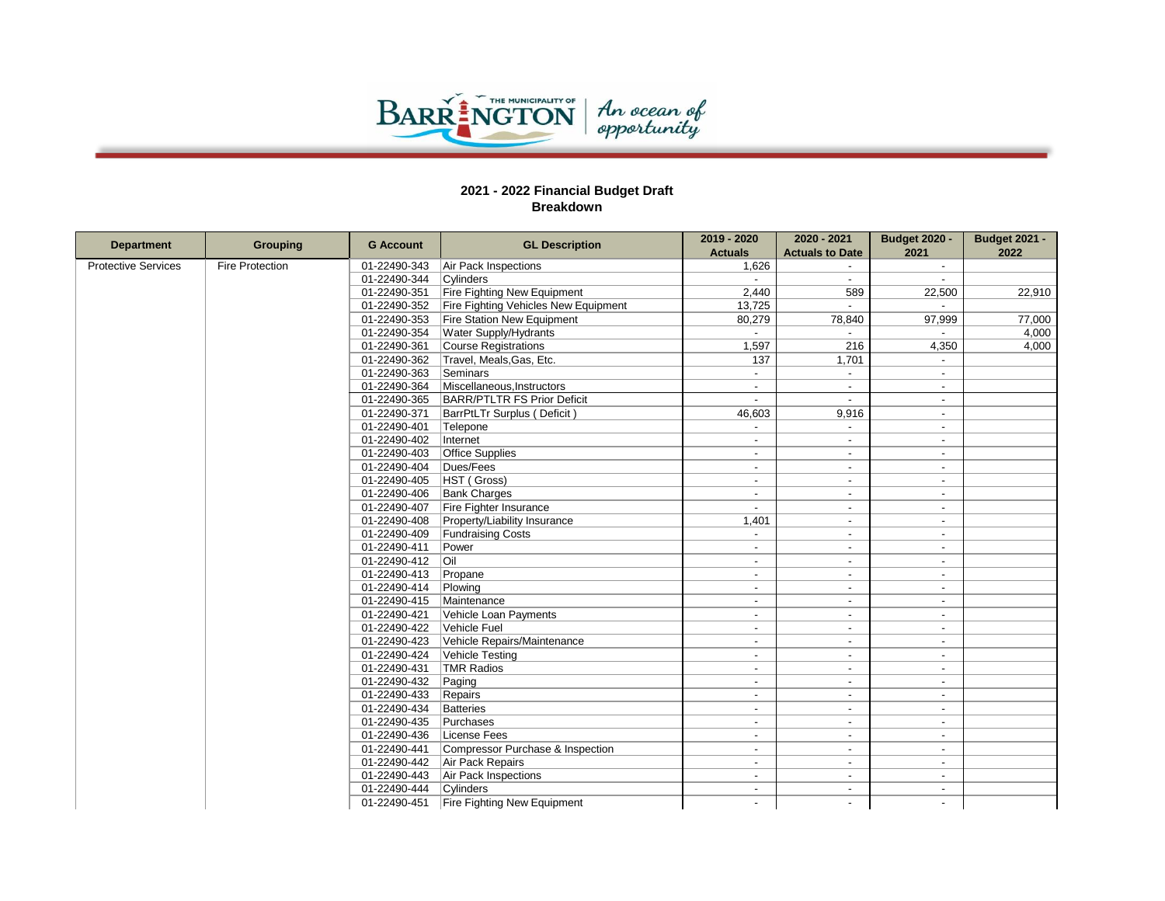

|                            |                        |                  | <b>GL Description</b>                | 2019 - 2020              | 2020 - 2021              | <b>Budget 2020 -</b>     | <b>Budget 2021 -</b> |
|----------------------------|------------------------|------------------|--------------------------------------|--------------------------|--------------------------|--------------------------|----------------------|
| <b>Department</b>          | Grouping               | <b>G</b> Account |                                      | <b>Actuals</b>           | <b>Actuals to Date</b>   | 2021                     | 2022                 |
| <b>Protective Services</b> | <b>Fire Protection</b> | 01-22490-343     | Air Pack Inspections                 | 1.626                    |                          | $\blacksquare$           |                      |
|                            |                        | 01-22490-344     | Cylinders                            |                          |                          | $\overline{a}$           |                      |
|                            |                        | 01-22490-351     | Fire Fighting New Equipment          | 2,440                    | 589                      | 22,500                   | 22,910               |
|                            |                        | 01-22490-352     | Fire Fighting Vehicles New Equipment | 13,725                   | $\sim$                   | $\sim$                   |                      |
|                            |                        | 01-22490-353     | <b>Fire Station New Equipment</b>    | 80,279                   | 78,840                   | 97,999                   | 77,000               |
|                            |                        | 01-22490-354     | Water Supply/Hydrants                |                          |                          |                          | 4,000                |
|                            |                        | 01-22490-361     | Course Registrations                 | 1,597                    | 216                      | 4,350                    | 4.000                |
|                            |                        | 01-22490-362     | Travel, Meals, Gas, Etc.             | 137                      | 1,701                    | $\sim$                   |                      |
|                            |                        | 01-22490-363     | Seminars                             |                          |                          | $\overline{\phantom{0}}$ |                      |
|                            |                        | 01-22490-364     | Miscellaneous, Instructors           | $\overline{a}$           | $\sim$                   | $\overline{a}$           |                      |
|                            |                        | 01-22490-365     | BARR/PTLTR FS Prior Deficit          |                          |                          | $\blacksquare$           |                      |
|                            |                        | 01-22490-371     | BarrPtLTr Surplus (Deficit)          | 46,603                   | 9,916                    | $\overline{\phantom{a}}$ |                      |
|                            |                        | 01-22490-401     | Telepone                             |                          |                          | $\blacksquare$           |                      |
|                            |                        | 01-22490-402     | Internet                             |                          |                          | $\overline{\phantom{a}}$ |                      |
|                            |                        | 01-22490-403     | <b>Office Supplies</b>               |                          |                          | $\blacksquare$           |                      |
|                            |                        | 01-22490-404     | Dues/Fees                            | $\overline{a}$           | $\sim$                   | $\overline{\phantom{a}}$ |                      |
|                            |                        | 01-22490-405     | HST (Gross)                          | $\overline{a}$           | $\overline{\phantom{a}}$ | $\blacksquare$           |                      |
|                            |                        | 01-22490-406     | <b>Bank Charges</b>                  |                          |                          | $\overline{\phantom{a}}$ |                      |
|                            |                        | 01-22490-407     | Fire Fighter Insurance               | $\overline{a}$           | $\sim$                   | $\blacksquare$           |                      |
|                            |                        | 01-22490-408     | Property/Liability Insurance         | 1,401                    | $\sim$                   | $\overline{\phantom{a}}$ |                      |
|                            |                        | 01-22490-409     | <b>Fundraising Costs</b>             | $\overline{\phantom{a}}$ | $\sim$                   | $\blacksquare$           |                      |
|                            |                        | 01-22490-411     | Power                                |                          |                          | $\overline{\phantom{a}}$ |                      |
|                            |                        | 01-22490-412     | <b>Oil</b>                           | $\overline{a}$           | $\sim$                   | $\sim$                   |                      |
|                            |                        | 01-22490-413     | Propane                              |                          |                          | $\overline{a}$           |                      |
|                            |                        | 01-22490-414     | Plowing                              | $\overline{a}$           | $\overline{\phantom{a}}$ | $\overline{a}$           |                      |
|                            |                        | 01-22490-415     | Maintenance                          |                          |                          | $\overline{\phantom{a}}$ |                      |
|                            |                        | 01-22490-421     | Vehicle Loan Payments                | $\overline{a}$           | $\sim$                   | $\overline{a}$           |                      |
|                            |                        | 01-22490-422     | Vehicle Fuel                         | $\overline{a}$           | $\sim$                   | $\overline{\phantom{a}}$ |                      |
|                            |                        | 01-22490-423     | Vehicle Repairs/Maintenance          | $\blacksquare$           | $\overline{\phantom{a}}$ | $\overline{\phantom{a}}$ |                      |
|                            |                        | 01-22490-424     | Vehicle Testing                      |                          |                          | $\overline{a}$           |                      |
|                            |                        | 01-22490-431     | TMR Radios                           | $\overline{a}$           | $\sim$                   | $\sim$                   |                      |
|                            |                        | 01-22490-432     | Paging                               | $\overline{a}$           | $\sim$                   | $\overline{\phantom{a}}$ |                      |
|                            | 01-22490-433           | Repairs          | $\overline{\phantom{0}}$             | $\overline{\phantom{a}}$ | $\overline{\phantom{a}}$ |                          |                      |
|                            | 01-22490-434           | Batteries        |                                      |                          | $\overline{a}$           |                          |                      |
|                            | 01-22490-435           | Purchases        | $\overline{a}$                       | $\overline{\phantom{a}}$ | $\overline{a}$           |                          |                      |
|                            | 01-22490-436           | License Fees     | $\overline{a}$                       |                          | $\blacksquare$           |                          |                      |
|                            |                        | 01-22490-441     | Compressor Purchase & Inspection     | $\overline{a}$           | $\sim$                   | $\overline{a}$           |                      |
|                            |                        | 01-22490-442     | Air Pack Repairs                     | $\sim$                   | $\sim$                   | $\overline{a}$           |                      |
|                            |                        | 01-22490-443     | Air Pack Inspections                 | $\overline{a}$           | $\sim$                   | $\overline{\phantom{a}}$ |                      |
|                            |                        | 01-22490-444     | Cylinders                            | $\overline{a}$           | $\overline{\phantom{a}}$ | $\overline{\phantom{a}}$ |                      |
|                            |                        | 01-22490-451     | <b>Fire Fighting New Equipment</b>   | $\overline{a}$           |                          | $\overline{a}$           |                      |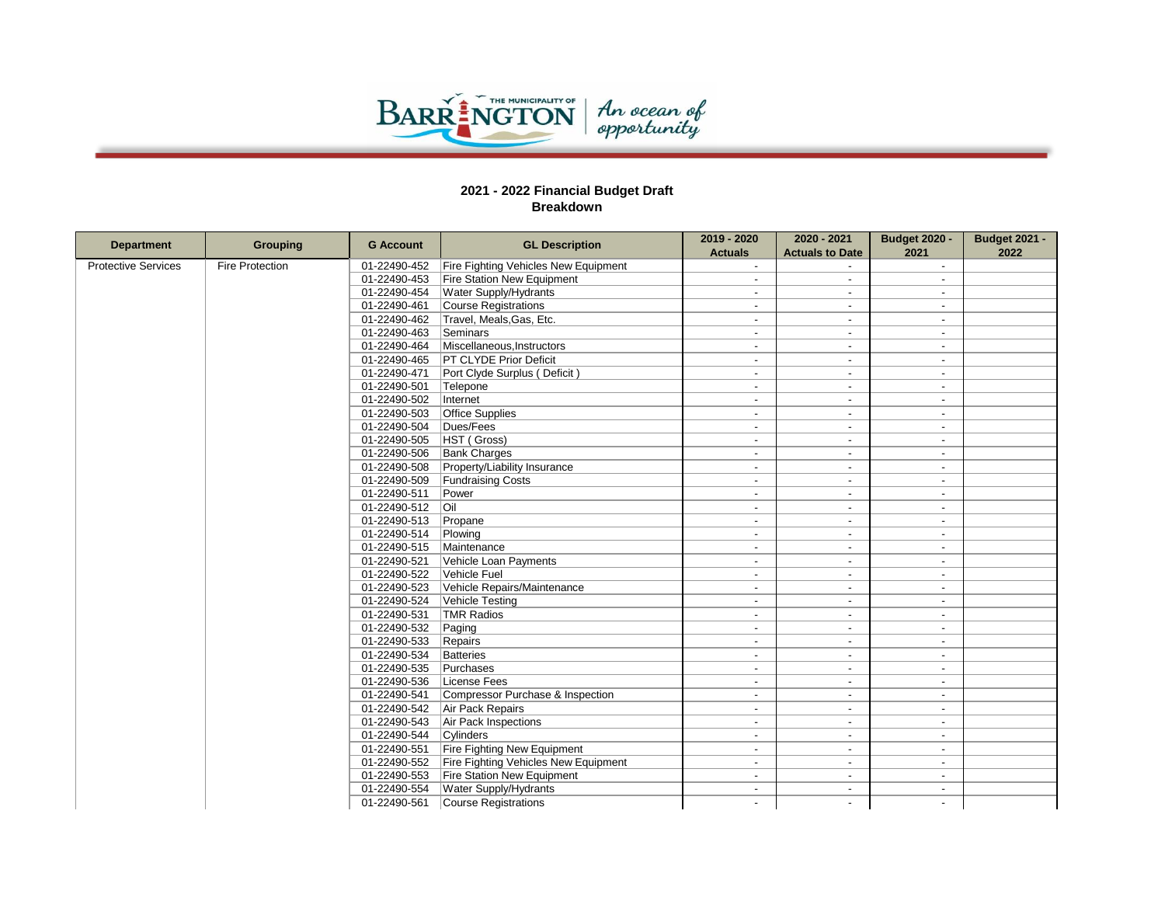

|                            |                        | <b>G Account</b>                 | <b>GL Description</b>                | 2019 - 2020              | 2020 - 2021              | <b>Budget 2020 -</b>     | <b>Budget 2021 -</b> |
|----------------------------|------------------------|----------------------------------|--------------------------------------|--------------------------|--------------------------|--------------------------|----------------------|
| <b>Department</b>          | <b>Grouping</b>        |                                  |                                      | <b>Actuals</b>           | <b>Actuals to Date</b>   | 2021                     | 2022                 |
| <b>Protective Services</b> | <b>Fire Protection</b> | 01-22490-452                     | Fire Fighting Vehicles New Equipment |                          |                          | $\sim$                   |                      |
|                            |                        | 01-22490-453                     | Fire Station New Equipment           | $\overline{a}$           | $\sim$                   | $\overline{a}$           |                      |
|                            |                        | 01-22490-454                     | <b>Water Supply/Hydrants</b>         |                          |                          | $\overline{\phantom{a}}$ |                      |
|                            |                        | 01-22490-461                     | Course Registrations                 | $\overline{a}$           | $\overline{\phantom{a}}$ | $\sim$                   |                      |
|                            |                        | 01-22490-462                     | Travel, Meals, Gas, Etc.             | $\overline{\phantom{a}}$ | $\overline{\phantom{a}}$ | $\overline{\phantom{a}}$ |                      |
|                            |                        | 01-22490-463                     | Seminars                             | $\overline{\phantom{a}}$ | $\sim$                   | $\overline{\phantom{a}}$ |                      |
|                            |                        | 01-22490-464                     | Miscellaneous, Instructors           |                          |                          | $\overline{a}$           |                      |
|                            |                        | 01-22490-465                     | <b>PT CLYDE Prior Deficit</b>        | $\overline{\phantom{a}}$ | $\sim$                   | $\sim$                   |                      |
|                            |                        | 01-22490-471                     | Port Clyde Surplus (Deficit)         | $\overline{\phantom{a}}$ | $\overline{\phantom{a}}$ | $\overline{\phantom{a}}$ |                      |
|                            |                        | 01-22490-501                     | Telepone                             | $\blacksquare$           | $\overline{\phantom{a}}$ | $\overline{\phantom{a}}$ |                      |
|                            |                        | 01-22490-502                     | Internet                             | $\overline{a}$           |                          | $\overline{a}$           |                      |
|                            |                        | 01-22490-503                     | <b>Office Supplies</b>               | $\overline{\phantom{a}}$ | $\overline{a}$           | $\blacksquare$           |                      |
|                            |                        | 01-22490-504                     | Dues/Fees                            | $\overline{\phantom{a}}$ | $\overline{\phantom{a}}$ | $\overline{a}$           |                      |
|                            |                        | 01-22490-505                     | HST (Gross)                          | $\overline{a}$           | $\overline{\phantom{a}}$ | $\overline{\phantom{a}}$ |                      |
|                            |                        | 01-22490-506                     | <b>Bank Charges</b>                  | $\overline{\phantom{a}}$ |                          | $\overline{\phantom{a}}$ |                      |
|                            |                        | 01-22490-508                     | Property/Liability Insurance         | $\overline{a}$           | $\sim$                   | $\overline{\phantom{a}}$ |                      |
|                            |                        | 01-22490-509                     | <b>Fundraising Costs</b>             | $\overline{\phantom{a}}$ | $\blacksquare$           | $\overline{\phantom{a}}$ |                      |
|                            |                        | 01-22490-511                     | Power                                | $\overline{\phantom{a}}$ | $\overline{a}$           | $\overline{a}$           |                      |
|                            |                        | 01-22490-512                     | l Oil                                | $\overline{\phantom{a}}$ | $\blacksquare$           | $\blacksquare$           |                      |
|                            |                        | 01-22490-513                     | Propane                              | $\overline{\phantom{a}}$ | $\overline{\phantom{a}}$ | $\overline{\phantom{a}}$ |                      |
|                            |                        | 01-22490-514                     | Plowing                              | $\blacksquare$           | $\blacksquare$           | $\blacksquare$           |                      |
|                            |                        | 01-22490-515                     | Maintenance                          | $\overline{a}$           | $\overline{a}$           | $\overline{\phantom{0}}$ |                      |
|                            |                        | 01-22490-521                     | Vehicle Loan Payments                | $\overline{a}$           | $\sim$                   | $\sim$                   |                      |
|                            |                        | 01-22490-522                     | Vehicle Fuel                         | $\overline{\phantom{a}}$ | $\blacksquare$           | $\overline{\phantom{a}}$ |                      |
|                            |                        | 01-22490-523                     | Vehicle Repairs/Maintenance          | $\overline{a}$           | $\sim$                   | $\overline{\phantom{a}}$ |                      |
|                            |                        | 01-22490-524                     | Vehicle Testing                      |                          |                          | $\overline{\phantom{a}}$ |                      |
|                            |                        | 01-22490-531                     | TMR Radios                           | $\overline{a}$           | $\overline{\phantom{a}}$ | $\overline{\phantom{a}}$ |                      |
|                            |                        | 01-22490-532                     | Paging                               | $\overline{\phantom{a}}$ | $\overline{\phantom{a}}$ | $\overline{\phantom{a}}$ |                      |
|                            |                        | 01-22490-533                     | Repairs                              | $\overline{\phantom{a}}$ | $\overline{a}$           | $\overline{\phantom{a}}$ |                      |
|                            |                        | 01-22490-534                     | Batteries                            |                          |                          | $\overline{a}$           |                      |
|                            |                        | 01-22490-535                     | Purchases                            | $\overline{\phantom{a}}$ | $\sim$                   | $\sim$                   |                      |
|                            |                        | 01-22490-536                     | License Fees                         | $\overline{a}$           | $\sim$                   | $\overline{\phantom{a}}$ |                      |
|                            | 01-22490-541           | Compressor Purchase & Inspection | $\overline{\phantom{a}}$             | $\overline{a}$           | $\overline{\phantom{a}}$ |                          |                      |
|                            | 01-22490-542           | Air Pack Repairs                 | $\overline{a}$                       | $\sim$                   | $\blacksquare$           |                          |                      |
|                            | 01-22490-543           | Air Pack Inspections             | $\overline{a}$                       | $\overline{a}$           | $\overline{\phantom{a}}$ |                          |                      |
|                            |                        | 01-22490-544                     | Cylinders                            | $\overline{a}$           | $\sim$                   | $\overline{\phantom{a}}$ |                      |
|                            |                        | 01-22490-551                     | Fire Fighting New Equipment          | $\blacksquare$           |                          | $\overline{\phantom{a}}$ |                      |
|                            |                        | 01-22490-552                     | Fire Fighting Vehicles New Equipment | $\sim$                   | $\sim$                   | $\overline{a}$           |                      |
|                            |                        | 01-22490-553                     | <b>Fire Station New Equipment</b>    | $\blacksquare$           | $\blacksquare$           | $\overline{\phantom{a}}$ |                      |
|                            |                        | 01-22490-554                     | <b>Water Supply/Hydrants</b>         | $\overline{a}$           | $\overline{a}$           | $\overline{a}$           |                      |
|                            |                        | 01-22490-561                     | Course Registrations                 |                          |                          |                          |                      |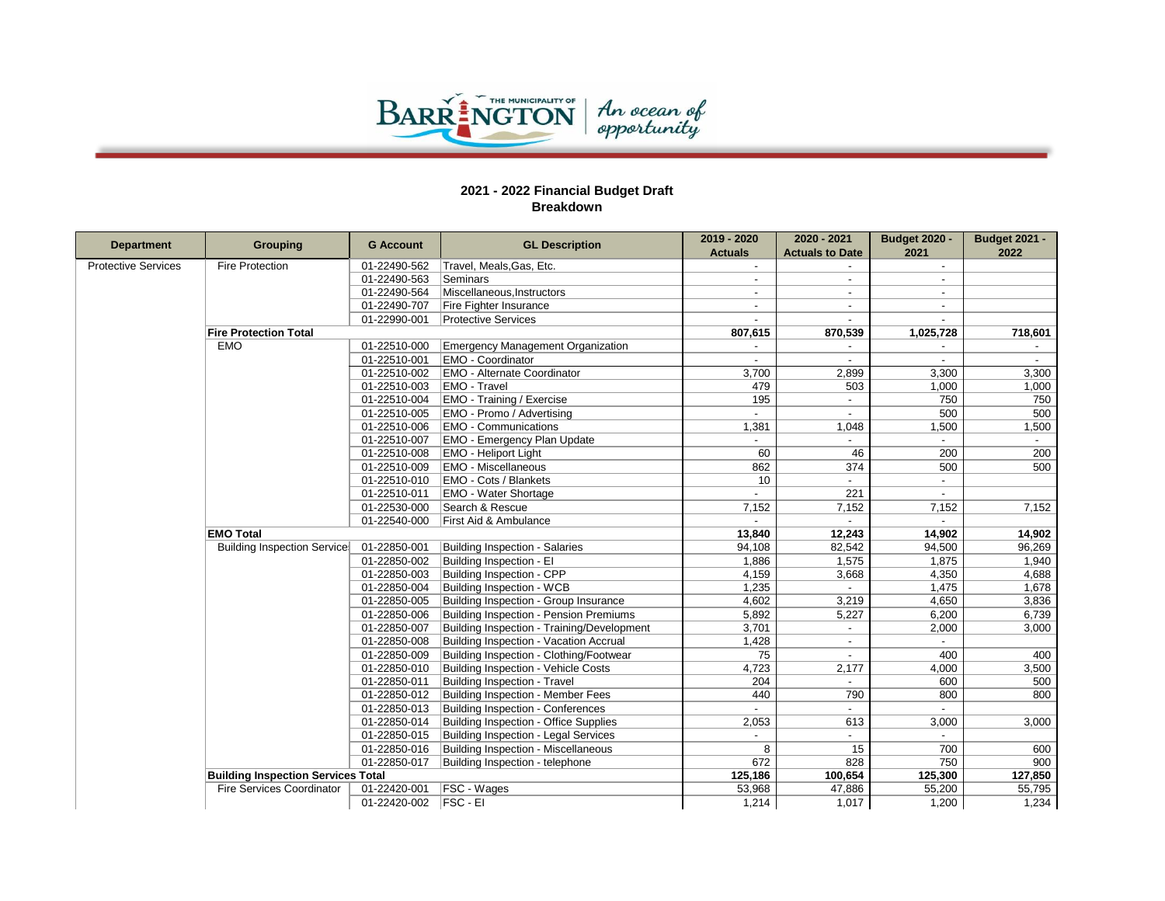

| <b>Department</b>          | <b>Grouping</b>                           | <b>G Account</b>                      | <b>GL Description</b>                      | 2019 - 2020              | 2020 - 2021              | <b>Budget 2020 -</b> | <b>Budget 2021 -</b> |
|----------------------------|-------------------------------------------|---------------------------------------|--------------------------------------------|--------------------------|--------------------------|----------------------|----------------------|
|                            |                                           |                                       |                                            | <b>Actuals</b>           | <b>Actuals to Date</b>   | 2021                 | 2022                 |
| <b>Protective Services</b> | <b>Fire Protection</b>                    | 01-22490-562                          | Travel, Meals, Gas, Etc.                   |                          |                          | $\sim$               |                      |
|                            |                                           | 01-22490-563                          | Seminars                                   |                          |                          |                      |                      |
|                            |                                           | 01-22490-564                          | Miscellaneous, Instructors                 |                          |                          |                      |                      |
|                            |                                           | 01-22490-707                          | Fire Fighter Insurance                     | $\overline{\phantom{a}}$ | $\sim$                   | $\sim$               |                      |
|                            |                                           | 01-22990-001                          | <b>Protective Services</b>                 |                          |                          |                      |                      |
|                            | <b>Fire Protection Total</b>              |                                       |                                            | 807,615                  | 870,539                  | 1,025,728            | 718,601              |
|                            | <b>EMO</b>                                | 01-22510-000                          | <b>Emergency Management Organization</b>   |                          |                          |                      |                      |
|                            |                                           | 01-22510-001                          | <b>EMO - Coordinator</b>                   |                          | $\blacksquare$           |                      | $\sim$               |
|                            |                                           | 01-22510-002                          | <b>EMO - Alternate Coordinator</b>         | 3,700                    | 2,899                    | 3,300                | 3,300                |
|                            |                                           | 01-22510-003                          | EMO - Travel                               | 479                      | 503                      | 1,000                | 1,000                |
|                            |                                           | 01-22510-004                          | <b>EMO</b> - Training / Exercise           | 195                      | $\overline{\phantom{a}}$ | 750                  | 750                  |
|                            | 01-22510-005                              | EMO - Promo / Advertising             |                                            |                          | 500                      | 500                  |                      |
|                            |                                           | 01-22510-006                          | <b>EMO - Communications</b>                | 1,381                    | 1,048                    | 1,500                | 1,500                |
|                            |                                           | 01-22510-007                          | <b>EMO - Emergency Plan Update</b>         |                          |                          |                      |                      |
|                            |                                           | 01-22510-008                          | <b>EMO - Heliport Light</b>                | 60                       | 46                       | 200                  | 200                  |
|                            |                                           | 01-22510-009                          | <b>EMO - Miscellaneous</b>                 | 862                      | 374                      | 500                  | 500                  |
|                            |                                           | 01-22510-010                          | <b>EMO - Cots / Blankets</b>               | 10                       | $\sim$                   | $\sim$               |                      |
|                            |                                           | 01-22510-011                          | <b>EMO - Water Shortage</b>                |                          | 221                      |                      |                      |
|                            |                                           | 01-22530-000                          | Search & Rescue                            | 7,152                    | 7,152                    | 7,152                | 7,152                |
|                            |                                           | 01-22540-000                          | First Aid & Ambulance                      |                          |                          |                      |                      |
|                            | <b>EMO Total</b>                          |                                       |                                            | 13,840                   | 12,243                   | 14,902               | 14,902               |
|                            | <b>Building Inspection Service:</b>       | 01-22850-001                          | Building Inspection - Salaries             | 94,108                   | 82,542                   | 94,500               | 96,269               |
|                            |                                           | 01-22850-002                          | Building Inspection - El                   | 1,886                    | 1,575                    | 1,875                | 1,940                |
|                            |                                           | 01-22850-003                          | Building Inspection - CPP                  | 4,159                    | 3,668                    | 4,350                | 4,688                |
|                            |                                           | 01-22850-004                          | Building Inspection - WCB                  | 1.235                    |                          | 1,475                | 1,678                |
|                            |                                           | 01-22850-005                          | Building Inspection - Group Insurance      | 4,602                    | 3,219                    | 4,650                | 3,836                |
|                            |                                           | 01-22850-006                          | Building Inspection - Pension Premiums     | 5,892                    | 5,227                    | 6,200                | 6,739                |
|                            |                                           | 01-22850-007                          | Building Inspection - Training/Development | 3,701                    | $\overline{\phantom{a}}$ | 2,000                | 3,000                |
|                            |                                           | 01-22850-008                          | Building Inspection - Vacation Accrual     | 1,428                    |                          |                      |                      |
|                            |                                           | 01-22850-009                          | Building Inspection - Clothing/Footwear    | 75                       | $\sim$                   | 400                  | 400                  |
|                            |                                           | 01-22850-010                          | Building Inspection - Vehicle Costs        | 4,723                    | 2,177                    | 4,000                | 3,500                |
|                            |                                           | 01-22850-011                          | Building Inspection - Travel               | 204                      |                          | 600                  | 500                  |
|                            |                                           | 01-22850-012                          | Building Inspection - Member Fees          | 440                      | 790                      | 800                  | 800                  |
|                            |                                           | 01-22850-013                          | <b>Building Inspection - Conferences</b>   |                          | $\overline{\phantom{a}}$ |                      |                      |
|                            | 01-22850-014                              | Building Inspection - Office Supplies | 2,053                                      | 613                      | 3,000                    | 3,000                |                      |
|                            |                                           | 01-22850-015                          | Building Inspection - Legal Services       |                          |                          |                      |                      |
|                            |                                           | 01-22850-016                          | Building Inspection - Miscellaneous        | 8                        | 15                       | 700                  | 600                  |
|                            |                                           | 01-22850-017                          | Building Inspection - telephone            | 672                      | 828                      | 750                  | 900                  |
|                            | <b>Building Inspection Services Total</b> |                                       |                                            | 125,186                  | 100,654                  | 125,300              | 127,850              |
|                            | Fire Services Coordinator                 | 01-22420-001                          | <b>FSC - Wages</b>                         | 53,968                   | 47,886                   | 55,200               | 55,795               |
|                            |                                           | 01-22420-002   FSC - EI               |                                            | 1,214                    | 1,017                    | 1,200                | 1,234                |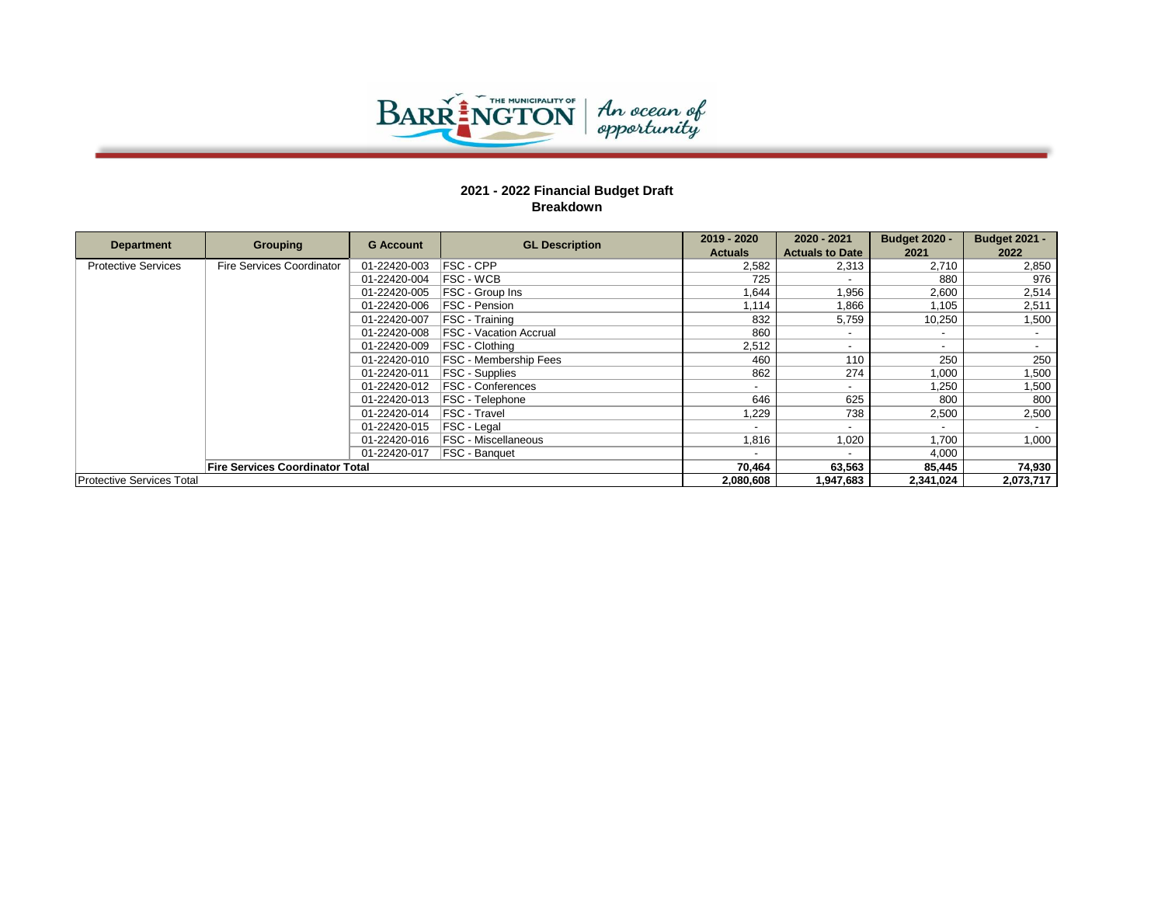

|                                  |                                        | <b>G</b> Account | <b>GL Description</b>         | 2019 - 2020                   | 2020 - 2021            | <b>Budget 2020 -</b>     | <b>Budget 2021 -</b> |     |  |              |                            |       |       |       |
|----------------------------------|----------------------------------------|------------------|-------------------------------|-------------------------------|------------------------|--------------------------|----------------------|-----|--|--------------|----------------------------|-------|-------|-------|
| <b>Department</b>                | <b>Grouping</b>                        |                  |                               | <b>Actuals</b>                | <b>Actuals to Date</b> | 2021                     | 2022                 |     |  |              |                            |       |       |       |
| <b>Protective Services</b>       | Fire Services Coordinator              | 01-22420-003     | FSC - CPP                     | 2,582                         | 2,313                  | 2,710                    | 2,850                |     |  |              |                            |       |       |       |
|                                  |                                        | 01-22420-004     | <b>IFSC - WCB</b>             | 725                           |                        | 880                      | 976                  |     |  |              |                            |       |       |       |
|                                  |                                        | 01-22420-005     | <b>FSC</b> - Group Ins        | 1.644                         | 1,956                  | 2,600                    | 2,514                |     |  |              |                            |       |       |       |
|                                  |                                        | 01-22420-006     | <b>IFSC - Pension</b>         | 1.114                         | 1,866                  | 1.105                    | 2,511                |     |  |              |                            |       |       |       |
|                                  |                                        | 01-22420-007     | <b>IFSC - Training</b>        | 832                           | 5,759                  | 10,250                   | 1,500                |     |  |              |                            |       |       |       |
|                                  |                                        | 01-22420-008     | <b>FSC - Vacation Accrual</b> | 860                           |                        | $\overline{\phantom{a}}$ |                      |     |  |              |                            |       |       |       |
|                                  |                                        |                  | 01-22420-009                  | <b>IFSC - Clothing</b>        | 2.512                  |                          | $\sim$               |     |  |              |                            |       |       |       |
|                                  |                                        |                  | 01-22420-010                  | <b>IFSC - Membership Fees</b> | 460                    | 110                      | 250                  | 250 |  |              |                            |       |       |       |
|                                  |                                        | 01-22420-011     | <b>FSC - Supplies</b>         | 862                           | 274                    | 1,000                    | 1,500                |     |  |              |                            |       |       |       |
|                                  |                                        | 01-22420-012     | <b>FSC - Conferences</b>      |                               |                        | 1.250                    | 1,500                |     |  |              |                            |       |       |       |
|                                  |                                        | 01-22420-013     | <b>FSC</b> - Telephone        | 646                           | 625                    | 800                      | 800                  |     |  |              |                            |       |       |       |
|                                  |                                        | 01-22420-014     | <b>IFSC - Travel</b>          | 1,229                         | 738                    | 2,500                    | 2,500                |     |  |              |                            |       |       |       |
|                                  |                                        | 01-22420-015     | <b>FSC - Legal</b>            |                               |                        | $\overline{\phantom{0}}$ |                      |     |  |              |                            |       |       |       |
|                                  |                                        |                  |                               |                               |                        |                          |                      |     |  | 01-22420-016 | <b>FSC - Miscellaneous</b> | 1,816 | 1,020 | 1,700 |
|                                  |                                        | 01-22420-017     | <b>IFSC - Banquet</b>         |                               |                        | 4,000                    |                      |     |  |              |                            |       |       |       |
|                                  | <b>Fire Services Coordinator Total</b> |                  |                               | 70,464                        | 63,563                 | 85,445                   | 74,930               |     |  |              |                            |       |       |       |
| <b>Protective Services Total</b> |                                        |                  |                               | 2.080.608                     | 1.947.683              | 2,341,024                | 2,073,717            |     |  |              |                            |       |       |       |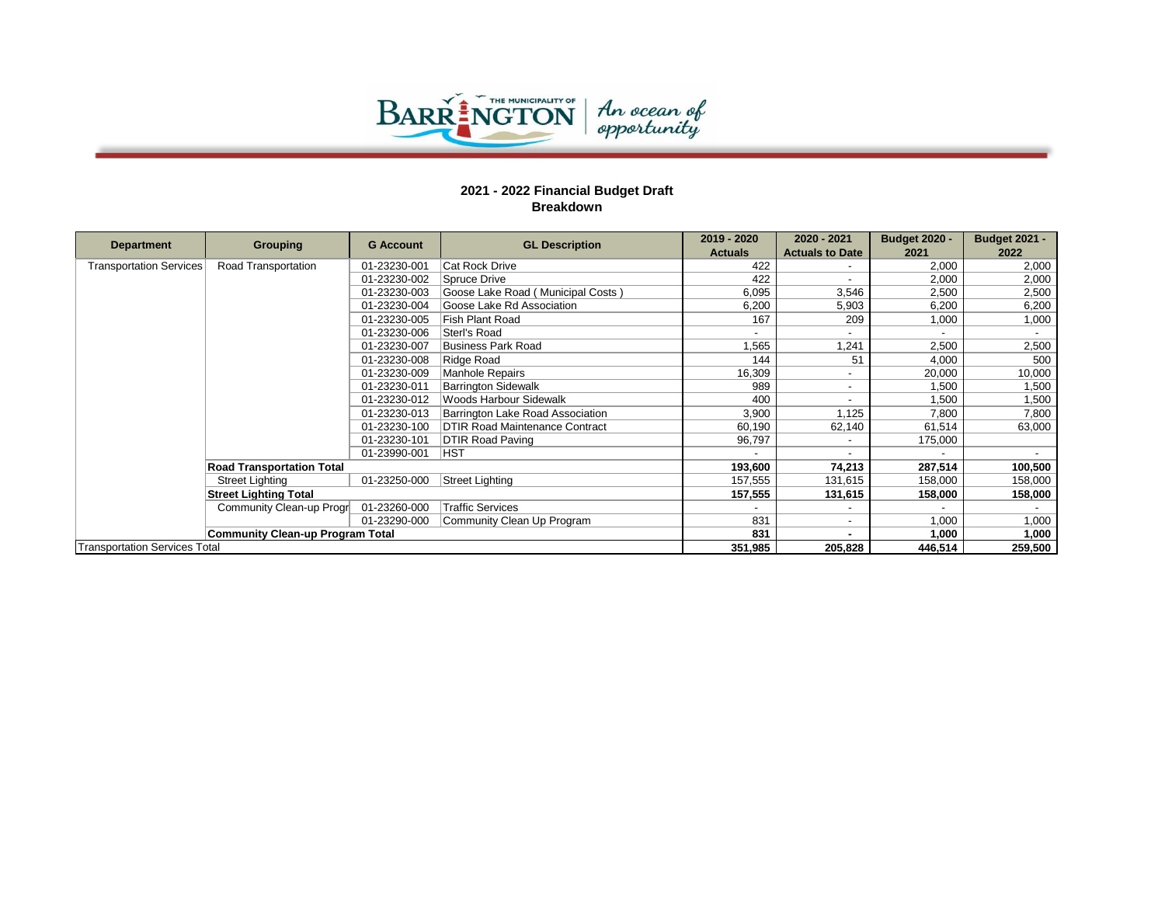

|                                      |                                                          | <b>G</b> Account | <b>GL Description</b>             | 2019 - 2020    | 2020 - 2021            | <b>Budget 2020 -</b> | <b>Budget 2021 -</b> |
|--------------------------------------|----------------------------------------------------------|------------------|-----------------------------------|----------------|------------------------|----------------------|----------------------|
| <b>Department</b>                    | Grouping                                                 |                  |                                   | <b>Actuals</b> | <b>Actuals to Date</b> | 2021                 | 2022                 |
| <b>Transportation Services</b>       | Road Transportation                                      | 01-23230-001     | <b>Cat Rock Drive</b>             | 422            |                        | 2.000                | 2,000                |
|                                      |                                                          | 01-23230-002     | <b>Spruce Drive</b>               | 422            |                        | 2.000                | 2,000                |
|                                      |                                                          | 01-23230-003     | Goose Lake Road (Municipal Costs) | 6,095          | 3,546                  | 2,500                | 2,500                |
|                                      |                                                          | 01-23230-004     | Goose Lake Rd Association         | 6,200          | 5,903                  | 6,200                | 6,200                |
|                                      |                                                          | 01-23230-005     | Fish Plant Road                   | 167            | 209                    | 1,000                | 1,000                |
|                                      |                                                          | 01-23230-006     | Sterl's Road                      |                |                        |                      |                      |
|                                      |                                                          | 01-23230-007     | <b>Business Park Road</b>         | 1,565          | 1,241                  | 2,500                | 2,500                |
|                                      |                                                          | 01-23230-008     | Ridge Road                        | 144            | 51                     | 4,000                | 500                  |
|                                      |                                                          | 01-23230-009     | <b>Manhole Repairs</b>            | 16,309         |                        | 20,000               | 10,000               |
|                                      |                                                          | 01-23230-011     | <b>Barrington Sidewalk</b>        | 989            |                        | 1,500                | 1,500                |
|                                      |                                                          | 01-23230-012     | Woods Harbour Sidewalk            | 400            |                        | 1,500                | 1,500                |
|                                      |                                                          | 01-23230-013     | Barrington Lake Road Association  | 3,900          | 1,125                  | 7,800                | 7,800                |
|                                      |                                                          | 01-23230-100     | DTIR Road Maintenance Contract    | 60,190         | 62,140                 | 61,514               | 63,000               |
|                                      |                                                          | 01-23230-101     | DTIR Road Paving                  | 96,797         |                        | 175,000              |                      |
|                                      |                                                          | 01-23990-001     | <b>HST</b>                        |                |                        |                      |                      |
|                                      | <b>Road Transportation Total</b>                         |                  |                                   | 193,600        | 74,213                 | 287,514              | 100,500              |
|                                      | Street Lighting                                          | 01-23250-000     | Street Lighting                   | 157,555        | 131,615                | 158,000              | 158,000              |
|                                      | <b>Street Lighting Total</b><br>Community Clean-up Progr |                  |                                   | 157,555        | 131,615                | 158,000              | 158,000              |
|                                      |                                                          | 01-23260-000     | <b>Traffic Services</b>           |                |                        |                      |                      |
|                                      |                                                          | 01-23290-000     | Community Clean Up Program        | 831            |                        | 1,000                | 1,000                |
|                                      | <b>Community Clean-up Program Total</b>                  |                  |                                   | 831            |                        | 1,000                | 1,000                |
| <b>Transportation Services Total</b> |                                                          |                  |                                   | 351,985        | 205,828                | 446,514              | 259,500              |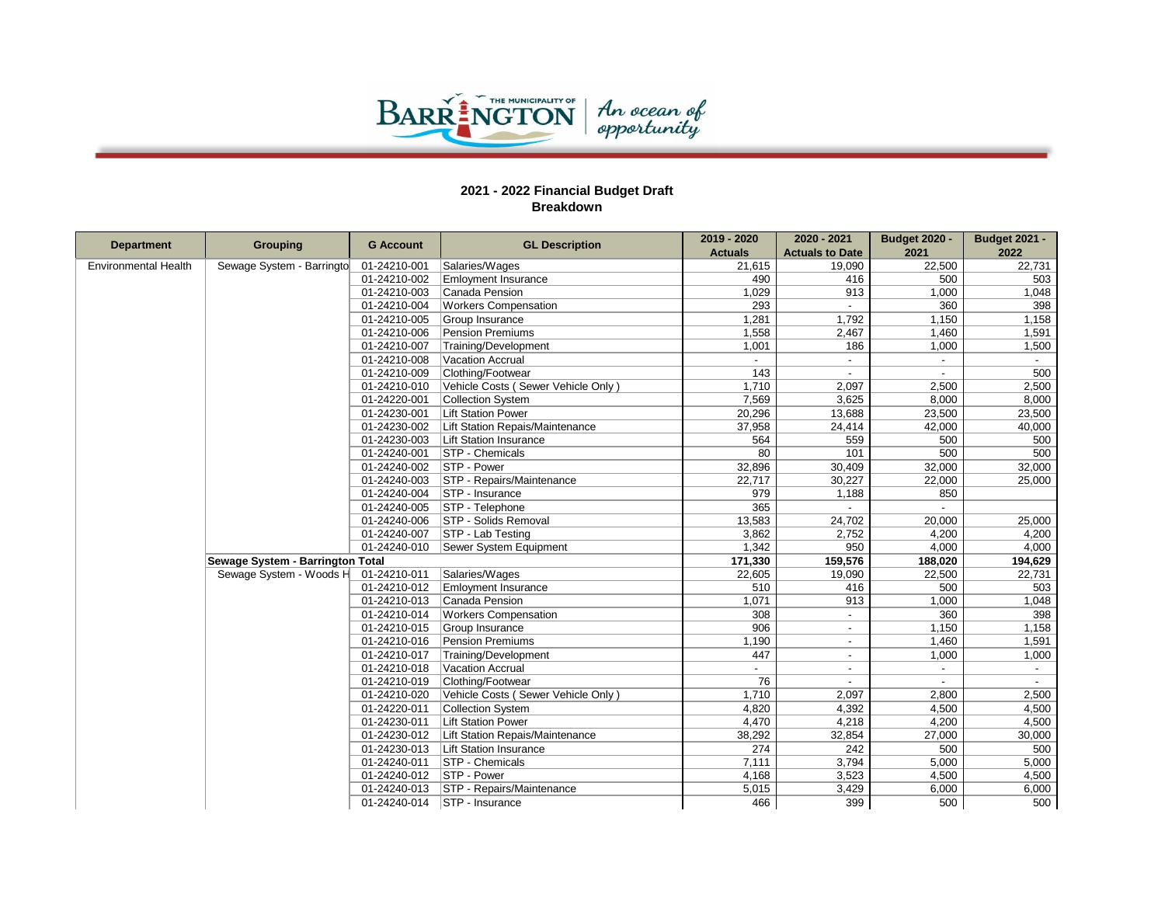

| <b>Department</b>    | <b>Grouping</b>                  | <b>G</b> Account     | <b>GL Description</b>              | 2019 - 2020              | 2020 - 2021              | <b>Budget 2020 -</b> | <b>Budget 2021 -</b> |
|----------------------|----------------------------------|----------------------|------------------------------------|--------------------------|--------------------------|----------------------|----------------------|
|                      |                                  |                      |                                    | <b>Actuals</b>           | <b>Actuals to Date</b>   | 2021                 | 2022                 |
| Environmental Health | Sewage System - Barringto        | 01-24210-001         | Salaries/Wages                     | 21,615                   | 19,090                   | 22,500               | 22,731               |
|                      |                                  | 01-24210-002         | <b>Emloyment Insurance</b>         | 490                      | 416                      | 500                  | 503                  |
|                      |                                  | 01-24210-003         | Canada Pension                     | 1,029                    | 913                      | 1,000                | 1,048                |
|                      |                                  | 01-24210-004         | <b>Workers Compensation</b>        | 293                      | $\overline{a}$           | 360                  | 398                  |
|                      |                                  | 01-24210-005         | Group Insurance                    | 1,281                    | 1,792                    | 1,150                | 1,158                |
|                      |                                  | 01-24210-006         | Pension Premiums                   | 1,558                    | 2,467                    | 1,460                | 1,591                |
|                      |                                  | 01-24210-007         | Training/Development               | 1,001                    | 186                      | 1,000                | 1,500                |
|                      |                                  | 01-24210-008         | Vacation Accrual                   | $\blacksquare$           | $\sim$                   | $\sim$               | $\sim$               |
|                      |                                  | 01-24210-009         | Clothing/Footwear                  | 143                      |                          | $\overline{a}$       | 500                  |
|                      |                                  | 01-24210-010         | Vehicle Costs (Sewer Vehicle Only) | 1,710                    | 2,097                    | 2,500                | 2,500                |
|                      |                                  | 01-24220-001         | Collection System                  | 7,569                    | 3,625                    | 8,000                | 8,000                |
|                      |                                  | 01-24230-001         | <b>Lift Station Power</b>          | 20,296                   | 13,688                   | 23,500               | 23,500               |
|                      |                                  | 01-24230-002         | Lift Station Repais/Maintenance    | 37,958                   | 24,414                   | 42,000               | 40,000               |
|                      |                                  | 01-24230-003         | Lift Station Insurance             | 564                      | 559                      | 500                  | 500                  |
|                      |                                  | 01-24240-001         | <b>STP</b> - Chemicals             | 80                       | 101                      | 500                  | 500                  |
|                      |                                  | 01-24240-002         | STP - Power                        | 32,896                   | 30,409                   | 32,000               | 32,000               |
|                      |                                  | 01-24240-003         | STP - Repairs/Maintenance          | 22,717                   | 30,227                   | 22,000               | 25,000               |
|                      |                                  | 01-24240-004         | STP - Insurance                    | 979                      | 1,188                    | 850                  |                      |
|                      |                                  | 01-24240-005         | STP - Telephone                    | 365                      |                          | $\sim$               |                      |
|                      |                                  | 01-24240-006         | <b>STP - Solids Removal</b>        | 13,583                   | 24,702                   | 20,000               | 25,000               |
|                      |                                  | 01-24240-007         | <b>STP - Lab Testing</b>           | 3,862                    | 2,752                    | 4,200                | 4,200                |
|                      |                                  | 01-24240-010         | Sewer System Equipment             | 1,342                    | 950                      | 4,000                | 4,000                |
|                      | Sewage System - Barrington Total |                      |                                    | 171,330                  | 159,576                  | 188,020              | 194,629              |
|                      | Sewage System - Woods H          | 01-24210-011         | Salaries/Wages                     | 22,605                   | 19,090                   | 22,500               | 22,731               |
|                      |                                  | 01-24210-012         | <b>Emloyment Insurance</b>         | 510                      | 416                      | 500                  | 503                  |
|                      |                                  | 01-24210-013         | Canada Pension                     | 1,071                    | 913                      | 1,000                | 1,048                |
|                      |                                  | 01-24210-014         | <b>Workers Compensation</b>        | 308                      | $\overline{\phantom{a}}$ | 360                  | 398                  |
|                      |                                  | 01-24210-015         | Group Insurance                    | 906                      | $\sim$                   | 1,150                | 1,158                |
|                      |                                  | 01-24210-016         | Pension Premiums                   | 1,190                    |                          | 1,460                | 1,591                |
|                      | 01-24210-017                     | Training/Development | 447                                | $\overline{\phantom{a}}$ | 1,000                    | 1,000                |                      |
|                      | 01-24210-018                     | Vacation Accrual     |                                    |                          | $\blacksquare$           |                      |                      |
|                      | 01-24210-019                     | Clothing/Footwear    | 76                                 |                          | $\blacksquare$           |                      |                      |
|                      |                                  | 01-24210-020         | Vehicle Costs (Sewer Vehicle Only) | 1,710                    | 2,097                    | 2,800                | 2,500                |
|                      | 01-24220-011                     | Collection System    | 4,820                              | 4,392                    | 4,500                    | 4,500                |                      |
|                      |                                  | 01-24230-011         | <b>Lift Station Power</b>          | 4,470                    | 4,218                    | 4,200                | 4,500                |
|                      |                                  | 01-24230-012         | Lift Station Repais/Maintenance    | 38,292                   | 32,854                   | 27,000               | 30,000               |
|                      |                                  | 01-24230-013         | Lift Station Insurance             | 274                      | 242                      | 500                  | 500                  |
|                      |                                  | 01-24240-011         | <b>STP</b> - Chemicals             | 7,111                    | 3,794                    | 5,000                | 5,000                |
|                      |                                  | 01-24240-012         | STP - Power                        | 4,168                    | 3,523                    | 4,500                | 4,500                |
|                      |                                  | 01-24240-013         | <b>STP</b> - Repairs/Maintenance   | 5,015                    | 3,429                    | 6,000                | 6,000                |
|                      |                                  |                      | 01-24240-014   STP - Insurance     | 466                      | 399                      | 500                  | 500                  |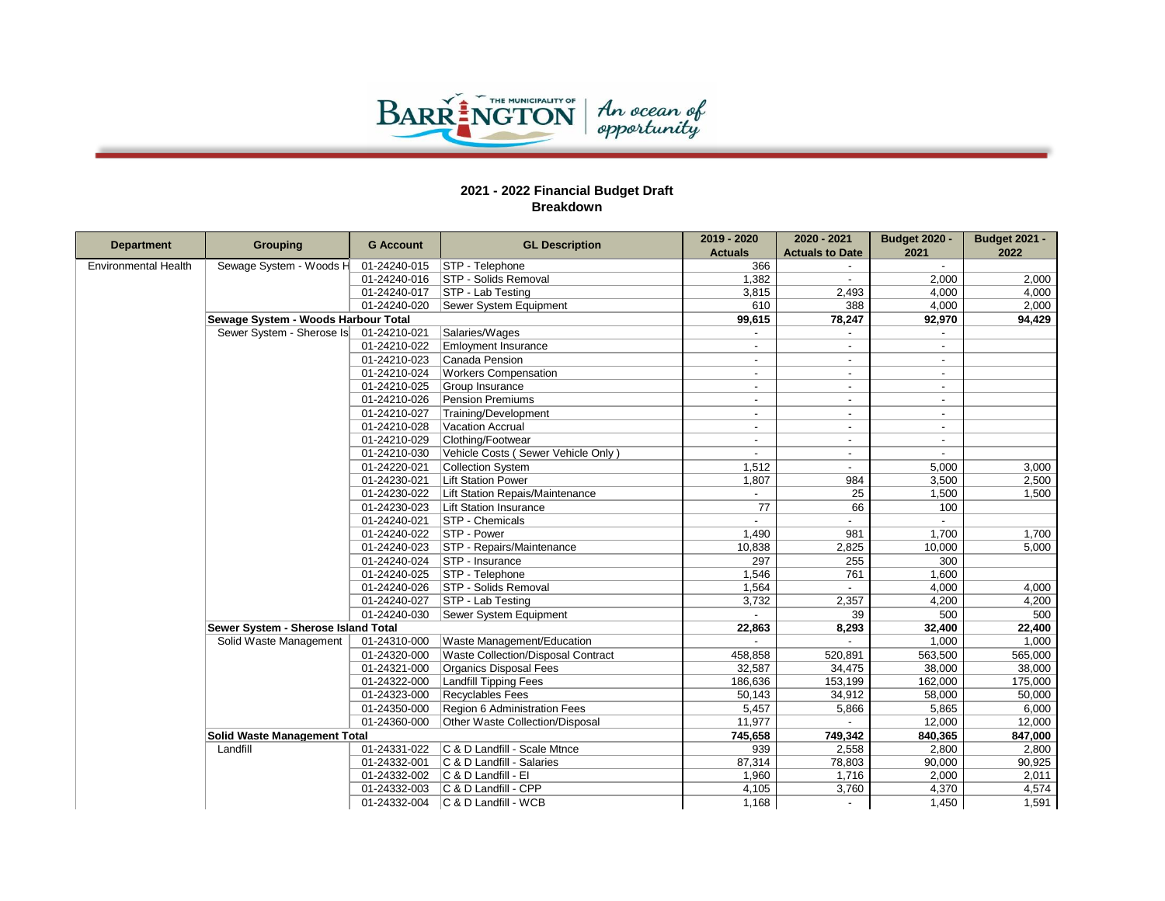

| <b>Department</b>           | <b>Grouping</b>                     | <b>G Account</b> | <b>GL Description</b>              | 2019 - 2020              | 2020 - 2021              | <b>Budget 2020 -</b> | <b>Budget 2021 -</b> |
|-----------------------------|-------------------------------------|------------------|------------------------------------|--------------------------|--------------------------|----------------------|----------------------|
|                             |                                     |                  |                                    | <b>Actuals</b>           | <b>Actuals to Date</b>   | 2021                 | 2022                 |
| <b>Environmental Health</b> | Sewage System - Woods H             | 01-24240-015     | <b>STP</b> - Telephone             | 366                      |                          | $\sim$               |                      |
|                             |                                     | 01-24240-016     | <b>STP</b> - Solids Removal        | 1,382                    |                          | 2,000                | 2,000                |
|                             |                                     | 01-24240-017     | STP - Lab Testing                  | 3,815                    | 2,493                    | 4,000                | 4,000                |
|                             |                                     | 01-24240-020     | Sewer System Equipment             | 610                      | 388                      | 4,000                | 2,000                |
|                             | Sewage System - Woods Harbour Total |                  |                                    | 99,615                   | 78,247                   | 92,970               | 94,429               |
|                             | Sewer System - Sherose Is           | 01-24210-021     | Salaries/Wages                     |                          |                          |                      |                      |
|                             |                                     | 01-24210-022     | <b>Emloyment Insurance</b>         |                          |                          |                      |                      |
|                             |                                     | 01-24210-023     | Canada Pension                     | $\overline{\phantom{a}}$ | $\overline{\phantom{a}}$ | $\sim$               |                      |
|                             |                                     | 01-24210-024     | <b>Workers Compensation</b>        |                          | $\overline{\phantom{a}}$ | $\blacksquare$       |                      |
|                             |                                     | 01-24210-025     | Group Insurance                    | $\overline{\phantom{a}}$ | $\overline{\phantom{a}}$ | $\sim$               |                      |
|                             |                                     | 01-24210-026     | Pension Premiums                   |                          | $\overline{a}$           | $\sim$               |                      |
|                             |                                     | 01-24210-027     | Training/Development               | $\overline{\phantom{a}}$ | $\overline{\phantom{a}}$ | $\sim$               |                      |
|                             |                                     | 01-24210-028     | <b>Vacation Accrual</b>            | $\overline{\phantom{a}}$ | $\blacksquare$           | $\sim$               |                      |
|                             |                                     | 01-24210-029     | Clothing/Footwear                  |                          |                          | $\sim$               |                      |
|                             |                                     | 01-24210-030     | Vehicle Costs (Sewer Vehicle Only) | $\sim$                   | $\overline{\phantom{a}}$ | $\sim$               |                      |
|                             |                                     | 01-24220-021     | Collection System                  | 1,512                    | $\overline{\phantom{a}}$ | 5,000                | 3,000                |
|                             |                                     | 01-24230-021     | <b>Lift Station Power</b>          | 1,807                    | 984                      | 3,500                | 2,500                |
|                             |                                     | 01-24230-022     | Lift Station Repais/Maintenance    |                          | 25                       | 1,500                | 1,500                |
|                             |                                     | 01-24230-023     | <b>Lift Station Insurance</b>      | 77                       | 66                       | 100                  |                      |
|                             |                                     | 01-24240-021     | STP - Chemicals                    |                          |                          |                      |                      |
|                             |                                     | 01-24240-022     | STP - Power                        | 1,490                    | 981                      | 1,700                | 1,700                |
|                             |                                     | 01-24240-023     | STP - Repairs/Maintenance          | 10,838                   | 2,825                    | 10,000               | 5,000                |
|                             |                                     | 01-24240-024     | STP - Insurance                    | 297                      | 255                      | 300                  |                      |
|                             |                                     | 01-24240-025     | STP - Telephone                    | 1,546                    | 761                      | 1,600                |                      |
|                             |                                     | 01-24240-026     | STP - Solids Removal               | 1,564                    |                          | 4,000                | 4,000                |
|                             |                                     | 01-24240-027     | <b>STP - Lab Testing</b>           | 3,732                    | 2,357                    | 4,200                | 4,200                |
|                             |                                     | 01-24240-030     | Sewer System Equipment             |                          | 39                       | 500                  | 500                  |
|                             | Sewer System - Sherose Island Total |                  |                                    | 22,863                   | 8,293                    | 32,400               | 22,400               |
|                             | Solid Waste Management              | 01-24310-000     | Waste Management/Education         |                          |                          | 1,000                | 1,000                |
|                             |                                     | 01-24320-000     | Waste Collection/Disposal Contract | 458,858                  | 520,891                  | 563,500              | 565,000              |
|                             |                                     | 01-24321-000     | Organics Disposal Fees             | 32,587                   | 34,475                   | 38,000               | 38,000               |
|                             |                                     | 01-24322-000     | <b>Landfill Tipping Fees</b>       | 186,636                  | 153,199                  | 162,000              | 175,000              |
|                             |                                     | 01-24323-000     | <b>Recyclables Fees</b>            | 50,143                   | 34,912                   | 58,000               | 50,000               |
|                             |                                     | 01-24350-000     | Region 6 Administration Fees       | 5,457                    | 5,866                    | 5,865                | 6,000                |
|                             |                                     | 01-24360-000     | Other Waste Collection/Disposal    | 11,977                   |                          | 12,000               | 12,000               |
|                             | <b>Solid Waste Management Total</b> |                  |                                    | 745,658                  | 749,342                  | 840,365              | 847,000              |
|                             | Landfill                            | 01-24331-022     | C & D Landfill - Scale Mtnce       | 939                      | 2,558                    | 2,800                | 2,800                |
|                             |                                     | 01-24332-001     | C & D Landfill - Salaries          | 87,314                   | 78,803                   | 90,000               | 90,925               |
|                             |                                     | 01-24332-002     | C & D Landfill - El                | 1,960                    | 1,716                    | 2,000                | 2,011                |
|                             |                                     | 01-24332-003     | C & D Landfill - CPP               | 4,105                    | 3,760                    | 4,370                | 4,574                |
|                             |                                     |                  | 01-24332-004 C & D Landfill - WCB  | 1,168                    |                          | 1,450                | 1,591                |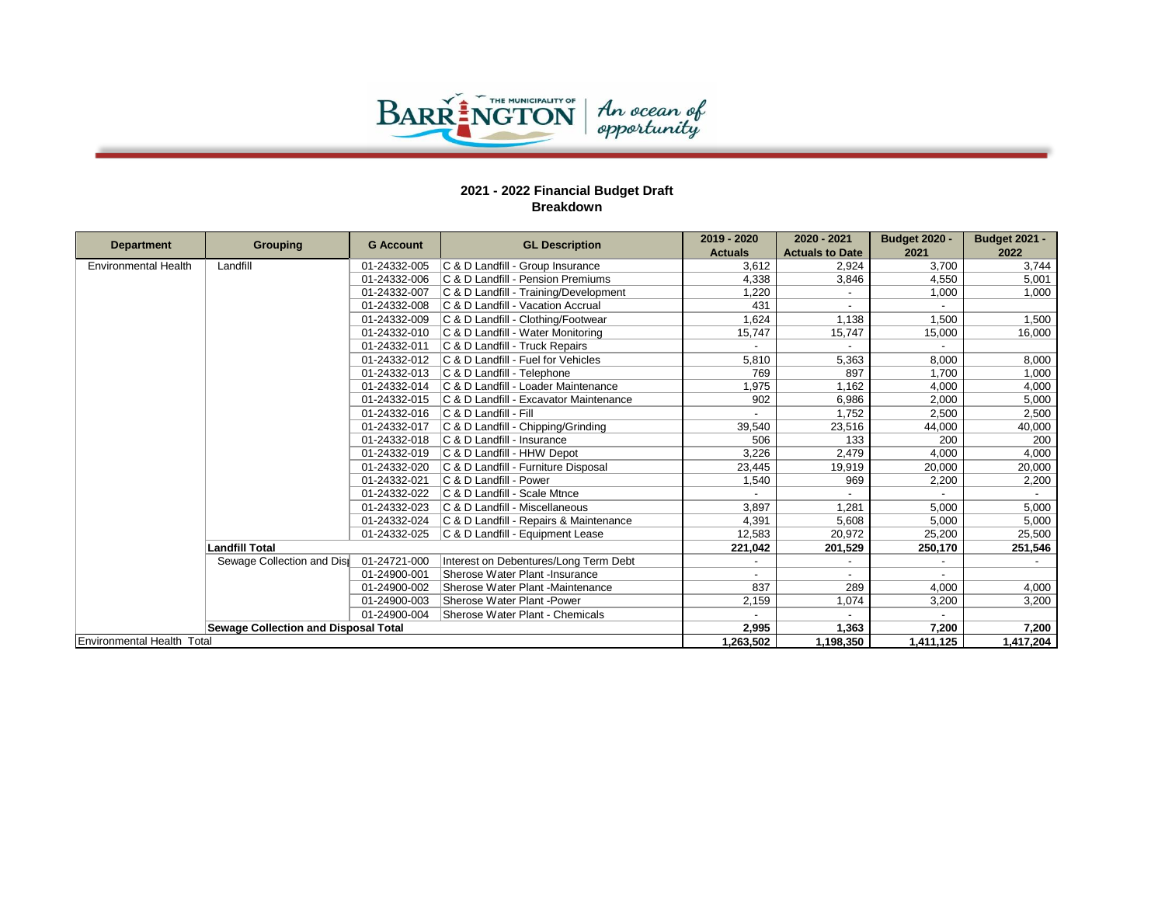

|                             |                                             | <b>G</b> Account | <b>GL Description</b>                  | 2019 - 2020    | 2020 - 2021            | <b>Budget 2020 -</b> | <b>Budget 2021 -</b> |
|-----------------------------|---------------------------------------------|------------------|----------------------------------------|----------------|------------------------|----------------------|----------------------|
| <b>Department</b>           | Grouping                                    |                  |                                        | <b>Actuals</b> | <b>Actuals to Date</b> | 2021                 | 2022                 |
| <b>Environmental Health</b> | Landfill                                    | 01-24332-005     | C & D Landfill - Group Insurance       | 3.612          | 2,924                  | 3.700                | 3,744                |
|                             |                                             | 01-24332-006     | C & D Landfill - Pension Premiums      | 4.338          | 3,846                  | 4.550                | 5,001                |
|                             |                                             | 01-24332-007     | C & D Landfill - Training/Development  | 1,220          |                        | 1,000                | 1,000                |
|                             |                                             | 01-24332-008     | C & D Landfill - Vacation Accrual      | 431            |                        |                      |                      |
|                             |                                             | 01-24332-009     | C & D Landfill - Clothing/Footwear     | 1,624          | 1,138                  | 1,500                | 1,500                |
|                             |                                             | 01-24332-010     | C & D Landfill - Water Monitoring      | 15,747         | 15,747                 | 15,000               | 16,000               |
|                             |                                             | 01-24332-011     | C & D Landfill - Truck Repairs         |                |                        |                      |                      |
|                             |                                             | 01-24332-012     | C & D Landfill - Fuel for Vehicles     | 5.810          | 5,363                  | 8.000                | 8,000                |
|                             |                                             | 01-24332-013     | C & D Landfill - Telephone             | 769            | 897                    | 1,700                | 1,000                |
|                             |                                             | 01-24332-014     | C & D Landfill - Loader Maintenance    | 1,975          | 1,162                  | 4,000                | 4,000                |
|                             |                                             | 01-24332-015     | C & D Landfill - Excavator Maintenance | 902            | 6,986                  | 2,000                | 5,000                |
|                             |                                             | 01-24332-016     | C & D Landfill - Fill                  |                | 1.752                  | 2.500                | 2,500                |
|                             |                                             | 01-24332-017     | C & D Landfill - Chipping/Grinding     | 39,540         | 23,516                 | 44,000               | 40,000               |
|                             |                                             | 01-24332-018     | C & D Landfill - Insurance             | 506            | 133                    | 200                  | 200                  |
|                             |                                             | 01-24332-019     | C & D Landfill - HHW Depot             | 3,226          | 2,479                  | 4,000                | 4,000                |
|                             |                                             | 01-24332-020     | C & D Landfill - Furniture Disposal    | 23,445         | 19,919                 | 20,000               | 20,000               |
|                             |                                             | 01-24332-021     | C & D Landfill - Power                 | 1,540          | 969                    | 2,200                | 2,200                |
|                             |                                             | 01-24332-022     | C & D Landfill - Scale Mtnce           |                |                        |                      |                      |
|                             |                                             | 01-24332-023     | C & D Landfill - Miscellaneous         | 3,897          | 1.281                  | 5,000                | 5,000                |
|                             |                                             | 01-24332-024     | C & D Landfill - Repairs & Maintenance | 4,391          | 5,608                  | 5,000                | 5,000                |
|                             |                                             | 01-24332-025     | C & D Landfill - Equipment Lease       | 12,583         | 20,972                 | 25,200               | 25,500               |
|                             | <b>Landfill Total</b>                       |                  |                                        | 221,042        | 201,529                | 250,170              | 251,546              |
|                             | Sewage Collection and Dist                  | 01-24721-000     | Interest on Debentures/Long Term Debt  |                |                        |                      |                      |
|                             |                                             | 01-24900-001     | Sherose Water Plant -Insurance         |                |                        |                      |                      |
|                             |                                             | 01-24900-002     | Sherose Water Plant -Maintenance       | 837            | 289                    | 4.000                | 4,000                |
|                             |                                             | 01-24900-003     | Sherose Water Plant -Power             | 2,159          | 1,074                  | 3,200                | 3,200                |
|                             |                                             | 01-24900-004     | Sherose Water Plant - Chemicals        |                |                        |                      |                      |
|                             | <b>Sewage Collection and Disposal Total</b> |                  |                                        | 2,995          | 1,363                  | 7,200                | 7,200                |
| Environmental Health Total  |                                             |                  |                                        | 1,263,502      | 1.198.350              | 1,411,125            | 1,417,204            |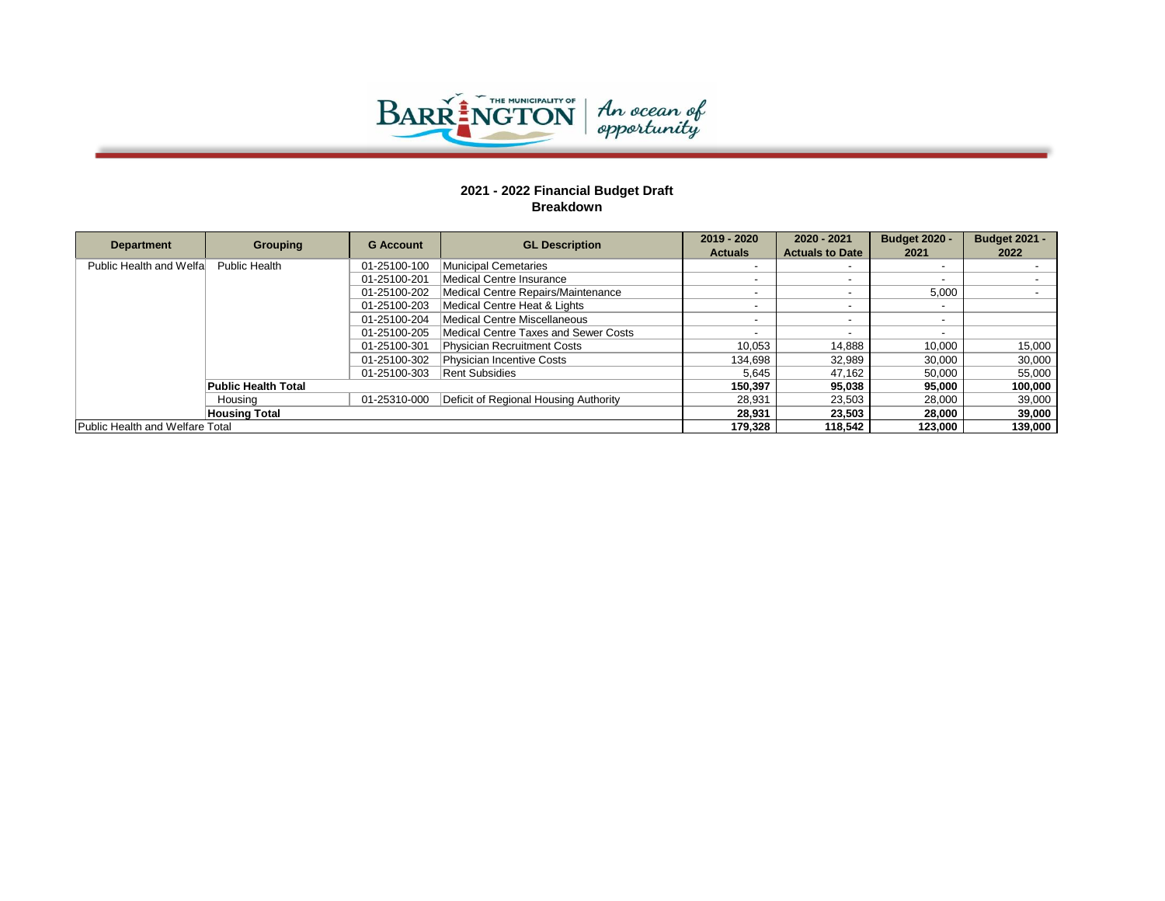

| <b>Department</b>               | Grouping                   | <b>G</b> Account | <b>GL Description</b>                 | 2019 - 2020<br><b>Actuals</b> | 2020 - 2021<br><b>Actuals to Date</b> | <b>Budget 2020 -</b><br>2021 | <b>Budget 2021 -</b><br>2022 |
|---------------------------------|----------------------------|------------------|---------------------------------------|-------------------------------|---------------------------------------|------------------------------|------------------------------|
| Public Health and Welfa         | <b>Public Health</b>       | 01-25100-100     | <b>Municipal Cemetaries</b>           |                               |                                       | $\overline{\phantom{0}}$     |                              |
|                                 |                            | 01-25100-201     | Medical Centre Insurance              |                               |                                       | $\overline{\phantom{0}}$     |                              |
|                                 |                            | 01-25100-202     | Medical Centre Repairs/Maintenance    |                               |                                       | 5,000                        |                              |
|                                 |                            | 01-25100-203     | Medical Centre Heat & Lights          |                               |                                       | $\overline{\phantom{0}}$     |                              |
|                                 |                            | 01-25100-204     | Medical Centre Miscellaneous          |                               |                                       | $\overline{\phantom{0}}$     |                              |
|                                 |                            | 01-25100-205     | Medical Centre Taxes and Sewer Costs  |                               |                                       | $\overline{\phantom{0}}$     |                              |
|                                 |                            | 01-25100-301     | Physician Recruitment Costs           | 10.053                        | 14,888                                | 10.000                       | 15,000                       |
|                                 |                            | 01-25100-302     | Physician Incentive Costs             | 134.698                       | 32,989                                | 30,000                       | 30,000                       |
|                                 |                            | 01-25100-303     | Rent Subsidies                        | 5.645                         | 47.162                                | 50.000                       | 55,000                       |
|                                 | <b>Public Health Total</b> |                  |                                       | 150.397                       | 95,038                                | 95,000                       | 100,000                      |
|                                 | Housina                    | 01-25310-000     | Deficit of Regional Housing Authority | 28.931                        | 23,503                                | 28.000                       | 39,000                       |
|                                 | <b>Housing Total</b>       |                  |                                       | 28,931                        | 23,503                                | 28,000                       | 39,000                       |
| Public Health and Welfare Total |                            |                  |                                       | 179.328                       | 118.542                               | 123.000                      | 139.000                      |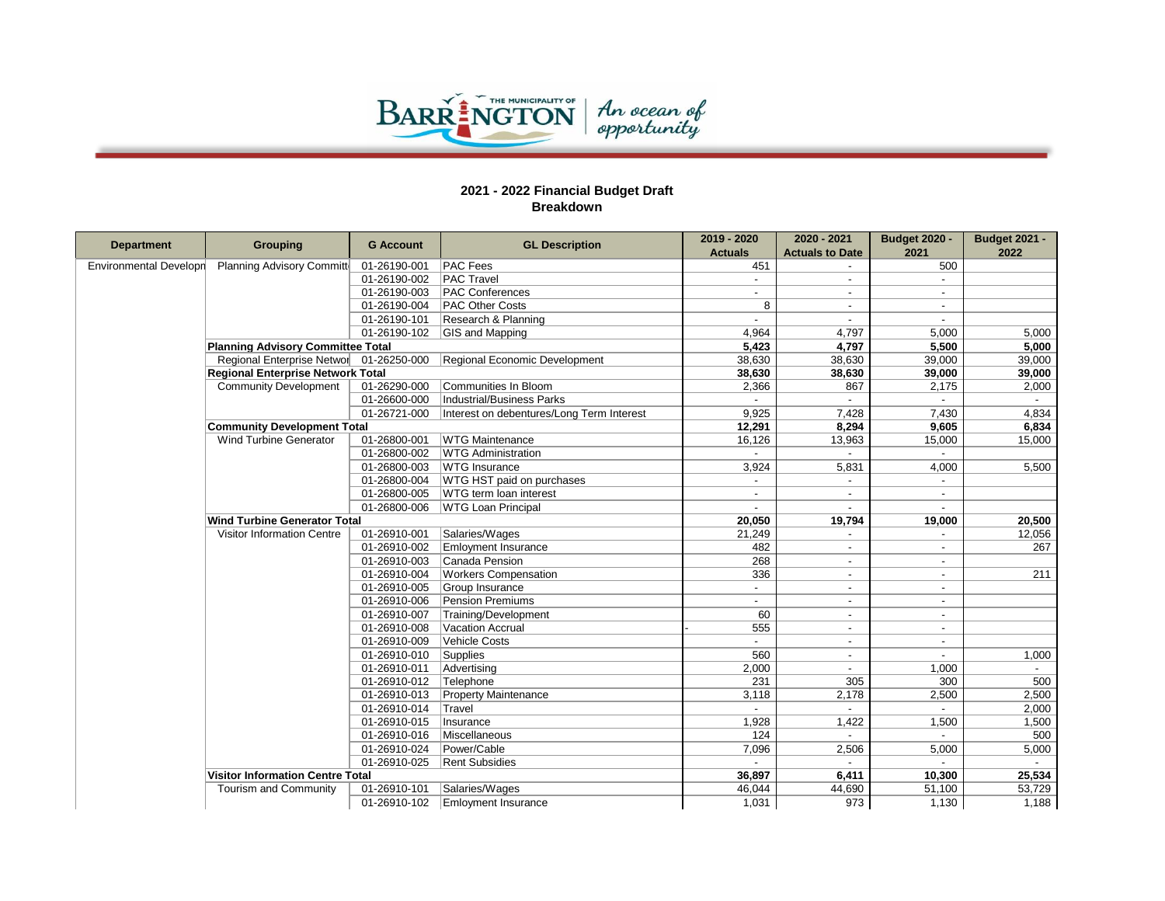

| <b>Department</b>             | <b>Grouping</b>                          | <b>G Account</b> | <b>GL Description</b>                     | 2019 - 2020    | 2020 - 2021              | <b>Budget 2020 -</b>     | <b>Budget 2021 -</b> |
|-------------------------------|------------------------------------------|------------------|-------------------------------------------|----------------|--------------------------|--------------------------|----------------------|
|                               |                                          |                  |                                           | <b>Actuals</b> | <b>Actuals to Date</b>   | 2021                     | 2022                 |
| <b>Environmental Developn</b> | Planning Advisory Committe               | 01-26190-001     | <b>PAC Fees</b>                           | 451            |                          | 500                      |                      |
|                               |                                          | 01-26190-002     | <b>PAC Travel</b>                         |                |                          |                          |                      |
|                               |                                          | 01-26190-003     | <b>PAC Conferences</b>                    |                |                          | $\sim$                   |                      |
|                               |                                          | 01-26190-004     | <b>PAC Other Costs</b>                    | 8              | $\overline{a}$           | $\overline{\phantom{a}}$ |                      |
|                               |                                          | 01-26190-101     | Research & Planning                       |                |                          |                          |                      |
|                               |                                          | 01-26190-102     | GIS and Mapping                           | 4,964          | 4,797                    | 5,000                    | 5,000                |
|                               | <b>Planning Advisory Committee Total</b> |                  |                                           | 5,423          | 4,797                    | 5,500                    | 5,000                |
|                               | Regional Enterprise Networ 01-26250-000  |                  | Regional Economic Development             | 38,630         | 38,630                   | 39,000                   | 39,000               |
|                               | <b>Regional Enterprise Network Total</b> |                  |                                           | 38,630         | 38,630                   | 39,000                   | 39,000               |
|                               | <b>Community Development</b>             | 01-26290-000     | Communities In Bloom                      | 2,366          | 867                      | 2,175                    | 2,000                |
|                               |                                          | 01-26600-000     | Industrial/Business Parks                 |                |                          |                          |                      |
|                               |                                          | 01-26721-000     | Interest on debentures/Long Term Interest | 9,925          | 7,428                    | 7,430                    | 4,834                |
|                               | <b>Community Development Total</b>       |                  |                                           | 12,291         | 8,294                    | 9,605                    | 6,834                |
|                               | <b>Wind Turbine Generator</b>            | 01-26800-001     | <b>WTG Maintenance</b>                    | 16,126         | 13,963                   | 15,000                   | 15,000               |
|                               |                                          | 01-26800-002     | WTG Administration                        |                | $\blacksquare$           |                          |                      |
|                               |                                          | 01-26800-003     | <b>WTG</b> Insurance                      | 3,924          | 5,831                    | 4,000                    | 5,500                |
|                               |                                          | 01-26800-004     | WTG HST paid on purchases                 |                |                          | $\overline{\phantom{a}}$ |                      |
|                               |                                          | 01-26800-005     | WTG term loan interest                    |                |                          | $\blacksquare$           |                      |
|                               |                                          | 01-26800-006     | <b>WTG Loan Principal</b>                 |                |                          | $\overline{a}$           |                      |
|                               | <b>Wind Turbine Generator Total</b>      |                  |                                           | 20,050         | 19,794                   | 19,000                   | 20,500               |
|                               | <b>Visitor Information Centre</b>        | 01-26910-001     | Salaries/Wages                            | 21,249         |                          |                          | 12,056               |
|                               |                                          | 01-26910-002     | <b>Emloyment Insurance</b>                | 482            | $\overline{a}$           | $\sim$                   | 267                  |
|                               |                                          | 01-26910-003     | Canada Pension                            | 268            | $\overline{a}$           |                          |                      |
|                               |                                          | 01-26910-004     | <b>Workers Compensation</b>               | 336            | $\overline{\phantom{a}}$ | $\blacksquare$           | 211                  |
|                               |                                          | 01-26910-005     | Group Insurance                           |                |                          | $\overline{a}$           |                      |
|                               |                                          | 01-26910-006     | Pension Premiums                          | $\blacksquare$ | $\overline{\phantom{0}}$ | $\sim$                   |                      |
|                               |                                          | 01-26910-007     | Training/Development                      | 60             | $\blacksquare$           | $\overline{\phantom{a}}$ |                      |
|                               |                                          | 01-26910-008     | <b>Vacation Accrual</b>                   | 555            | $\overline{\phantom{a}}$ | $\sim$                   |                      |
|                               |                                          | 01-26910-009     | <b>Vehicle Costs</b>                      |                |                          |                          |                      |
|                               |                                          | 01-26910-010     | Supplies                                  | 560            | $\overline{a}$           | $\overline{a}$           | 1,000                |
|                               |                                          | 01-26910-011     | Advertising                               | 2,000          | $\overline{\phantom{a}}$ | 1,000                    |                      |
|                               |                                          | 01-26910-012     | Telephone                                 | 231            | 305                      | 300                      | 500                  |
|                               |                                          | 01-26910-013     | <b>Property Maintenance</b>               | 3,118          | 2,178                    | 2,500                    | 2,500                |
|                               |                                          | 01-26910-014     | Travel                                    |                |                          |                          | 2,000                |
|                               |                                          | 01-26910-015     | Insurance                                 | 1.928          | 1,422                    | 1,500                    | 1,500                |
|                               |                                          | 01-26910-016     | Miscellaneous                             | 124            |                          |                          | 500                  |
|                               |                                          | 01-26910-024     | Power/Cable                               | 7,096          | 2,506                    | 5,000                    | 5,000                |
|                               |                                          | 01-26910-025     | <b>Rent Subsidies</b>                     |                |                          |                          |                      |
|                               | <b>Visitor Information Centre Total</b>  |                  |                                           | 36,897         | 6,411                    | 10,300                   | 25,534               |
|                               | Tourism and Community                    | 01-26910-101     | Salaries/Wages                            | 46,044         | 44,690                   | 51,100                   | 53,729               |
|                               |                                          | 01-26910-102     | <b>Emloyment Insurance</b>                | 1,031          | 973                      | 1,130                    | 1,188                |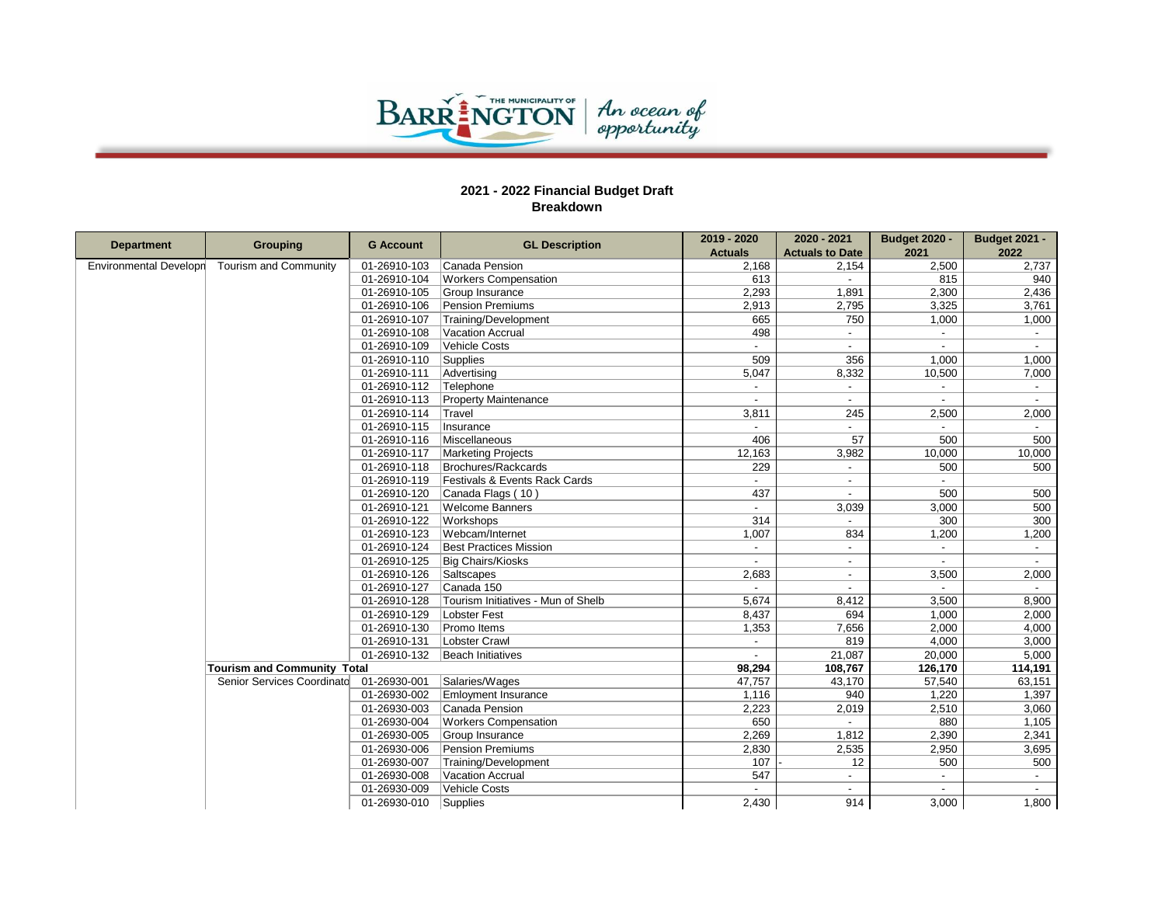

Г

|                               |                                         | <b>G Account</b> | <b>GL Description</b>              | 2019 - 2020              | 2020 - 2021              | <b>Budget 2020 -</b> | <b>Budget 2021 -</b>     |
|-------------------------------|-----------------------------------------|------------------|------------------------------------|--------------------------|--------------------------|----------------------|--------------------------|
| <b>Department</b>             | <b>Grouping</b>                         |                  |                                    | <b>Actuals</b>           | <b>Actuals to Date</b>   | 2021                 | 2022                     |
| <b>Environmental Developn</b> | Tourism and Community                   | 01-26910-103     | Canada Pension                     | 2,168                    | 2,154                    | 2,500                | 2,737                    |
|                               |                                         | 01-26910-104     | <b>Workers Compensation</b>        | 613                      |                          | 815                  | 940                      |
|                               |                                         | 01-26910-105     | Group Insurance                    | 2,293                    | 1,891                    | 2,300                | 2,436                    |
|                               |                                         | 01-26910-106     | Pension Premiums                   | 2,913                    | 2,795                    | 3,325                | 3,761                    |
|                               |                                         | 01-26910-107     | Training/Development               | 665                      | 750                      | 1,000                | 1,000                    |
|                               |                                         | 01-26910-108     | Vacation Accrual                   | 498                      |                          |                      | $\sim$                   |
|                               |                                         | 01-26910-109     | Vehicle Costs                      |                          |                          |                      | $\overline{\phantom{a}}$ |
|                               |                                         | 01-26910-110     | Supplies                           | 509                      | 356                      | 1.000                | 1,000                    |
|                               |                                         | 01-26910-111     | Advertising                        | 5,047                    | 8,332                    | 10,500               | 7,000                    |
|                               |                                         | 01-26910-112     | Telephone                          |                          |                          |                      | $\overline{\phantom{a}}$ |
|                               |                                         | 01-26910-113     | Property Maintenance               | $\overline{a}$           | $\sim$                   | $\sim$               | $\sim$                   |
|                               |                                         | 01-26910-114     | Travel                             | 3,811                    | 245                      | 2,500                | 2,000                    |
|                               |                                         | 01-26910-115     | Insurance                          | $\sim$                   | $\sim$                   |                      |                          |
|                               |                                         | 01-26910-116     | Miscellaneous                      | 406                      | 57                       | 500                  | 500                      |
|                               |                                         | 01-26910-117     | <b>Marketing Projects</b>          | 12,163                   | 3,982                    | 10,000               | 10,000                   |
|                               |                                         | 01-26910-118     | Brochures/Rackcards                | 229                      | $\blacksquare$           | 500                  | 500                      |
|                               |                                         | 01-26910-119     | Festivals & Events Rack Cards      | $\overline{\phantom{0}}$ |                          |                      |                          |
|                               |                                         | 01-26910-120     | Canada Flags (10)                  | 437                      |                          | 500                  | 500                      |
|                               |                                         | 01-26910-121     | <b>Welcome Banners</b>             | $\sim$                   | 3,039                    | 3,000                | 500                      |
|                               |                                         | 01-26910-122     | Workshops                          | 314                      |                          | 300                  | 300                      |
|                               |                                         | 01-26910-123     | Webcam/Internet                    | 1,007                    | 834                      | 1,200                | 1,200                    |
|                               |                                         | 01-26910-124     | <b>Best Practices Mission</b>      | $\overline{a}$           |                          |                      | $\sim$                   |
|                               |                                         | 01-26910-125     | Big Chairs/Kiosks                  | $\overline{a}$           | $\sim$                   | $\overline{a}$       | $\overline{\phantom{a}}$ |
|                               |                                         | 01-26910-126     | Saltscapes                         | 2,683                    | $\overline{a}$           | 3,500                | 2,000                    |
|                               |                                         | 01-26910-127     | Canada 150                         |                          |                          |                      |                          |
|                               |                                         | 01-26910-128     | Tourism Initiatives - Mun of Shelb | 5.674                    | 8,412                    | 3,500                | 8,900                    |
|                               |                                         | 01-26910-129     | Lobster Fest                       | 8,437                    | 694                      | 1,000                | 2,000                    |
|                               |                                         | 01-26910-130     | Promo Items                        | 1,353                    | 7,656                    | 2,000                | 4,000                    |
|                               |                                         | 01-26910-131     | Lobster Crawl                      |                          | 819                      | 4,000                | 3,000                    |
|                               |                                         | 01-26910-132     | Beach Initiatives                  | $\overline{\phantom{a}}$ | 21,087                   | 20,000               | 5,000                    |
|                               | <b>Tourism and Community Total</b>      |                  |                                    | 98,294                   | 108,767                  | 126,170              | 114,191                  |
|                               | Senior Services Coordinato 01-26930-001 |                  | Salaries/Wages                     | 47,757                   | 43,170                   | 57,540               | 63,151                   |
|                               |                                         | 01-26930-002     | <b>Emloyment Insurance</b>         | 1,116                    | 940                      | 1,220                | 1,397                    |
|                               |                                         | 01-26930-003     | Canada Pension                     | 2,223                    | 2,019                    | 2,510                | 3,060                    |
|                               |                                         | 01-26930-004     | <b>Workers Compensation</b>        | 650                      |                          | 880                  | 1,105                    |
|                               |                                         | 01-26930-005     | Group Insurance                    | 2,269                    | 1,812                    | 2,390                | 2,341                    |
|                               |                                         | 01-26930-006     | Pension Premiums                   | 2,830                    | 2,535                    | 2,950                | 3,695                    |
|                               |                                         | 01-26930-007     | Training/Development               | 107                      | 12                       | 500                  | 500                      |
|                               |                                         | 01-26930-008     | Vacation Accrual                   | 547                      | $\overline{\phantom{a}}$ |                      | $\sim$                   |
|                               |                                         | 01-26930-009     | Vehicle Costs                      |                          |                          |                      |                          |
|                               |                                         | 01-26930-010     | Supplies                           | 2,430                    | 914                      | 3,000                | 1,800                    |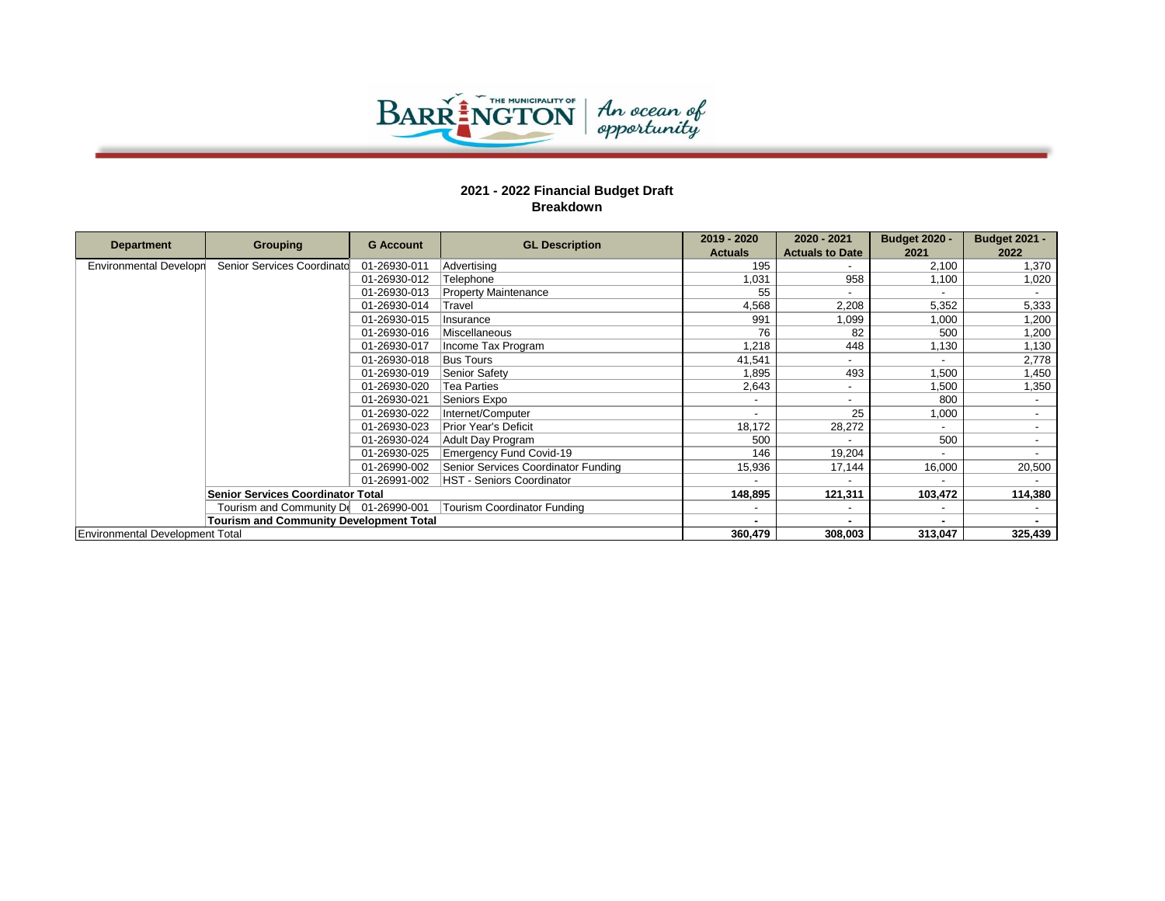

|                                 |                                                |                  |                                     | 2019 - 2020    | 2020 - 2021            | <b>Budget 2020 -</b> | <b>Budget 2021 -</b> |
|---------------------------------|------------------------------------------------|------------------|-------------------------------------|----------------|------------------------|----------------------|----------------------|
| <b>Department</b>               | Grouping                                       | <b>G</b> Account | <b>GL Description</b>               | <b>Actuals</b> | <b>Actuals to Date</b> | 2021                 | 2022                 |
| <b>Environmental Developn</b>   | Senior Services Coordinato                     | 01-26930-011     | Advertising                         | 195            |                        | 2,100                | 1,370                |
|                                 |                                                | 01-26930-012     | Telephone                           | 1,031          | 958                    | 1,100                | 1,020                |
|                                 |                                                | 01-26930-013     | <b>Property Maintenance</b>         | 55             |                        |                      |                      |
|                                 |                                                | 01-26930-014     | Travel                              | 4,568          | 2,208                  | 5,352                | 5,333                |
|                                 |                                                | 01-26930-015     | Insurance                           | 991            | 1,099                  | 1,000                | 1,200                |
|                                 |                                                | 01-26930-016     | Miscellaneous                       | 76             | 82                     | 500                  | 1,200                |
|                                 |                                                | 01-26930-017     | Income Tax Program                  | 1,218          | 448                    | 1,130                | 1,130                |
|                                 |                                                | 01-26930-018     | <b>Bus Tours</b>                    | 41,541         |                        |                      | 2,778                |
|                                 |                                                | 01-26930-019     | Senior Safety                       | 1,895          | 493                    | 1,500                | 1,450                |
|                                 |                                                | 01-26930-020     | <b>Tea Parties</b>                  | 2,643          |                        | 1,500                | 1,350                |
|                                 |                                                | 01-26930-021     | Seniors Expo                        |                |                        | 800                  |                      |
|                                 |                                                | 01-26930-022     | Internet/Computer                   |                | 25                     | 1,000                |                      |
|                                 |                                                | 01-26930-023     | <b>Prior Year's Deficit</b>         | 18,172         | 28,272                 | $\sim$               |                      |
|                                 |                                                | 01-26930-024     | Adult Day Program                   | 500            |                        | 500                  |                      |
|                                 |                                                | 01-26930-025     | <b>Emergency Fund Covid-19</b>      | 146            | 19,204                 |                      |                      |
|                                 |                                                | 01-26990-002     | Senior Services Coordinator Funding | 15,936         | 17,144                 | 16,000               | 20,500               |
|                                 |                                                | 01-26991-002     | <b>HST - Seniors Coordinator</b>    |                |                        |                      |                      |
|                                 | <b>Senior Services Coordinator Total</b>       |                  |                                     | 148,895        | 121,311                | 103,472              | 114,380              |
|                                 | Tourism and Community De 01-26990-001          |                  | Tourism Coordinator Funding         |                |                        |                      |                      |
|                                 | <b>Tourism and Community Development Total</b> |                  |                                     |                |                        |                      |                      |
| Environmental Development Total |                                                |                  |                                     | 360,479        | 308,003                | 313,047              | 325,439              |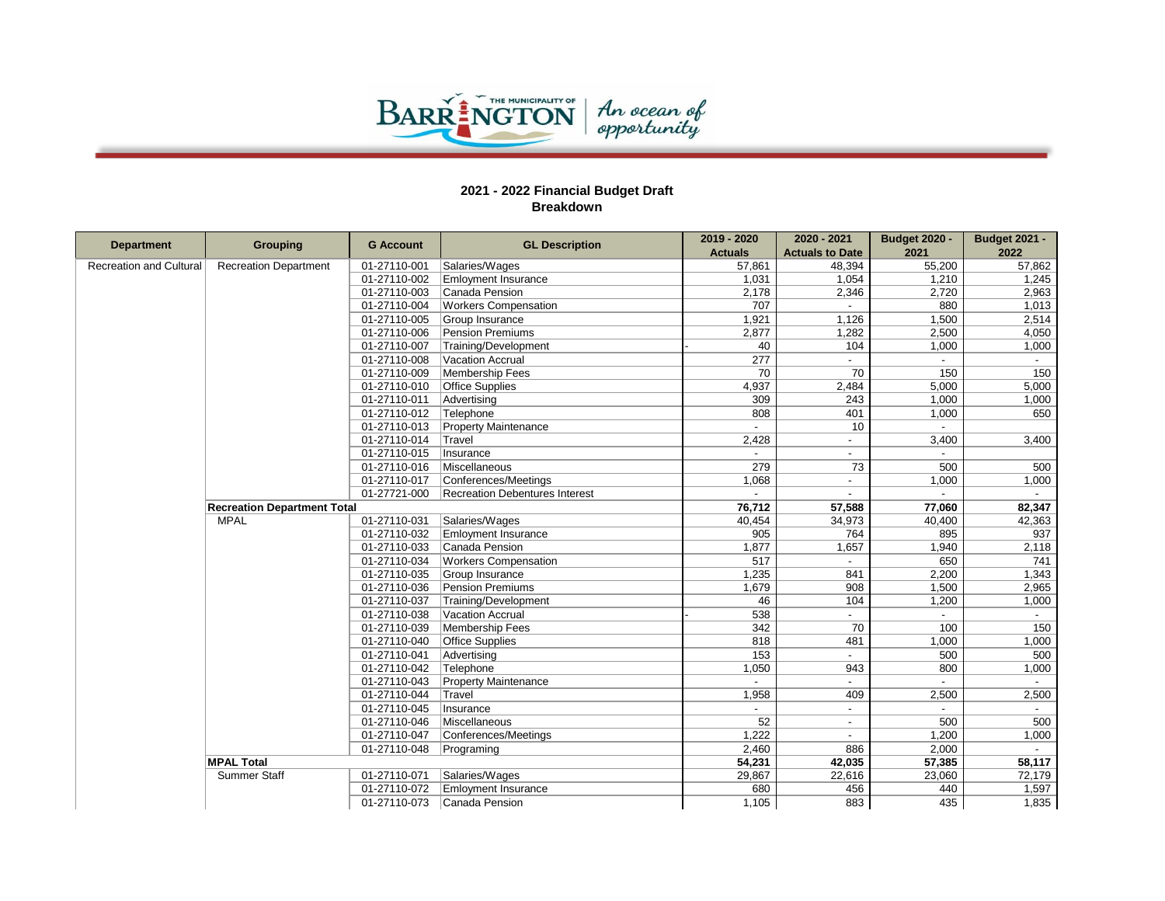

| <b>Department</b>              | <b>Grouping</b>                    | <b>G</b> Account | <b>GL Description</b>          | 2019 - 2020    | 2020 - 2021              | <b>Budget 2020 -</b>     | <b>Budget 2021 -</b> |
|--------------------------------|------------------------------------|------------------|--------------------------------|----------------|--------------------------|--------------------------|----------------------|
|                                |                                    |                  |                                | <b>Actuals</b> | <b>Actuals to Date</b>   | 2021                     | 2022                 |
| <b>Recreation and Cultural</b> | <b>Recreation Department</b>       | 01-27110-001     | Salaries/Wages                 | 57,861         | 48,394                   | 55,200                   | 57,862               |
|                                |                                    | 01-27110-002     | <b>Emloyment Insurance</b>     | 1,031          | 1,054                    | 1,210                    | 1,245                |
|                                |                                    | 01-27110-003     | Canada Pension                 | 2,178          | 2,346                    | 2,720                    | 2,963                |
|                                |                                    | 01-27110-004     | <b>Workers Compensation</b>    | 707            |                          | 880                      | 1,013                |
|                                |                                    | 01-27110-005     | Group Insurance                | 1,921          | 1,126                    | 1,500                    | 2,514                |
|                                |                                    | 01-27110-006     | Pension Premiums               | 2,877          | 1,282                    | 2,500                    | 4,050                |
|                                |                                    | 01-27110-007     | Training/Development           | 40             | 104                      | 1,000                    | 1,000                |
|                                |                                    | 01-27110-008     | Vacation Accrual               | 277            |                          | $\blacksquare$           | $\sim$               |
|                                |                                    | 01-27110-009     | Membership Fees                | 70             | 70                       | 150                      | 150                  |
|                                |                                    | 01-27110-010     | <b>Office Supplies</b>         | 4,937          | 2,484                    | 5,000                    | 5,000                |
|                                |                                    | 01-27110-011     | Advertising                    | 309            | 243                      | 1,000                    | 1,000                |
|                                |                                    | 01-27110-012     | Telephone                      | 808            | 401                      | 1,000                    | 650                  |
|                                |                                    | 01-27110-013     | <b>Property Maintenance</b>    | $\sim$         | 10                       | $\sim$                   |                      |
|                                |                                    | 01-27110-014     | Travel                         | 2,428          |                          | 3,400                    | 3,400                |
|                                |                                    | 01-27110-015     | Insurance                      |                | $\overline{\phantom{a}}$ |                          |                      |
|                                |                                    | 01-27110-016     | Miscellaneous                  | 279            | 73                       | 500                      | 500                  |
|                                |                                    | 01-27110-017     | Conferences/Meetings           | 1,068          | $\blacksquare$           | 1,000                    | 1,000                |
|                                |                                    | 01-27721-000     | Recreation Debentures Interest |                |                          |                          |                      |
|                                | <b>Recreation Department Total</b> |                  |                                | 76,712         | 57,588                   | 77,060                   | 82,347               |
|                                | <b>MPAL</b>                        | 01-27110-031     | Salaries/Wages                 | 40,454         | 34,973                   | 40,400                   | 42,363               |
|                                |                                    | 01-27110-032     | <b>Emloyment Insurance</b>     | 905            | 764                      | 895                      | 937                  |
|                                |                                    | 01-27110-033     | Canada Pension                 | 1,877          | 1,657                    | 1,940                    | 2,118                |
|                                |                                    | 01-27110-034     | <b>Workers Compensation</b>    | 517            | $\overline{\phantom{a}}$ | 650                      | 741                  |
|                                |                                    | 01-27110-035     | Group Insurance                | 1,235          | 841                      | 2,200                    | 1,343                |
|                                |                                    | 01-27110-036     | Pension Premiums               | 1,679          | 908                      | 1,500                    | 2,965                |
|                                |                                    | 01-27110-037     | Training/Development           | 46             | 104                      | 1,200                    | 1,000                |
|                                |                                    | 01-27110-038     | Vacation Accrual               | 538            |                          |                          |                      |
|                                |                                    | 01-27110-039     | Membership Fees                | 342            | 70                       | 100                      | 150                  |
|                                |                                    | 01-27110-040     | <b>Office Supplies</b>         | 818            | 481                      | 1,000                    | 1,000                |
|                                |                                    | 01-27110-041     | Advertising                    | 153            | $\blacksquare$           | 500                      | 500                  |
|                                |                                    | 01-27110-042     | Telephone                      | 1,050          | 943                      | 800                      | 1,000                |
|                                |                                    | 01-27110-043     | <b>Property Maintenance</b>    |                |                          | $\overline{\phantom{a}}$ |                      |
|                                |                                    | 01-27110-044     | Travel                         | 1,958          | 409                      | 2,500                    | 2,500                |
|                                |                                    | 01-27110-045     | Insurance                      |                | $\blacksquare$           | $\blacksquare$           | $\sim$               |
|                                |                                    | 01-27110-046     | Miscellaneous                  | 52             | $\overline{\phantom{a}}$ | 500                      | 500                  |
|                                |                                    | 01-27110-047     | Conferences/Meetings           | 1,222          |                          | 1,200                    | 1,000                |
|                                |                                    | 01-27110-048     | Programing                     | 2,460          | 886                      | 2,000                    | $\sim$               |
|                                | <b>MPAL Total</b>                  |                  |                                | 54,231         | 42,035                   | 57,385                   | 58,117               |
|                                | <b>Summer Staff</b>                | 01-27110-071     | Salaries/Wages                 | 29,867         | 22,616                   | 23,060                   | 72,179               |
|                                |                                    | 01-27110-072     | <b>Emloyment Insurance</b>     | 680            | 456                      | 440                      | 1,597                |
|                                |                                    | 01-27110-073     | Canada Pension                 | 1,105          | 883                      | 435                      | 1,835                |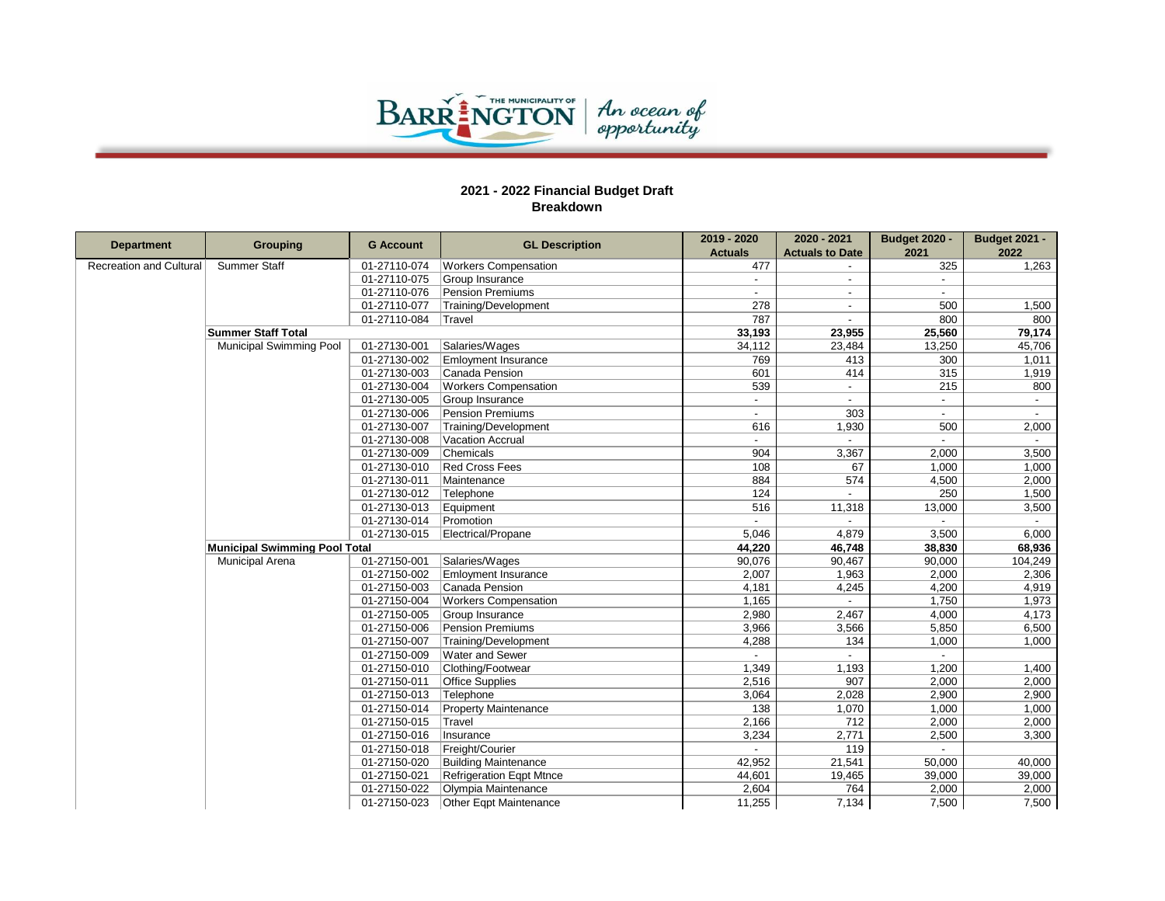

|                         | <b>Grouping</b>                      | <b>G Account</b> | <b>GL Description</b>           | 2019 - 2020    | 2020 - 2021            | <b>Budget 2020 -</b>     | <b>Budget 2021 -</b> |
|-------------------------|--------------------------------------|------------------|---------------------------------|----------------|------------------------|--------------------------|----------------------|
| <b>Department</b>       |                                      |                  |                                 | <b>Actuals</b> | <b>Actuals to Date</b> | 2021                     | 2022                 |
| Recreation and Cultural | Summer Staff                         | 01-27110-074     | <b>Workers Compensation</b>     | 477            |                        | 325                      | 1,263                |
|                         |                                      | 01-27110-075     | Group Insurance                 |                |                        | $\overline{\phantom{a}}$ |                      |
|                         |                                      | 01-27110-076     | Pension Premiums                |                |                        |                          |                      |
|                         |                                      | 01-27110-077     | Training/Development            | 278            | $\sim$                 | 500                      | 1,500                |
|                         |                                      | 01-27110-084     | Travel                          | 787            |                        | 800                      | 800                  |
|                         | <b>Summer Staff Total</b>            |                  |                                 | 33,193         | 23,955                 | 25,560                   | 79,174               |
|                         | <b>Municipal Swimming Pool</b>       | 01-27130-001     | Salaries/Wages                  | 34,112         | 23,484                 | 13,250                   | 45,706               |
|                         |                                      | 01-27130-002     | <b>Emloyment Insurance</b>      | 769            | 413                    | 300                      | 1,011                |
|                         |                                      | 01-27130-003     | Canada Pension                  | 601            | 414                    | 315                      | 1,919                |
|                         |                                      | 01-27130-004     | <b>Workers Compensation</b>     | 539            |                        | 215                      | 800                  |
|                         |                                      | 01-27130-005     | Group Insurance                 | $\overline{a}$ | $\sim$                 | $\sim$                   | $\sim$               |
|                         |                                      | 01-27130-006     | Pension Premiums                | $\blacksquare$ | 303                    | $\sim$                   | $\sim$               |
|                         |                                      | 01-27130-007     | Training/Development            | 616            | 1,930                  | 500                      | 2,000                |
|                         |                                      | 01-27130-008     | Vacation Accrual                | ÷.             |                        |                          |                      |
|                         |                                      | 01-27130-009     | Chemicals                       | 904            | 3,367                  | 2,000                    | 3,500                |
|                         |                                      | 01-27130-010     | <b>Red Cross Fees</b>           | 108            | 67                     | 1,000                    | 1,000                |
|                         |                                      | 01-27130-011     | Maintenance                     | 884            | 574                    | 4,500                    | 2,000                |
|                         |                                      | 01-27130-012     | Telephone                       | 124            |                        | 250                      | 1,500                |
|                         |                                      | 01-27130-013     | Equipment                       | 516            | 11,318                 | 13,000                   | 3,500                |
|                         |                                      | 01-27130-014     | Promotion                       |                |                        |                          |                      |
|                         |                                      | 01-27130-015     | Electrical/Propane              | 5,046          | 4,879                  | 3,500                    | 6,000                |
|                         | <b>Municipal Swimming Pool Total</b> |                  |                                 | 44,220         | 46,748                 | 38,830                   | 68,936               |
|                         | <b>Municipal Arena</b>               | 01-27150-001     | Salaries/Wages                  | 90,076         | 90,467                 | 90,000                   | 104,249              |
|                         |                                      | 01-27150-002     | <b>Emloyment Insurance</b>      | 2,007          | 1,963                  | 2,000                    | 2,306                |
|                         |                                      | 01-27150-003     | Canada Pension                  | 4,181          | 4,245                  | 4,200                    | 4,919                |
|                         |                                      | 01-27150-004     | <b>Workers Compensation</b>     | 1,165          |                        | 1,750                    | 1,973                |
|                         |                                      | 01-27150-005     | Group Insurance                 | 2,980          | 2,467                  | 4,000                    | 4,173                |
|                         |                                      | 01-27150-006     | Pension Premiums                | 3,966          | 3,566                  | 5,850                    | 6,500                |
|                         |                                      | 01-27150-007     | Training/Development            | 4,288          | 134                    | 1,000                    | 1,000                |
|                         |                                      | 01-27150-009     | <b>Water and Sewer</b>          |                |                        | $\sim$                   |                      |
|                         |                                      | 01-27150-010     | Clothing/Footwear               | 1,349          | 1,193                  | 1,200                    | 1,400                |
|                         |                                      | 01-27150-011     | <b>Office Supplies</b>          | 2,516          | 907                    | 2,000                    | 2,000                |
|                         |                                      | 01-27150-013     | Telephone                       | 3,064          | 2,028                  | 2,900                    | 2,900                |
|                         |                                      | 01-27150-014     | <b>Property Maintenance</b>     | 138            | 1,070                  | 1,000                    | 1,000                |
|                         |                                      | 01-27150-015     | Travel                          | 2,166          | 712                    | 2,000                    | 2,000                |
|                         |                                      | 01-27150-016     | Insurance                       | 3,234          | 2,771                  | 2,500                    | 3,300                |
|                         |                                      | 01-27150-018     | Freight/Courier                 |                | 119                    |                          |                      |
|                         |                                      | 01-27150-020     | <b>Building Maintenance</b>     | 42,952         | 21,541                 | 50,000                   | 40,000               |
|                         |                                      | 01-27150-021     | <b>Refrigeration Eqpt Mtnce</b> | 44,601         | 19,465                 | 39,000                   | 39,000               |
|                         |                                      | 01-27150-022     | Olympia Maintenance             | 2,604          | 764                    | 2,000                    | 2,000                |
|                         |                                      | 01-27150-023     | <b>Other Egpt Maintenance</b>   | 11,255         | 7,134                  | 7,500                    | 7,500                |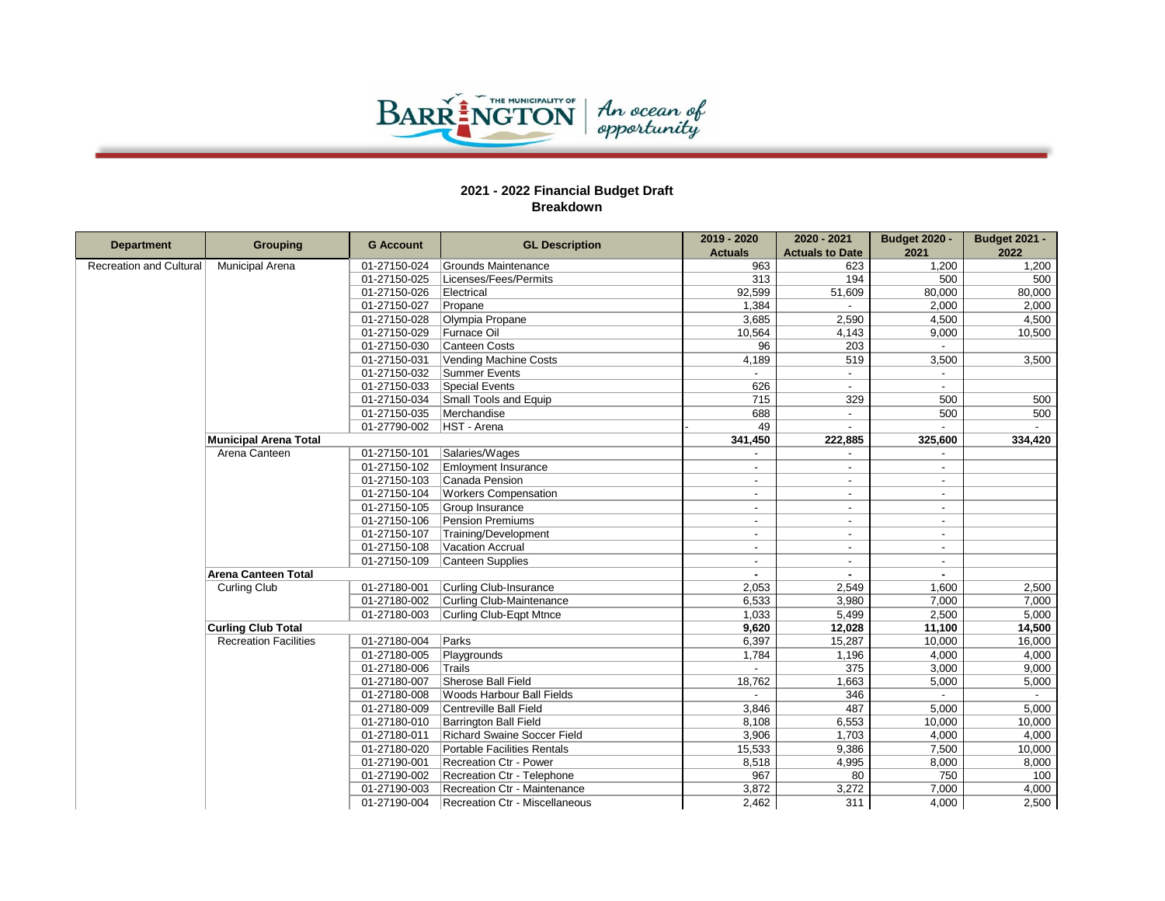

Г

|                                | <b>Grouping</b>              |                  | <b>GL Description</b>              | 2019 - 2020              | 2020 - 2021              | <b>Budget 2020 -</b>     | <b>Budget 2021 -</b> |
|--------------------------------|------------------------------|------------------|------------------------------------|--------------------------|--------------------------|--------------------------|----------------------|
| <b>Department</b>              |                              | <b>G</b> Account |                                    | <b>Actuals</b>           | <b>Actuals to Date</b>   | 2021                     | 2022                 |
| <b>Recreation and Cultural</b> | <b>Municipal Arena</b>       | 01-27150-024     | Grounds Maintenance                | 963                      | 623                      | 1,200                    | 1,200                |
|                                |                              | 01-27150-025     | Licenses/Fees/Permits              | 313                      | 194                      | 500                      | 500                  |
|                                |                              | 01-27150-026     | Electrical                         | 92,599                   | 51,609                   | 80,000                   | 80,000               |
|                                |                              | 01-27150-027     | Propane                            | 1.384                    |                          | 2.000                    | 2,000                |
|                                |                              | 01-27150-028     | Olympia Propane                    | 3,685                    | 2,590                    | 4,500                    | 4,500                |
|                                |                              | 01-27150-029     | Furnace Oil                        | 10,564                   | 4,143                    | 9,000                    | 10,500               |
|                                |                              | 01-27150-030     | Canteen Costs                      | 96                       | 203                      |                          |                      |
|                                |                              | 01-27150-031     | Vending Machine Costs              | 4,189                    | 519                      | 3,500                    | 3,500                |
|                                |                              | 01-27150-032     | Summer Events                      |                          | $\overline{\phantom{a}}$ | $\overline{a}$           |                      |
|                                |                              | 01-27150-033     | <b>Special Events</b>              | 626                      |                          |                          |                      |
|                                |                              | 01-27150-034     | Small Tools and Equip              | 715                      | 329                      | 500                      | 500                  |
|                                |                              | 01-27150-035     | Merchandise                        | 688                      |                          | 500                      | 500                  |
|                                |                              | 01-27790-002     | HST - Arena                        | 49                       | $\overline{a}$           |                          |                      |
|                                | <b>Municipal Arena Total</b> |                  |                                    | 341,450                  | 222,885                  | 325,600                  | 334,420              |
|                                | Arena Canteen                | 01-27150-101     | Salaries/Wages                     |                          |                          |                          |                      |
|                                |                              | 01-27150-102     | <b>Emloyment Insurance</b>         |                          |                          |                          |                      |
|                                |                              | 01-27150-103     | Canada Pension                     | $\overline{\phantom{a}}$ | $\blacksquare$           | $\overline{\phantom{a}}$ |                      |
|                                |                              | 01-27150-104     | <b>Workers Compensation</b>        |                          |                          | $\overline{a}$           |                      |
|                                |                              | 01-27150-105     | Group Insurance                    | $\overline{\phantom{a}}$ | $\overline{\phantom{a}}$ | $\sim$                   |                      |
|                                |                              | 01-27150-106     | Pension Premiums                   | $\overline{\phantom{a}}$ | $\overline{a}$           | $\sim$                   |                      |
|                                |                              | 01-27150-107     | Training/Development               |                          |                          | $\overline{\phantom{a}}$ |                      |
|                                |                              | 01-27150-108     | Vacation Accrual                   |                          | $\overline{a}$           | $\sim$                   |                      |
|                                |                              | 01-27150-109     | Canteen Supplies                   |                          | $\blacksquare$           | $\sim$                   |                      |
|                                | <b>Arena Canteen Total</b>   |                  |                                    |                          |                          |                          |                      |
|                                | Curling Club                 | 01-27180-001     | Curling Club-Insurance             | 2.053                    | 2.549                    | 1.600                    | 2,500                |
|                                |                              | 01-27180-002     | Curling Club-Maintenance           | 6,533                    | 3,980                    | 7,000                    | 7,000                |
|                                |                              | 01-27180-003     | Curling Club-Eqpt Mtnce            | 1,033                    | 5,499                    | 2,500                    | 5,000                |
|                                | <b>Curling Club Total</b>    |                  |                                    | 9,620                    | 12,028                   | 11,100                   | 14,500               |
|                                | <b>Recreation Facilities</b> | 01-27180-004     | Parks                              | 6,397                    | 15,287                   | 10,000                   | 16,000               |
|                                |                              | 01-27180-005     | Playgrounds                        | 1,784                    | 1,196                    | 4,000                    | 4,000                |
|                                |                              | 01-27180-006     | Trails                             |                          | 375                      | 3,000                    | 9,000                |
|                                |                              | 01-27180-007     | Sherose Ball Field                 | 18,762                   | 1,663                    | 5,000                    | 5,000                |
|                                |                              | 01-27180-008     | Woods Harbour Ball Fields          |                          | 346                      |                          |                      |
|                                |                              | 01-27180-009     | Centreville Ball Field             | 3,846                    | 487                      | 5,000                    | 5,000                |
|                                |                              | 01-27180-010     | <b>Barrington Ball Field</b>       | 8,108                    | 6,553                    | 10,000                   | 10,000               |
|                                |                              | 01-27180-011     | <b>Richard Swaine Soccer Field</b> | 3,906                    | 1,703                    | 4,000                    | 4,000                |
|                                |                              | 01-27180-020     | Portable Facilities Rentals        | 15,533                   | 9,386                    | 7,500                    | 10,000               |
|                                |                              | 01-27190-001     | <b>Recreation Ctr - Power</b>      | 8,518                    | 4,995                    | 8,000                    | 8,000                |
|                                |                              | 01-27190-002     | Recreation Ctr - Telephone         | 967                      | 80                       | 750                      | 100                  |
|                                |                              | 01-27190-003     | Recreation Ctr - Maintenance       | 3,872                    | 3,272                    | 7,000                    | 4,000                |
|                                |                              | 01-27190-004     | Recreation Ctr - Miscellaneous     | 2,462                    | 311                      | 4,000                    | 2,500                |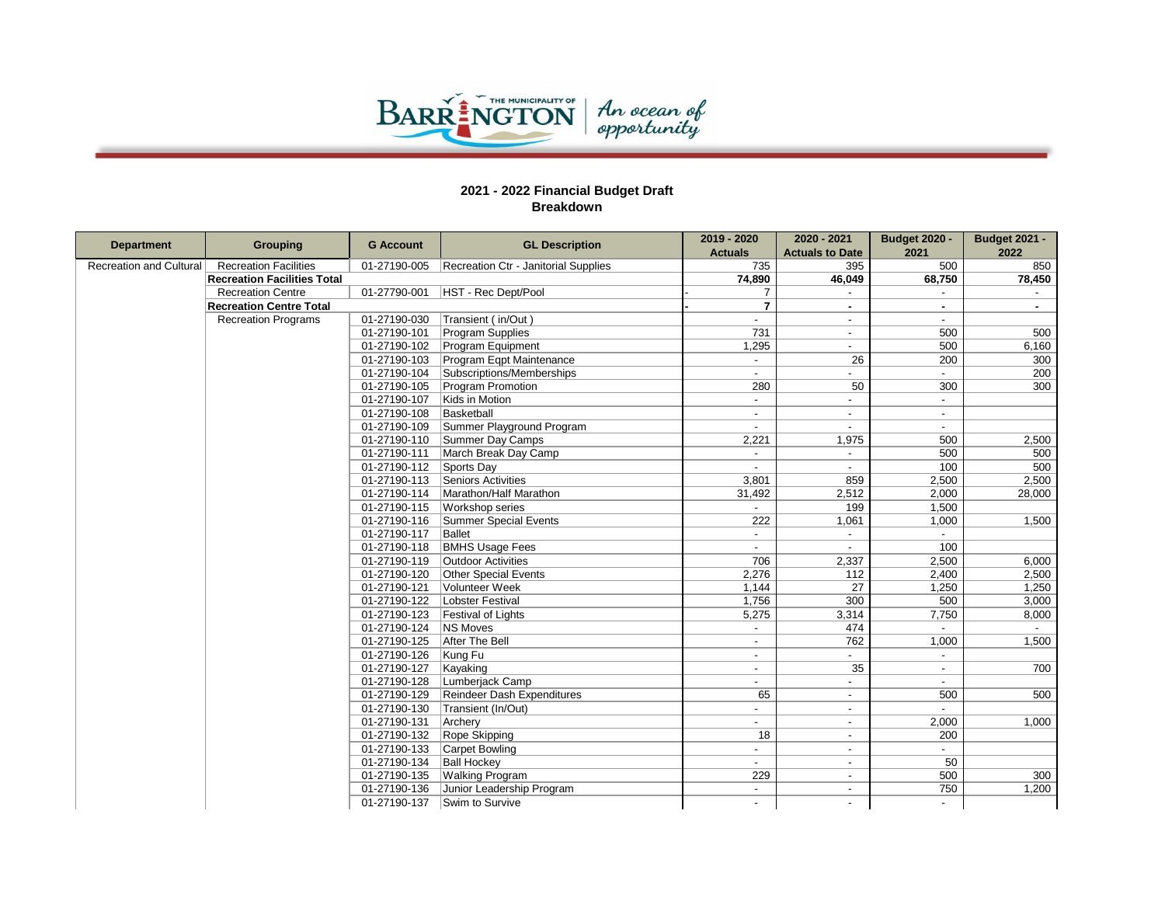

| <b>Department</b>              | <b>Grouping</b>                    | <b>G</b> Account | <b>GL Description</b>                | 2019 - 2020              | 2020 - 2021              | <b>Budget 2020 -</b> | <b>Budget 2021 -</b> |
|--------------------------------|------------------------------------|------------------|--------------------------------------|--------------------------|--------------------------|----------------------|----------------------|
|                                |                                    |                  |                                      | <b>Actuals</b>           | <b>Actuals to Date</b>   | 2021                 | 2022                 |
| <b>Recreation and Cultural</b> | <b>Recreation Facilities</b>       | 01-27190-005     | Recreation Ctr - Janitorial Supplies | 735                      | 395                      | 500                  | 850                  |
|                                | <b>Recreation Facilities Total</b> |                  |                                      | 74,890                   | 46,049                   | 68,750               | 78,450               |
|                                | <b>Recreation Centre</b>           | 01-27790-001     | HST - Rec Dept/Pool                  | $\overline{7}$           |                          |                      |                      |
|                                | <b>Recreation Centre Total</b>     |                  |                                      | $\overline{7}$           |                          | $\sim$               | $\sim$               |
|                                | <b>Recreation Programs</b>         | 01-27190-030     | Transient (in/Out)                   |                          | $\blacksquare$           |                      |                      |
|                                |                                    | 01-27190-101     | Program Supplies                     | 731                      | $\blacksquare$           | 500                  | 500                  |
|                                |                                    | 01-27190-102     | Program Equipment                    | 1,295                    |                          | 500                  | 6,160                |
|                                |                                    | 01-27190-103     | Program Eqpt Maintenance             | $\sim$                   | 26                       | 200                  | 300                  |
|                                |                                    | 01-27190-104     | Subscriptions/Memberships            |                          |                          |                      | 200                  |
|                                |                                    | 01-27190-105     | Program Promotion                    | 280                      | 50                       | 300                  | 300                  |
|                                |                                    | 01-27190-107     | Kids in Motion                       |                          |                          | $\sim$               |                      |
|                                |                                    | 01-27190-108     | Basketball                           | $\overline{a}$           | $\overline{\phantom{a}}$ | $\sim$               |                      |
|                                |                                    | 01-27190-109     | Summer Playground Program            |                          |                          |                      |                      |
|                                |                                    | 01-27190-110     | Summer Day Camps                     | 2.221                    | 1.975                    | 500                  | 2,500                |
|                                |                                    | 01-27190-111     | March Break Day Camp                 |                          | $\sim$                   | 500                  | 500                  |
|                                |                                    | 01-27190-112     | Sports Day                           | $\blacksquare$           | $\blacksquare$           | 100                  | 500                  |
|                                |                                    | 01-27190-113     | Seniors Activities                   | 3.801                    | 859                      | 2,500                | 2,500                |
|                                |                                    | 01-27190-114     | Marathon/Half Marathon               | 31,492                   | 2,512                    | 2,000                | 28,000               |
|                                |                                    | 01-27190-115     | <b>Workshop series</b>               |                          | 199                      | 1,500                |                      |
|                                |                                    | 01-27190-116     | Summer Special Events                | 222                      | 1,061                    | 1,000                | 1,500                |
|                                |                                    | 01-27190-117     | Ballet                               | $\sim$                   | $\overline{\phantom{a}}$ |                      |                      |
|                                |                                    | 01-27190-118     | <b>BMHS Usage Fees</b>               |                          |                          | 100                  |                      |
|                                |                                    | 01-27190-119     | Outdoor Activities                   | 706                      | 2,337                    | 2,500                | 6,000                |
|                                |                                    | 01-27190-120     | Other Special Events                 | 2,276                    | 112                      | 2,400                | 2,500                |
|                                |                                    | 01-27190-121     | Volunteer Week                       | 1.144                    | 27                       | 1,250                | 1,250                |
|                                |                                    | 01-27190-122     | Lobster Festival                     | 1,756                    | 300                      | 500                  | 3,000                |
|                                |                                    | 01-27190-123     | Festival of Lights                   | 5,275                    | 3,314                    | 7,750                | 8,000                |
|                                |                                    | 01-27190-124     | <b>NS Moves</b>                      |                          | 474                      |                      |                      |
|                                |                                    | 01-27190-125     | After The Bell                       | $\blacksquare$           | 762                      | 1,000                | 1,500                |
|                                |                                    | 01-27190-126     | Kung Fu                              |                          |                          |                      |                      |
|                                |                                    | 01-27190-127     | Kayaking                             | $\overline{\phantom{a}}$ | 35                       | $\sim$               | 700                  |
|                                |                                    | 01-27190-128     | Lumberjack Camp                      | $\overline{a}$           | $\overline{\phantom{a}}$ | $\overline{a}$       |                      |
|                                |                                    | 01-27190-129     | Reindeer Dash Expenditures           | 65                       | $\overline{\phantom{a}}$ | 500                  | 500                  |
|                                |                                    | 01-27190-130     | Transient (In/Out)                   | $\overline{\phantom{0}}$ | $\overline{a}$           | $\overline{a}$       |                      |
|                                |                                    | 01-27190-131     | Archery                              | $\overline{\phantom{a}}$ | $\overline{\phantom{a}}$ | 2,000                | 1,000                |
|                                |                                    | 01-27190-132     | Rope Skipping                        | 18                       | $\overline{\phantom{a}}$ | 200                  |                      |
|                                |                                    | 01-27190-133     | Carpet Bowling                       | $\overline{a}$           | $\overline{\phantom{a}}$ |                      |                      |
|                                |                                    | 01-27190-134     | <b>Ball Hockey</b>                   | $\sim$                   | $\overline{\phantom{a}}$ | 50                   |                      |
|                                |                                    | 01-27190-135     | <b>Walking Program</b>               | 229                      | $\sim$                   | 500                  | 300                  |
|                                |                                    | 01-27190-136     | Junior Leadership Program            | $\overline{\phantom{a}}$ | $\overline{\phantom{a}}$ | 750                  | 1,200                |
|                                |                                    | 01-27190-137     | Swim to Survive                      |                          |                          |                      |                      |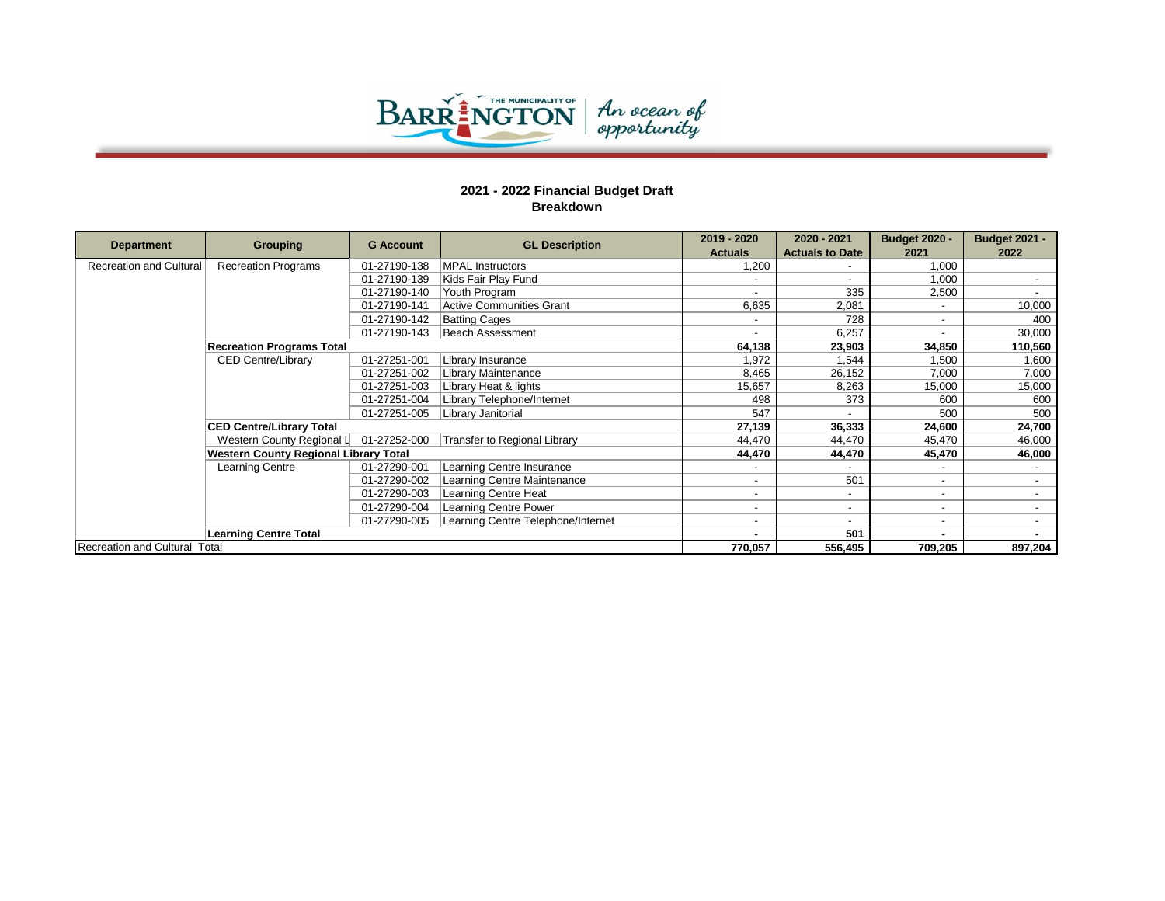

|                               |                                       |                  |                                     | 2019 - 2020              | 2020 - 2021            | <b>Budget 2020 -</b> | <b>Budget 2021 -</b> |
|-------------------------------|---------------------------------------|------------------|-------------------------------------|--------------------------|------------------------|----------------------|----------------------|
| <b>Department</b>             | Grouping                              | <b>G</b> Account | <b>GL Description</b>               | <b>Actuals</b>           | <b>Actuals to Date</b> | 2021                 | 2022                 |
| Recreation and Cultural       | <b>Recreation Programs</b>            | 01-27190-138     | <b>MPAL Instructors</b>             | 1,200                    |                        | 1.000                |                      |
|                               |                                       | 01-27190-139     | Kids Fair Play Fund                 |                          |                        | 1,000                |                      |
|                               |                                       | 01-27190-140     | Youth Program                       |                          | 335                    | 2,500                |                      |
|                               |                                       | 01-27190-141     | <b>Active Communities Grant</b>     | 6,635                    | 2,081                  | $\sim$               | 10,000               |
|                               |                                       | 01-27190-142     | <b>Batting Cages</b>                |                          | 728                    | $\sim$               | 400                  |
|                               |                                       | 01-27190-143     | Beach Assessment                    |                          | 6,257                  | $\sim$               | 30,000               |
|                               | <b>Recreation Programs Total</b>      |                  |                                     | 64,138                   | 23,903                 | 34,850               | 110,560              |
|                               | <b>CED Centre/Library</b>             | 01-27251-001     | Library Insurance                   | 1,972                    | 1,544                  | 1,500                | 1,600                |
|                               |                                       | 01-27251-002     | Library Maintenance                 | 8,465                    | 26,152                 | 7,000                | 7,000                |
|                               |                                       | 01-27251-003     | Library Heat & lights               | 15,657                   | 8,263                  | 15,000               | 15,000               |
|                               |                                       | 01-27251-004     | Library Telephone/Internet          | 498                      | 373                    | 600                  | 600                  |
|                               |                                       | 01-27251-005     | Library Janitorial                  | 547                      |                        | 500                  | 500                  |
|                               | <b>CED Centre/Library Total</b>       |                  |                                     | 27,139                   | 36,333                 | 24,600               | 24,700               |
|                               | Western County Regional L             | 01-27252-000     | <b>Transfer to Regional Library</b> | 44.470                   | 44,470                 | 45,470               | 46,000               |
|                               | Western County Regional Library Total |                  |                                     | 44,470                   | 44,470                 | 45,470               | 46,000               |
|                               | Learning Centre                       | 01-27290-001     | Learning Centre Insurance           |                          |                        |                      |                      |
|                               |                                       | 01-27290-002     | Learning Centre Maintenance         |                          | 501                    | $\sim$               |                      |
|                               |                                       | 01-27290-003     | Learning Centre Heat                | $\overline{\phantom{0}}$ | ۰                      | $\sim$               |                      |
|                               |                                       | 01-27290-004     | Learning Centre Power               |                          |                        | $\sim$               |                      |
|                               |                                       | 01-27290-005     | Learning Centre Telephone/Internet  |                          |                        | $\sim$               |                      |
|                               | <b>Learning Centre Total</b>          |                  |                                     |                          | 501                    |                      |                      |
| Recreation and Cultural Total |                                       |                  |                                     | 770,057                  | 556,495                | 709,205              | 897,204              |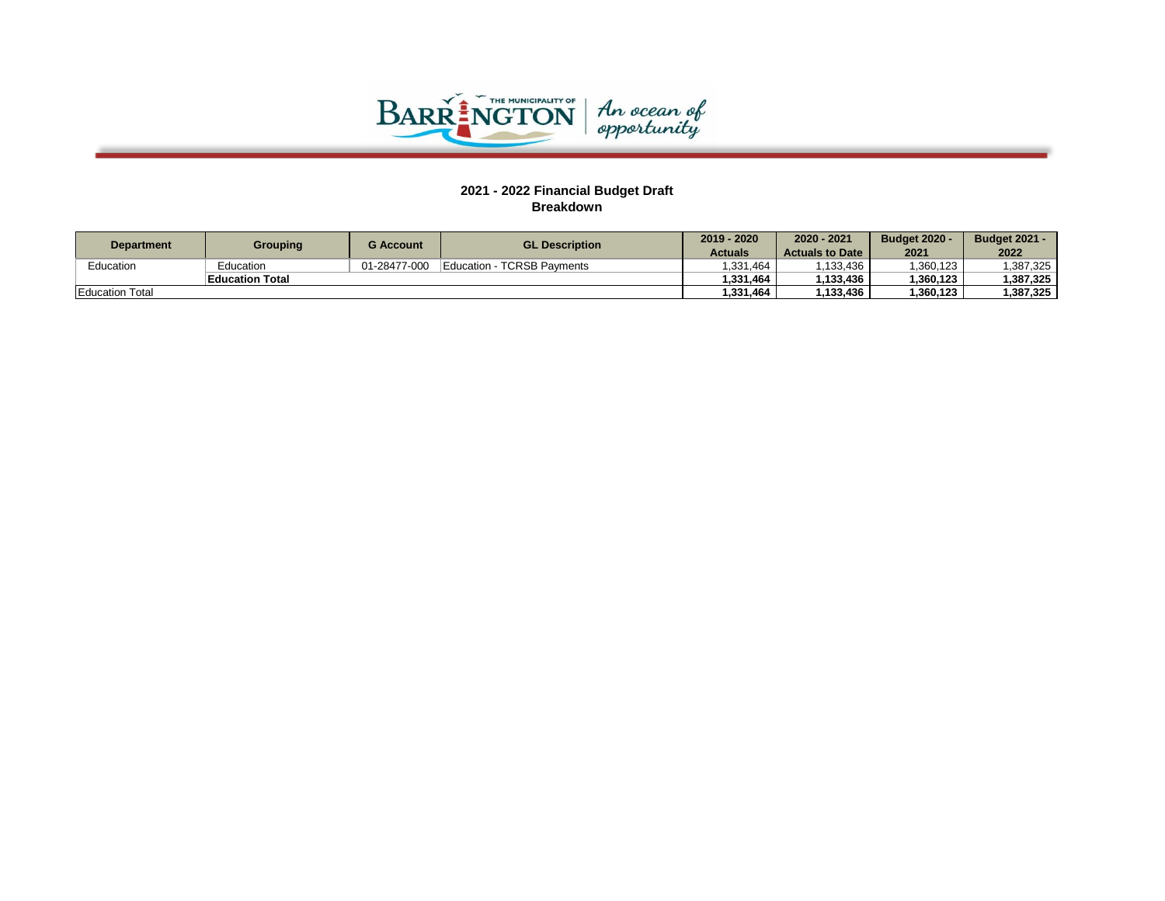

| <b>Department</b>      | Grouping               | G Account    | <b>GL Description</b>      | 2019 - 2020 | 2020 - 2021            | <b>Budget 2020 -</b> | <b>Budget 2021 -</b> |
|------------------------|------------------------|--------------|----------------------------|-------------|------------------------|----------------------|----------------------|
|                        |                        |              |                            | Actuals     | <b>Actuals to Date</b> | 2021                 | 2022                 |
| Education              | Education              | 01-28477-000 | Education - TCRSB Payments | .331.464    | .133.436               | 1.360.123            | 1.387.325            |
|                        | <b>Education Total</b> |              |                            | 1.331.464   | 1.133.436              | 1.360.123            | 1.387.325            |
| <b>Education Total</b> |                        |              |                            | 1,331,464   | 1,133,436              | 1.360.123            | 1.387.325            |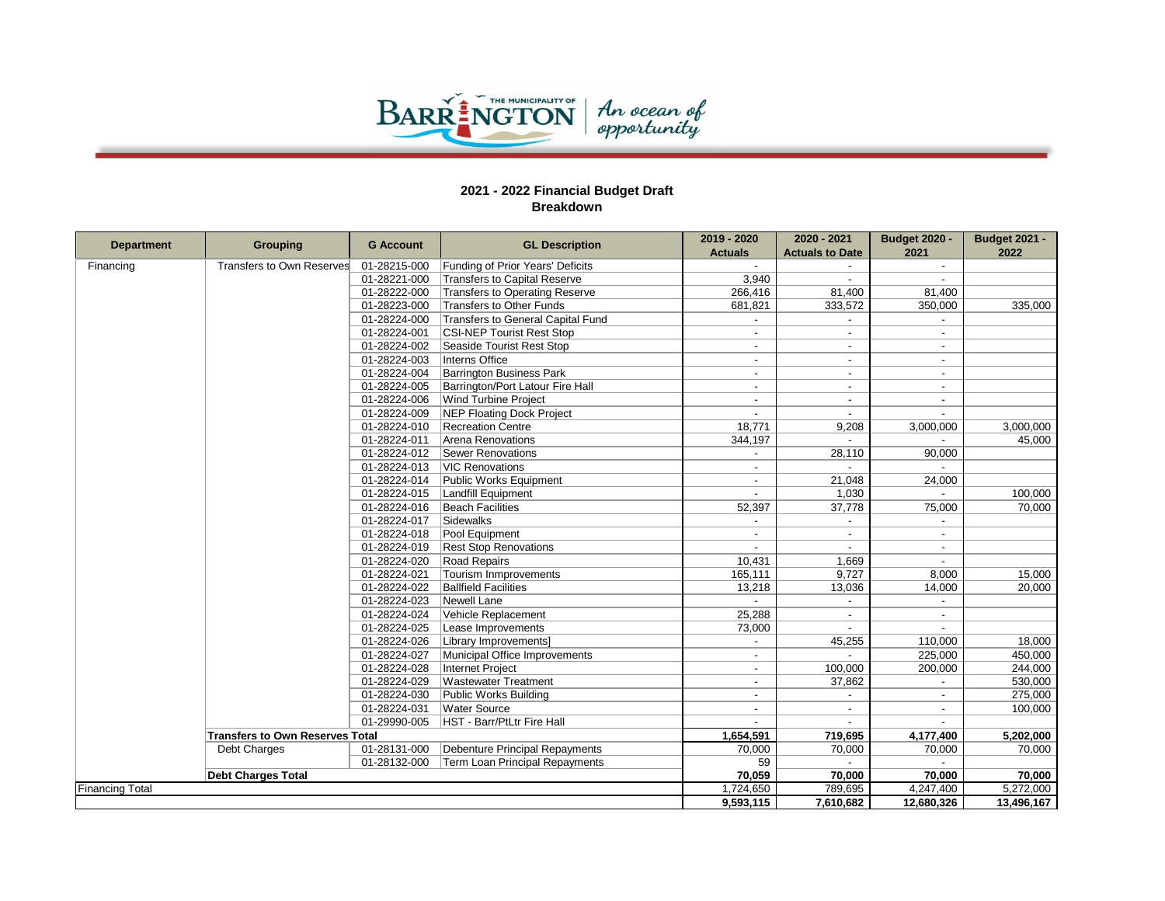

|                        |                                        |                  |                                   | 2019 - 2020              | 2020 - 2021              | <b>Budget 2020 -</b>     | <b>Budget 2021 -</b> |
|------------------------|----------------------------------------|------------------|-----------------------------------|--------------------------|--------------------------|--------------------------|----------------------|
| <b>Department</b>      | <b>Grouping</b>                        | <b>G</b> Account | <b>GL Description</b>             | <b>Actuals</b>           | <b>Actuals to Date</b>   | 2021                     | 2022                 |
| Financing              | Transfers to Own Reserves              | 01-28215-000     | Funding of Prior Years' Deficits  | $\overline{a}$           |                          | $\overline{\phantom{a}}$ |                      |
|                        |                                        | 01-28221-000     | Transfers to Capital Reserve      | 3,940                    |                          |                          |                      |
|                        |                                        | 01-28222-000     | Transfers to Operating Reserve    | 266,416                  | 81,400                   | 81.400                   |                      |
|                        |                                        | 01-28223-000     | Transfers to Other Funds          | 681,821                  | 333,572                  | 350,000                  | 335,000              |
|                        |                                        | 01-28224-000     | Transfers to General Capital Fund | $\overline{a}$           | $\overline{a}$           | $\overline{a}$           |                      |
|                        |                                        | 01-28224-001     | <b>CSI-NEP Tourist Rest Stop</b>  | $\overline{a}$           | $\blacksquare$           | $\blacksquare$           |                      |
|                        |                                        | 01-28224-002     | Seaside Tourist Rest Stop         | $\sim$                   |                          | $\overline{a}$           |                      |
|                        |                                        | 01-28224-003     | Interns Office                    | $\overline{a}$           | $\sim$                   | $\blacksquare$           |                      |
|                        |                                        | 01-28224-004     | Barrington Business Park          | $\overline{a}$           | $\overline{\phantom{a}}$ | $\overline{\phantom{a}}$ |                      |
|                        |                                        | 01-28224-005     | Barrington/Port Latour Fire Hall  | $\overline{a}$           | $\sim$                   | $\blacksquare$           |                      |
|                        |                                        | 01-28224-006     | Wind Turbine Project              |                          |                          | $\overline{a}$           |                      |
|                        |                                        | 01-28224-009     | NEP Floating Dock Project         | $\overline{a}$           | $\sim$                   | $\blacksquare$           |                      |
|                        |                                        | 01-28224-010     | Recreation Centre                 | 18,771                   | 9,208                    | 3,000,000                | 3,000,000            |
|                        |                                        | 01-28224-011     | Arena Renovations                 | 344,197                  | $\sim$                   | $\sim$                   | 45,000               |
|                        |                                        | 01-28224-012     | Sewer Renovations                 |                          | 28,110                   | 90,000                   |                      |
|                        |                                        | 01-28224-013     | <b>VIC Renovations</b>            | $\overline{a}$           | $\sim$                   |                          |                      |
|                        |                                        | 01-28224-014     | Public Works Equipment            |                          | 21,048                   | 24,000                   |                      |
|                        |                                        | 01-28224-015     | Landfill Equipment                | $\overline{\phantom{0}}$ | 1,030                    | $\sim$                   | 100,000              |
|                        |                                        | 01-28224-016     | <b>Beach Facilities</b>           | 52,397                   | 37,778                   | 75,000                   | 70.000               |
|                        |                                        | 01-28224-017     | Sidewalks                         | $\overline{a}$           | $\sim$                   | $\overline{a}$           |                      |
|                        |                                        | 01-28224-018     | Pool Equipment                    |                          |                          | $\blacksquare$           |                      |
|                        |                                        | 01-28224-019     | <b>Rest Stop Renovations</b>      |                          |                          | $\overline{a}$           |                      |
|                        |                                        | 01-28224-020     | Road Repairs                      | 10,431                   | 1,669                    | $\overline{a}$           |                      |
|                        |                                        | 01-28224-021     | Tourism Inmprovements             | 165,111                  | 9,727                    | 8.000                    | 15,000               |
|                        |                                        | 01-28224-022     | <b>Ballfield Facilities</b>       | 13,218                   | 13,036                   | 14,000                   | 20,000               |
|                        |                                        | 01-28224-023     | Newell Lane                       |                          |                          |                          |                      |
|                        |                                        | 01-28224-024     | Vehicle Replacement               | 25,288                   | $\sim$                   | $\blacksquare$           |                      |
|                        |                                        | 01-28224-025     | Lease Improvements                | 73,000                   | $\sim$                   | $\overline{a}$           |                      |
|                        |                                        | 01-28224-026     | Library Improvements]             | $\sim$                   | 45,255                   | 110,000                  | 18,000               |
|                        |                                        | 01-28224-027     | Municipal Office Improvements     |                          |                          | 225,000                  | 450,000              |
|                        |                                        | 01-28224-028     | Internet Project                  | $\overline{a}$           | 100,000                  | 200,000                  | 244,000              |
|                        |                                        | 01-28224-029     | <b>Wastewater Treatment</b>       | $\overline{\phantom{a}}$ | 37,862                   |                          | 530,000              |
|                        |                                        | 01-28224-030     | Public Works Building             | $\overline{a}$           | $\sim$                   | $\overline{a}$           | 275,000              |
|                        |                                        | 01-28224-031     | <b>Water Source</b>               |                          |                          |                          | 100,000              |
|                        |                                        | 01-29990-005     | HST - Barr/PtLtr Fire Hall        | $\overline{a}$           | $\sim$                   | $\sim$                   |                      |
|                        | <b>Transfers to Own Reserves Total</b> |                  |                                   | 1,654,591                | 719,695                  | 4,177,400                | 5,202,000            |
|                        | Debt Charges                           | 01-28131-000     | Debenture Principal Repayments    | 70,000                   | 70,000                   | 70,000                   | 70,000               |
|                        |                                        | 01-28132-000     | Term Loan Principal Repayments    | 59                       |                          |                          |                      |
|                        | <b>Debt Charges Total</b>              |                  |                                   | 70,059                   | 70,000                   | 70.000                   | 70,000               |
| <b>Financing Total</b> |                                        |                  |                                   | 1,724,650                | 789,695                  | 4,247,400                | 5,272,000            |
|                        |                                        |                  |                                   | 9,593,115                | 7,610,682                | 12,680,326               | 13,496,167           |